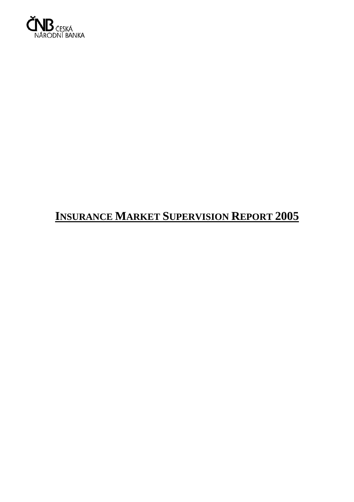

# **INSURANCE MARKET SUPERVISION REPORT 2005**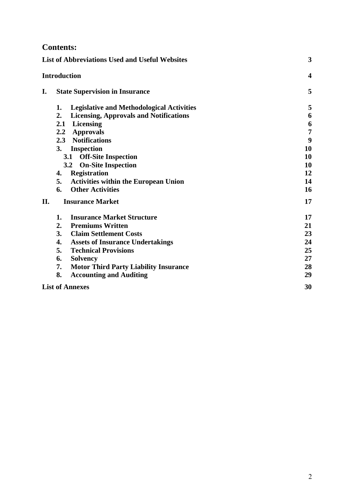# **Contents:**

|     | <b>List of Abbreviations Used and Useful Websites</b>  |                         |  |
|-----|--------------------------------------------------------|-------------------------|--|
|     | <b>Introduction</b>                                    | $\overline{\mathbf{4}}$ |  |
| I.  | <b>State Supervision in Insurance</b>                  | 5                       |  |
|     | <b>Legislative and Methodological Activities</b><br>1. | 5                       |  |
|     | 2.<br><b>Licensing, Approvals and Notifications</b>    | 6                       |  |
|     | 2.1<br><b>Licensing</b>                                | 6                       |  |
|     | <b>Approvals</b><br>2.2                                | $\overline{7}$          |  |
|     | 2.3 Notifications                                      | 9                       |  |
|     | 3.<br><b>Inspection</b>                                | 10                      |  |
|     | <b>Off-Site Inspection</b><br>3.1                      | 10                      |  |
|     | 3.2<br><b>On-Site Inspection</b>                       | 10                      |  |
|     | <b>Registration</b><br>4.                              | 12                      |  |
|     | 5.<br><b>Activities within the European Union</b>      | 14                      |  |
|     | <b>Other Activities</b><br>6.                          | 16                      |  |
| II. | <b>Insurance Market</b>                                | 17                      |  |
|     | <b>Insurance Market Structure</b><br>1.                | 17                      |  |
|     | 2.<br><b>Premiums Written</b>                          | 21                      |  |
|     | 3.<br><b>Claim Settlement Costs</b>                    | 23                      |  |
|     | <b>Assets of Insurance Undertakings</b><br>4.          | 24                      |  |
|     | 5.<br><b>Technical Provisions</b>                      | 25                      |  |
|     | <b>Solvency</b><br>6.                                  | 27                      |  |
|     | <b>Motor Third Party Liability Insurance</b><br>7.     | 28                      |  |
|     | 8.<br><b>Accounting and Auditing</b>                   | 29                      |  |
|     | <b>List of Annexes</b>                                 | 30                      |  |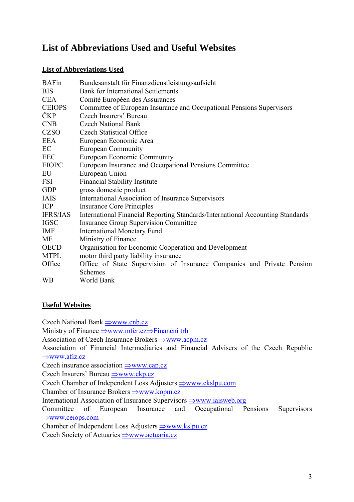# **List of Abbreviations Used and Useful Websites**

# **List of Abbreviations Used**

| <b>BAFin</b>    | Bundesanstalt für Finanzdienstleistungsaufsicht                                |  |  |  |  |  |
|-----------------|--------------------------------------------------------------------------------|--|--|--|--|--|
| <b>BIS</b>      | <b>Bank for International Settlements</b>                                      |  |  |  |  |  |
| <b>CEA</b>      | Comité Européen des Assurances                                                 |  |  |  |  |  |
| <b>CEIOPS</b>   | Committee of European Insurance and Occupational Pensions Supervisors          |  |  |  |  |  |
| <b>ČKP</b>      | Czech Insurers' Bureau                                                         |  |  |  |  |  |
| <b>CNB</b>      | <b>Czech National Bank</b>                                                     |  |  |  |  |  |
| <b>CZSO</b>     | <b>Czech Statistical Office</b>                                                |  |  |  |  |  |
| EEA             | European Economic Area                                                         |  |  |  |  |  |
| EC              | <b>European Community</b>                                                      |  |  |  |  |  |
| <b>EEC</b>      | European Economic Community                                                    |  |  |  |  |  |
| <b>EIOPC</b>    | European Insurance and Occupational Pensions Committee                         |  |  |  |  |  |
| EU              | European Union                                                                 |  |  |  |  |  |
| <b>FSI</b>      | <b>Financial Stability Institute</b>                                           |  |  |  |  |  |
| <b>GDP</b>      | gross domestic product                                                         |  |  |  |  |  |
| <b>IAIS</b>     | <b>International Association of Insurance Supervisors</b>                      |  |  |  |  |  |
| <b>ICP</b>      | <b>Insurance Core Principles</b>                                               |  |  |  |  |  |
| <b>IFRS/IAS</b> | International Financial Reporting Standards/International Accounting Standards |  |  |  |  |  |
| <b>IGSC</b>     | <b>Insurance Group Supervision Committee</b>                                   |  |  |  |  |  |
| IMF             | <b>International Monetary Fund</b>                                             |  |  |  |  |  |
| MF              | Ministry of Finance                                                            |  |  |  |  |  |
| <b>OECD</b>     | Organisation for Economic Cooperation and Development                          |  |  |  |  |  |
| <b>MTPL</b>     | motor third party liability insurance                                          |  |  |  |  |  |
| Office          | Office of State Supervision of Insurance Companies and Private Pension         |  |  |  |  |  |
|                 | <b>Schemes</b>                                                                 |  |  |  |  |  |
| <b>WB</b>       | World Bank                                                                     |  |  |  |  |  |

# **Useful Websites**

Czech National Bank ⇒www.cnb.cz

Ministry of Finance ⇒www.mfcr.cz⇒Finanční trh

Association of Czech Insurance Brokers ⇒www.acpm.cz

Association of Financial Intermediaries and Financial Advisers of the Czech Republic ⇒www.afiz.cz

Czech insurance association ⇒www.cap.cz

Czech Insurers' Bureau ⇒www.ckp.cz

Czech Chamber of Independent Loss Adjusters ⇒www.ckslpu.com

Chamber of Insurance Brokers ⇒www.kopm.cz

International Association of Insurance Supervisors ⇒www.iaisweb.org

Committee of European Insurance and Occupational Pensions Supervisors ⇒www.ceiops.com

Chamber of Independent Loss Adjusters ⇒www.kslpu.cz Czech Society of Actuaries ⇒www.actuaria.cz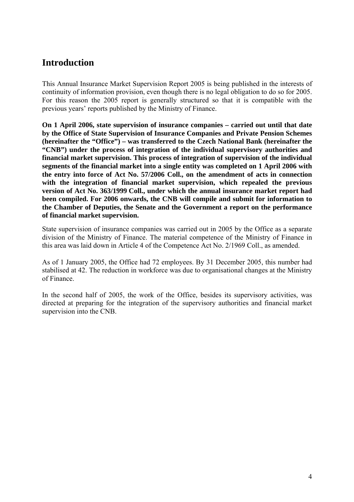# **Introduction**

This Annual Insurance Market Supervision Report 2005 is being published in the interests of continuity of information provision, even though there is no legal obligation to do so for 2005. For this reason the 2005 report is generally structured so that it is compatible with the previous years' reports published by the Ministry of Finance.

**On 1 April 2006, state supervision of insurance companies – carried out until that date by the Office of State Supervision of Insurance Companies and Private Pension Schemes (hereinafter the "Office") – was transferred to the Czech National Bank (hereinafter the "CNB") under the process of integration of the individual supervisory authorities and financial market supervision. This process of integration of supervision of the individual segments of the financial market into a single entity was completed on 1 April 2006 with the entry into force of Act No. 57/2006 Coll., on the amendment of acts in connection with the integration of financial market supervision, which repealed the previous version of Act No. 363/1999 Coll., under which the annual insurance market report had been compiled. For 2006 onwards, the CNB will compile and submit for information to the Chamber of Deputies, the Senate and the Government a report on the performance of financial market supervision.** 

State supervision of insurance companies was carried out in 2005 by the Office as a separate division of the Ministry of Finance. The material competence of the Ministry of Finance in this area was laid down in Article 4 of the Competence Act No. 2/1969 Coll., as amended.

As of 1 January 2005, the Office had 72 employees. By 31 December 2005, this number had stabilised at 42. The reduction in workforce was due to organisational changes at the Ministry of Finance.

In the second half of 2005, the work of the Office, besides its supervisory activities, was directed at preparing for the integration of the supervisory authorities and financial market supervision into the CNB.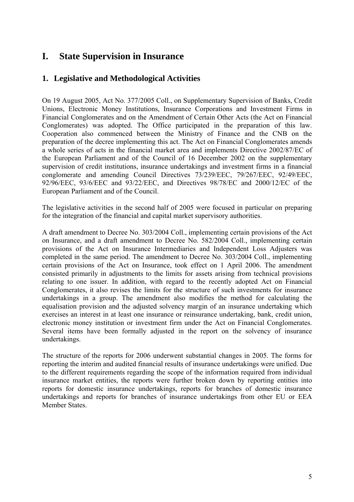# **I. State Supervision in Insurance**

# **1. Legislative and Methodological Activities**

On 19 August 2005, Act No. 377/2005 Coll., on Supplementary Supervision of Banks, Credit Unions, Electronic Money Institutions, Insurance Corporations and Investment Firms in Financial Conglomerates and on the Amendment of Certain Other Acts (the Act on Financial Conglomerates) was adopted. The Office participated in the preparation of this law. Cooperation also commenced between the Ministry of Finance and the CNB on the preparation of the decree implementing this act. The Act on Financial Conglomerates amends a whole series of acts in the financial market area and implements Directive 2002/87/EC of the European Parliament and of the Council of 16 December 2002 on the supplementary supervision of credit institutions, insurance undertakings and investment firms in a financial conglomerate and amending Council Directives 73/239/EEC, 79/267/EEC, 92/49/EEC, 92/96/EEC, 93/6/EEC and 93/22/EEC, and Directives 98/78/EC and 2000/12/EC of the European Parliament and of the Council.

The legislative activities in the second half of 2005 were focused in particular on preparing for the integration of the financial and capital market supervisory authorities.

A draft amendment to Decree No. 303/2004 Coll., implementing certain provisions of the Act on Insurance, and a draft amendment to Decree No. 582/2004 Coll., implementing certain provisions of the Act on Insurance Intermediaries and Independent Loss Adjusters was completed in the same period. The amendment to Decree No. 303/2004 Coll., implementing certain provisions of the Act on Insurance, took effect on 1 April 2006. The amendment consisted primarily in adjustments to the limits for assets arising from technical provisions relating to one issuer. In addition, with regard to the recently adopted Act on Financial Conglomerates, it also revises the limits for the structure of such investments for insurance undertakings in a group. The amendment also modifies the method for calculating the equalisation provision and the adjusted solvency margin of an insurance undertaking which exercises an interest in at least one insurance or reinsurance undertaking, bank, credit union, electronic money institution or investment firm under the Act on Financial Conglomerates. Several items have been formally adjusted in the report on the solvency of insurance undertakings.

The structure of the reports for 2006 underwent substantial changes in 2005. The forms for reporting the interim and audited financial results of insurance undertakings were unified. Due to the different requirements regarding the scope of the information required from individual insurance market entities, the reports were further broken down by reporting entities into reports for domestic insurance undertakings, reports for branches of domestic insurance undertakings and reports for branches of insurance undertakings from other EU or EEA Member States.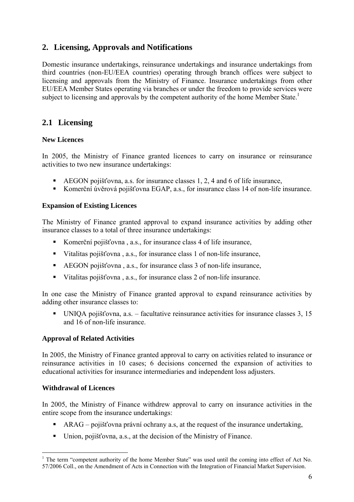# **2. Licensing, Approvals and Notifications**

Domestic insurance undertakings, reinsurance undertakings and insurance undertakings from third countries (non-EU/EEA countries) operating through branch offices were subject to licensing and approvals from the Ministry of Finance. Insurance undertakings from other EU/EEA Member States operating via branches or under the freedom to provide services were subject to licensing and approvals by the competent authority of the home Member State.<sup>1</sup>

# **2.1 Licensing**

### **New Licences**

In 2005, the Ministry of Finance granted licences to carry on insurance or reinsurance activities to two new insurance undertakings:

- AEGON pojišťovna, a.s. for insurance classes 1, 2, 4 and 6 of life insurance,
- Komerční úvěrová pojišťovna EGAP, a.s., for insurance class 14 of non-life insurance.

### **Expansion of Existing Licences**

The Ministry of Finance granted approval to expand insurance activities by adding other insurance classes to a total of three insurance undertakings:

- Komerční pojišťovna , a.s., for insurance class 4 of life insurance,
- Vitalitas pojišťovna , a.s., for insurance class 1 of non-life insurance,
- AEGON pojišťovna , a.s., for insurance class 3 of non-life insurance,
- Vitalitas pojišťovna , a.s., for insurance class 2 of non-life insurance.

In one case the Ministry of Finance granted approval to expand reinsurance activities by adding other insurance classes to:

UNIQA pojišťovna, a.s. – facultative reinsurance activities for insurance classes  $3$ , 15 and 16 of non-life insurance.

### **Approval of Related Activities**

In 2005, the Ministry of Finance granted approval to carry on activities related to insurance or reinsurance activities in 10 cases; 6 decisions concerned the expansion of activities to educational activities for insurance intermediaries and independent loss adjusters.

### **Withdrawal of Licences**

1

In 2005, the Ministry of Finance withdrew approval to carry on insurance activities in the entire scope from the insurance undertakings:

- ARAG pojišťovna právní ochrany a.s, at the request of the insurance undertaking,
- Union, pojišťovna, a.s., at the decision of the Ministry of Finance.

<sup>&</sup>lt;sup>1</sup> The term "competent authority of the home Member State" was used until the coming into effect of Act No. 57/2006 Coll., on the Amendment of Acts in Connection with the Integration of Financial Market Supervision.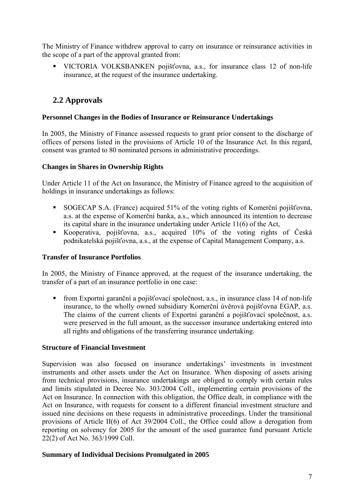The Ministry of Finance withdrew approval to carry on insurance or reinsurance activities in the scope of a part of the approval granted from:

 VICTORIA VOLKSBANKEN pojišťovna, a.s., for insurance class 12 of non-life insurance, at the request of the insurance undertaking.

# **2.2 Approvals**

### **Personnel Changes in the Bodies of Insurance or Reinsurance Undertakings**

In 2005, the Ministry of Finance assessed requests to grant prior consent to the discharge of offices of persons listed in the provisions of Article 10 of the Insurance Act. In this regard, consent was granted to 80 nominated persons in administrative proceedings.

## **Changes in Shares in Ownership Rights**

Under Article 11 of the Act on Insurance, the Ministry of Finance agreed to the acquisition of holdings in insurance undertakings as follows:

- SOGECAP S.A. (France) acquired 51% of the voting rights of Komerční pojišťovna, a.s. at the expense of Komerční banka, a.s., which announced its intention to decrease its capital share in the insurance undertaking under Article 11(6) of the Act,
- Kooperativa, pojišťovna, a.s., acquired 10% of the voting rights of Česká podnikatelská pojišťovna, a.s., at the expense of Capital Management Company, a.s.

### **Transfer of Insurance Portfolios**

In 2005, the Ministry of Finance approved, at the request of the insurance undertaking, the transfer of a part of an insurance portfolio in one case:

 from Exportní garanční a pojišťovací společnost, a.s., in insurance class 14 of non-life insurance, to the wholly owned subsidiary Komerční úvěrová pojišťovna EGAP, a.s. The claims of the current clients of Exportní garanční a pojišťovací společnost, a.s. were preserved in the full amount, as the successor insurance undertaking entered into all rights and obligations of the transferring insurance undertaking.

# **Structure of Financial Investment**

Supervision was also focused on insurance undertakings' investments in investment instruments and other assets under the Act on Insurance. When disposing of assets arising from technical provisions, insurance undertakings are obliged to comply with certain rules and limits stipulated in Decree No. 303/2004 Coll., implementing certain provisions of the Act on Insurance. In connection with this obligation, the Office dealt, in compliance with the Act on Insurance, with requests for consent to a different financial investment structure and issued nine decisions on these requests in administrative proceedings. Under the transitional provisions of Article II(6) of Act 39/2004 Coll., the Office could allow a derogation from reporting on solvency for 2005 for the amount of the used guarantee fund pursuant Article 22(2) of Act No. 363/1999 Coll.

### **Summary of Individual Decisions Promulgated in 2005**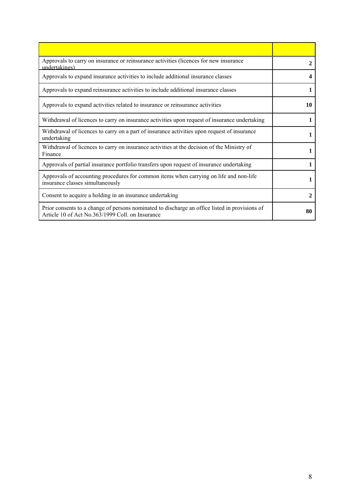| Approvals to carry on insurance or reinsurance activities (licences for new insurance<br>undertakings)                                             | 2  |
|----------------------------------------------------------------------------------------------------------------------------------------------------|----|
| Approvals to expand insurance activities to include additional insurance classes                                                                   | 4  |
| Approvals to expand reinsurance activities to include additional insurance classes                                                                 | 1  |
| Approvals to expand activities related to insurance or reinsurance activities                                                                      | 10 |
| Withdrawal of licences to carry on insurance activities upon request of insurance undertaking                                                      | 1  |
| Withdrawal of licences to carry on a part of insurance activities upon request of insurance<br>undertaking                                         |    |
| Withdrawal of licences to carry on insurance activities at the decision of the Ministry of<br>Finance                                              | 1  |
| Approvals of partial insurance portfolio transfers upon request of insurance undertaking                                                           | 1  |
| Approvals of accounting procedures for common items when carrying on life and non-life<br>insurance classes simultaneously                         | 1  |
| Consent to acquire a holding in an insurance undertaking                                                                                           | 2  |
| Prior consents to a change of persons nominated to discharge an office listed in provisions of<br>Article 10 of Act No.363/1999 Coll. on Insurance | 80 |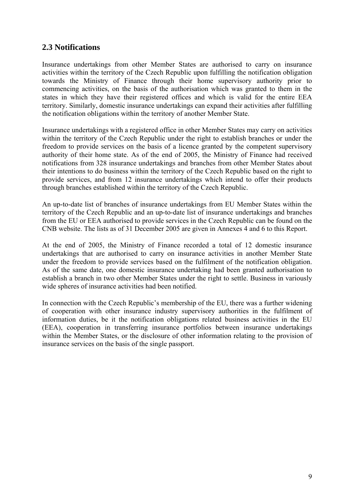# **2.3 Notifications**

Insurance undertakings from other Member States are authorised to carry on insurance activities within the territory of the Czech Republic upon fulfilling the notification obligation towards the Ministry of Finance through their home supervisory authority prior to commencing activities, on the basis of the authorisation which was granted to them in the states in which they have their registered offices and which is valid for the entire EEA territory. Similarly, domestic insurance undertakings can expand their activities after fulfilling the notification obligations within the territory of another Member State.

Insurance undertakings with a registered office in other Member States may carry on activities within the territory of the Czech Republic under the right to establish branches or under the freedom to provide services on the basis of a licence granted by the competent supervisory authority of their home state. As of the end of 2005, the Ministry of Finance had received notifications from 328 insurance undertakings and branches from other Member States about their intentions to do business within the territory of the Czech Republic based on the right to provide services, and from 12 insurance undertakings which intend to offer their products through branches established within the territory of the Czech Republic.

An up-to-date list of branches of insurance undertakings from EU Member States within the territory of the Czech Republic and an up-to-date list of insurance undertakings and branches from the EU or EEA authorised to provide services in the Czech Republic can be found on the CNB website. The lists as of 31 December 2005 are given in Annexes 4 and 6 to this Report.

At the end of 2005, the Ministry of Finance recorded a total of 12 domestic insurance undertakings that are authorised to carry on insurance activities in another Member State under the freedom to provide services based on the fulfilment of the notification obligation. As of the same date, one domestic insurance undertaking had been granted authorisation to establish a branch in two other Member States under the right to settle. Business in variously wide spheres of insurance activities had been notified.

In connection with the Czech Republic's membership of the EU, there was a further widening of cooperation with other insurance industry supervisory authorities in the fulfilment of information duties, be it the notification obligations related business activities in the EU (EEA), cooperation in transferring insurance portfolios between insurance undertakings within the Member States, or the disclosure of other information relating to the provision of insurance services on the basis of the single passport.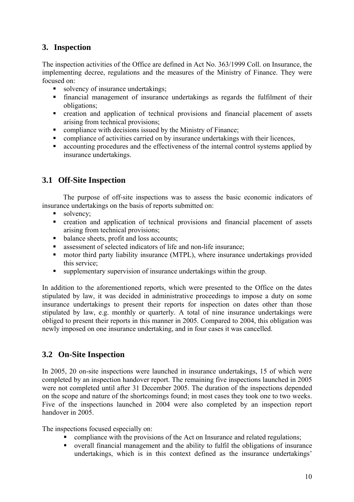# **3. Inspection**

The inspection activities of the Office are defined in Act No. 363/1999 Coll. on Insurance, the implementing decree, regulations and the measures of the Ministry of Finance. They were focused on:

- solvency of insurance undertakings:
- financial management of insurance undertakings as regards the fulfilment of their obligations;
- creation and application of technical provisions and financial placement of assets arising from technical provisions;
- **Example 3** compliance with decisions issued by the Ministry of Finance:
- compliance of activities carried on by insurance undertakings with their licences,
- accounting procedures and the effectiveness of the internal control systems applied by insurance undertakings.

# **3.1 Off-Site Inspection**

 The purpose of off-site inspections was to assess the basic economic indicators of insurance undertakings on the basis of reports submitted on:

- solvency:
- creation and application of technical provisions and financial placement of assets arising from technical provisions;
- balance sheets, profit and loss accounts;
- assessment of selected indicators of life and non-life insurance;
- motor third party liability insurance (MTPL), where insurance undertakings provided this service;
- supplementary supervision of insurance undertakings within the group.

In addition to the aforementioned reports, which were presented to the Office on the dates stipulated by law, it was decided in administrative proceedings to impose a duty on some insurance undertakings to present their reports for inspection on dates other than those stipulated by law, e.g. monthly or quarterly. A total of nine insurance undertakings were obliged to present their reports in this manner in 2005. Compared to 2004, this obligation was newly imposed on one insurance undertaking, and in four cases it was cancelled.

# **3.2 On-Site Inspection**

In 2005, 20 on-site inspections were launched in insurance undertakings, 15 of which were completed by an inspection handover report. The remaining five inspections launched in 2005 were not completed until after 31 December 2005. The duration of the inspections depended on the scope and nature of the shortcomings found; in most cases they took one to two weeks. Five of the inspections launched in 2004 were also completed by an inspection report handover in 2005.

The inspections focused especially on:

- compliance with the provisions of the Act on Insurance and related regulations;
- overall financial management and the ability to fulfil the obligations of insurance undertakings, which is in this context defined as the insurance undertakings'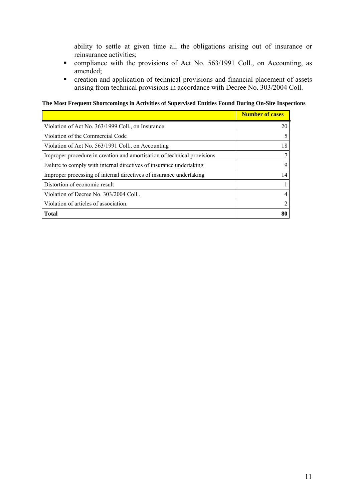ability to settle at given time all the obligations arising out of insurance or reinsurance activities;

- compliance with the provisions of Act No. 563/1991 Coll., on Accounting, as amended;
- creation and application of technical provisions and financial placement of assets arising from technical provisions in accordance with Decree No. 303/2004 Coll.

**The Most Frequent Shortcomings in Activities of Supervised Entities Found During On-Site Inspections** 

|                                                                         | <b>Number of cases</b> |
|-------------------------------------------------------------------------|------------------------|
| Violation of Act No. 363/1999 Coll., on Insurance                       | 20                     |
| Violation of the Commercial Code                                        |                        |
| Violation of Act No. 563/1991 Coll., on Accounting                      | 18                     |
| Improper procedure in creation and amortisation of technical provisions |                        |
| Failure to comply with internal directives of insurance undertaking     | 9                      |
| Improper processing of internal directives of insurance undertaking     | 14                     |
| Distortion of economic result                                           |                        |
| Violation of Decree No. 303/2004 Coll                                   | 4                      |
| Violation of articles of association.                                   | 2                      |
| <b>Total</b>                                                            | 80                     |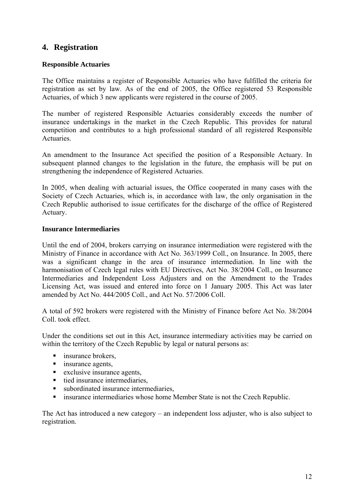# **4. Registration**

### **Responsible Actuaries**

The Office maintains a register of Responsible Actuaries who have fulfilled the criteria for registration as set by law. As of the end of 2005, the Office registered 53 Responsible Actuaries, of which 3 new applicants were registered in the course of 2005.

The number of registered Responsible Actuaries considerably exceeds the number of insurance undertakings in the market in the Czech Republic. This provides for natural competition and contributes to a high professional standard of all registered Responsible Actuaries.

An amendment to the Insurance Act specified the position of a Responsible Actuary. In subsequent planned changes to the legislation in the future, the emphasis will be put on strengthening the independence of Registered Actuaries.

In 2005, when dealing with actuarial issues, the Office cooperated in many cases with the Society of Czech Actuaries, which is, in accordance with law, the only organisation in the Czech Republic authorised to issue certificates for the discharge of the office of Registered Actuary.

### **Insurance Intermediaries**

Until the end of 2004, brokers carrying on insurance intermediation were registered with the Ministry of Finance in accordance with Act No. 363/1999 Coll., on Insurance. In 2005, there was a significant change in the area of insurance intermediation. In line with the harmonisation of Czech legal rules with EU Directives, Act No. 38/2004 Coll., on Insurance Intermediaries and Independent Loss Adjusters and on the Amendment to the Trades Licensing Act, was issued and entered into force on 1 January 2005. This Act was later amended by Act No. 444/2005 Coll., and Act No. 57/2006 Coll.

A total of 592 brokers were registered with the Ministry of Finance before Act No. 38/2004 Coll. took effect.

Under the conditions set out in this Act, insurance intermediary activities may be carried on within the territory of the Czech Republic by legal or natural persons as:

- **insurance brokers,**
- **i** insurance agents,
- $\blacksquare$  exclusive insurance agents,
- $\blacksquare$  tied insurance intermediaries,
- subordinated insurance intermediaries.
- insurance intermediaries whose home Member State is not the Czech Republic.

The Act has introduced a new category – an independent loss adjuster, who is also subject to registration.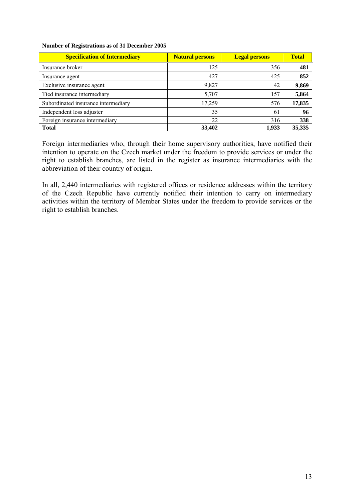#### **Number of Registrations as of 31 December 2005**

| <b>Specification of Intermediary</b> | <b>Natural persons</b> | <b>Legal persons</b> | <b>Total</b> |
|--------------------------------------|------------------------|----------------------|--------------|
| Insurance broker                     | 125                    | 356                  | 481          |
| Insurance agent                      | 427                    | 425                  | 852          |
| Exclusive insurance agent            | 9,827                  | 42                   | 9,869        |
| Tied insurance intermediary          | 5,707                  | 157                  | 5,864        |
| Subordinated insurance intermediary  | 17,259                 | 576                  | 17,835       |
| Independent loss adjuster            | 35                     | 61                   | 96           |
| Foreign insurance intermediary       | 22                     | 316                  | 338          |
| <b>Total</b>                         | 33,402                 | 1,933                | 35,335       |

Foreign intermediaries who, through their home supervisory authorities, have notified their intention to operate on the Czech market under the freedom to provide services or under the right to establish branches, are listed in the register as insurance intermediaries with the abbreviation of their country of origin.

In all, 2,440 intermediaries with registered offices or residence addresses within the territory of the Czech Republic have currently notified their intention to carry on intermediary activities within the territory of Member States under the freedom to provide services or the right to establish branches.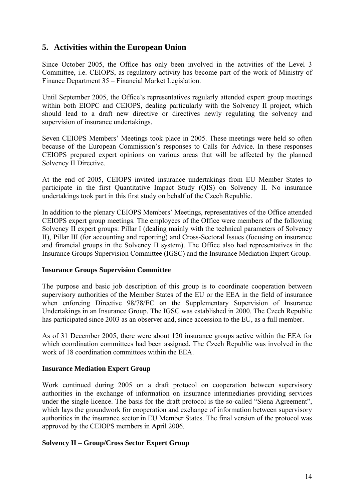# **5. Activities within the European Union**

Since October 2005, the Office has only been involved in the activities of the Level 3 Committee, i.e. CEIOPS, as regulatory activity has become part of the work of Ministry of Finance Department 35 – Financial Market Legislation.

Until September 2005, the Office's representatives regularly attended expert group meetings within both EIOPC and CEIOPS, dealing particularly with the Solvency II project, which should lead to a draft new directive or directives newly regulating the solvency and supervision of insurance undertakings.

Seven CEIOPS Members' Meetings took place in 2005. These meetings were held so often because of the European Commission's responses to Calls for Advice. In these responses CEIOPS prepared expert opinions on various areas that will be affected by the planned Solvency II Directive.

At the end of 2005, CEIOPS invited insurance undertakings from EU Member States to participate in the first Quantitative Impact Study (QIS) on Solvency II. No insurance undertakings took part in this first study on behalf of the Czech Republic.

In addition to the plenary CEIOPS Members' Meetings, representatives of the Office attended CEIOPS expert group meetings. The employees of the Office were members of the following Solvency II expert groups: Pillar I (dealing mainly with the technical parameters of Solvency II), Pillar III (for accounting and reporting) and Cross-Sectoral Issues (focusing on insurance and financial groups in the Solvency II system). The Office also had representatives in the Insurance Groups Supervision Committee (IGSC) and the Insurance Mediation Expert Group.

### **Insurance Groups Supervision Committee**

The purpose and basic job description of this group is to coordinate cooperation between supervisory authorities of the Member States of the EU or the EEA in the field of insurance when enforcing Directive 98/78/EC on the Supplementary Supervision of Insurance Undertakings in an Insurance Group. The IGSC was established in 2000. The Czech Republic has participated since 2003 as an observer and, since accession to the EU, as a full member.

As of 31 December 2005, there were about 120 insurance groups active within the EEA for which coordination committees had been assigned. The Czech Republic was involved in the work of 18 coordination committees within the EEA.

### **Insurance Mediation Expert Group**

Work continued during 2005 on a draft protocol on cooperation between supervisory authorities in the exchange of information on insurance intermediaries providing services under the single licence. The basis for the draft protocol is the so-called "Siena Agreement", which lays the groundwork for cooperation and exchange of information between supervisory authorities in the insurance sector in EU Member States. The final version of the protocol was approved by the CEIOPS members in April 2006.

### **Solvency II – Group/Cross Sector Expert Group**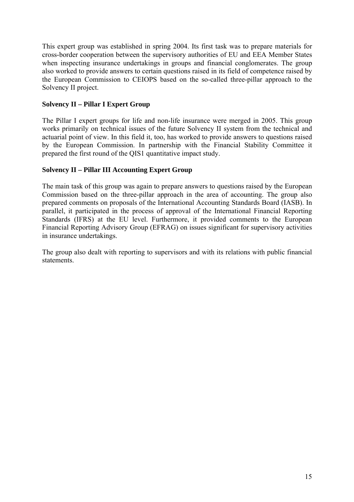This expert group was established in spring 2004. Its first task was to prepare materials for cross-border cooperation between the supervisory authorities of EU and EEA Member States when inspecting insurance undertakings in groups and financial conglomerates. The group also worked to provide answers to certain questions raised in its field of competence raised by the European Commission to CEIOPS based on the so-called three-pillar approach to the Solvency II project.

## **Solvency II – Pillar I Expert Group**

The Pillar I expert groups for life and non-life insurance were merged in 2005. This group works primarily on technical issues of the future Solvency II system from the technical and actuarial point of view. In this field it, too, has worked to provide answers to questions raised by the European Commission. In partnership with the Financial Stability Committee it prepared the first round of the QIS1 quantitative impact study.

### **Solvency II – Pillar III Accounting Expert Group**

The main task of this group was again to prepare answers to questions raised by the European Commission based on the three-pillar approach in the area of accounting. The group also prepared comments on proposals of the International Accounting Standards Board (IASB). In parallel, it participated in the process of approval of the International Financial Reporting Standards (IFRS) at the EU level. Furthermore, it provided comments to the European Financial Reporting Advisory Group (EFRAG) on issues significant for supervisory activities in insurance undertakings.

The group also dealt with reporting to supervisors and with its relations with public financial statements.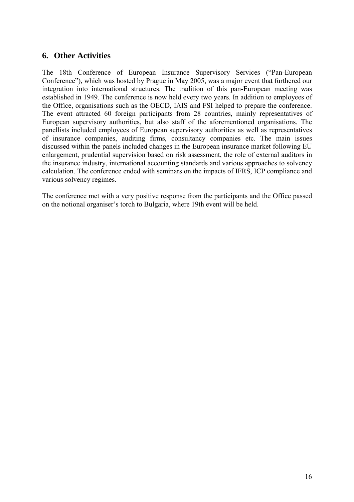# **6. Other Activities**

The 18th Conference of European Insurance Supervisory Services ("Pan-European Conference"), which was hosted by Prague in May 2005, was a major event that furthered our integration into international structures. The tradition of this pan-European meeting was established in 1949. The conference is now held every two years. In addition to employees of the Office, organisations such as the OECD, IAIS and FSI helped to prepare the conference. The event attracted 60 foreign participants from 28 countries, mainly representatives of European supervisory authorities, but also staff of the aforementioned organisations. The panellists included employees of European supervisory authorities as well as representatives of insurance companies, auditing firms, consultancy companies etc. The main issues discussed within the panels included changes in the European insurance market following EU enlargement, prudential supervision based on risk assessment, the role of external auditors in the insurance industry, international accounting standards and various approaches to solvency calculation. The conference ended with seminars on the impacts of IFRS, ICP compliance and various solvency regimes.

The conference met with a very positive response from the participants and the Office passed on the notional organiser's torch to Bulgaria, where 19th event will be held.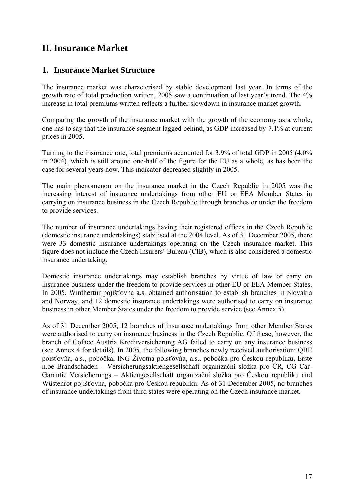# **II. Insurance Market**

# **1. Insurance Market Structure**

The insurance market was characterised by stable development last year. In terms of the growth rate of total production written, 2005 saw a continuation of last year's trend. The 4% increase in total premiums written reflects a further slowdown in insurance market growth.

Comparing the growth of the insurance market with the growth of the economy as a whole, one has to say that the insurance segment lagged behind, as GDP increased by 7.1% at current prices in 2005.

Turning to the insurance rate, total premiums accounted for 3.9% of total GDP in 2005 (4.0% in 2004), which is still around one-half of the figure for the EU as a whole, as has been the case for several years now. This indicator decreased slightly in 2005.

The main phenomenon on the insurance market in the Czech Republic in 2005 was the increasing interest of insurance undertakings from other EU or EEA Member States in carrying on insurance business in the Czech Republic through branches or under the freedom to provide services.

The number of insurance undertakings having their registered offices in the Czech Republic (domestic insurance undertakings) stabilised at the 2004 level. As of 31 December 2005, there were 33 domestic insurance undertakings operating on the Czech insurance market. This figure does not include the Czech Insurers' Bureau (CIB), which is also considered a domestic insurance undertaking.

Domestic insurance undertakings may establish branches by virtue of law or carry on insurance business under the freedom to provide services in other EU or EEA Member States. In 2005, Winthertur pojišťovna a.s. obtained authorisation to establish branches in Slovakia and Norway, and 12 domestic insurance undertakings were authorised to carry on insurance business in other Member States under the freedom to provide service (see Annex 5).

As of 31 December 2005, 12 branches of insurance undertakings from other Member States were authorised to carry on insurance business in the Czech Republic. Of these, however, the branch of Coface Austria Kreditversicherung AG failed to carry on any insurance business (see Annex 4 for details). In 2005, the following branches newly received authorisation: QBE poisťovňa, a.s., pobočka, ING Životná poisťovňa, a.s., pobočka pro Českou republiku, Erste n.oe Brandschaden – Versicherungsaktiengesellschaft organizační složka pro ČR, CG Car-Garantie Versicherungs – Aktiengesellschaft organizační složka pro Českou republiku and Wüstenrot pojišťovna, pobočka pro Českou republiku. As of 31 December 2005, no branches of insurance undertakings from third states were operating on the Czech insurance market.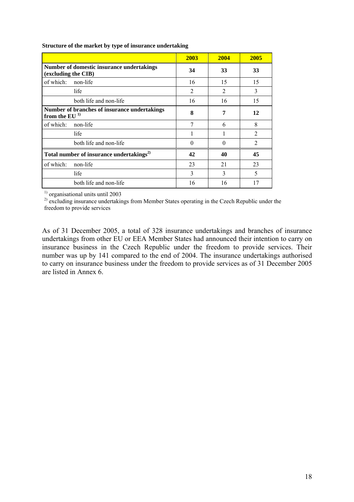|                                                                  | 2003           | 2004           | 2005           |
|------------------------------------------------------------------|----------------|----------------|----------------|
| Number of domestic insurance undertakings<br>(excluding the CIB) | 34             | 33             | 33             |
| of which:<br>non-life                                            | 16             | 15             | 15             |
| life                                                             | $\overline{2}$ | $\overline{2}$ | 3              |
| both life and non-life                                           | 16             | 16             | 15             |
| Number of branches of insurance undertakings<br>from the $EU1$   | 8              | 7              | 12             |
| of which:<br>non-life                                            | 7              | 6              | 8              |
| life                                                             | 1              |                | $\overline{2}$ |
| both life and non-life                                           | 0              | 0              | $\overline{2}$ |
| Total number of insurance undertakings <sup>2)</sup>             | 42             | 40             | 45             |
| of which:<br>non-life                                            | 23             | 21             | 23             |
| life                                                             | 3              | 3              | 5              |
| both life and non-life                                           | 16             | 16             | 17             |

**Structure of the market by type of insurance undertaking** 

<sup>1)</sup> organisational units until 2003

<sup>2)</sup> excluding insurance undertakings from Member States operating in the Czech Republic under the freedom to provide services

As of 31 December 2005, a total of 328 insurance undertakings and branches of insurance undertakings from other EU or EEA Member States had announced their intention to carry on insurance business in the Czech Republic under the freedom to provide services. Their number was up by 141 compared to the end of 2004. The insurance undertakings authorised to carry on insurance business under the freedom to provide services as of 31 December 2005 are listed in Annex 6.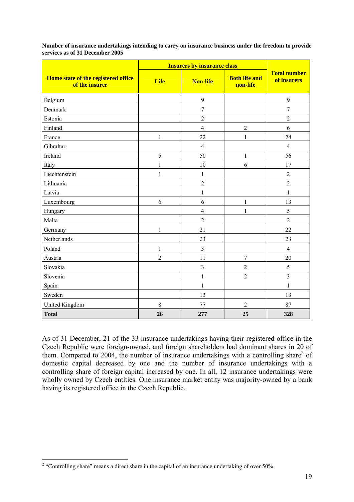| services as of 31 December 2005                              |             | <b>Insurers by insurance class</b> |                                  |             |  |
|--------------------------------------------------------------|-------------|------------------------------------|----------------------------------|-------------|--|
|                                                              |             | <b>Total number</b>                |                                  |             |  |
| <b>Home state of the registered office</b><br>of the insurer | <b>Life</b> | <b>Non-life</b>                    | <b>Both life and</b><br>non-life | of insurers |  |
| Belgium                                                      |             | 9                                  |                                  | Q           |  |
| Denmark                                                      |             |                                    |                                  |             |  |
| Estonia                                                      |             | 2                                  |                                  |             |  |
| Finland                                                      |             | 4                                  |                                  | 6           |  |
| France                                                       |             | 22                                 |                                  | 24          |  |

Gibraltar 4 4 Ireland 5 50 1 56 Italy 1 10 6 17 Liechtenstein 1  $1 \t 1 \t 1 \t 2$ Lithuania 2 2 Latvia  $\begin{array}{|c|c|c|c|c|c|c|c|c|} \hline \end{array}$   $\begin{array}{|c|c|c|c|c|c|c|c|} \hline \end{array}$   $\begin{array}{|c|c|c|c|c|c|} \hline \end{array}$   $\begin{array}{|c|c|c|c|c|} \hline \end{array}$   $\begin{array}{|c|c|c|c|c|c|} \hline \end{array}$ Luxembourg  $\begin{array}{|c|c|c|c|c|c|c|c|c|} \hline \end{array}$  6  $\begin{array}{|c|c|c|c|c|c|c|c|} \hline \end{array}$  6  $\begin{array}{|c|c|c|c|c|c|c|c|} \hline \end{array}$  13 Hungary  $\begin{array}{|c|c|c|c|c|c|c|c|c|} \hline \end{array}$   $\begin{array}{|c|c|c|c|c|c|c|c|} \hline \end{array}$   $\begin{array}{|c|c|c|c|c|} \hline \end{array}$   $\begin{array}{|c|c|c|c|c|} \hline \end{array}$   $\begin{array}{|c|c|c|c|c|} \hline \end{array}$   $\begin{array}{|c|c|c|c|c|} \hline \end{array}$   $\begin{array}{|c|c|c|c|c|} \hline \end{array}$   $\begin$ Malta 2 2 Germany 1  $1$  21  $22$ Netherlands 23 23 23 Poland 1 3 4 Austria 11 1 1 7 20 Slovakia  $\begin{array}{|c|c|c|c|c|c|c|c|c|} \hline \end{array}$  3  $\begin{array}{|c|c|c|c|c|c|c|c|} \hline 3 & 2 & 5 \end{array}$ Slovenia 1 2 3 Spain 1 1 Sweden 13  $13$  13  $13$ United Kingdom 8 8 77 2 87 **Total 26 277 25 328** 

**Number of insurance undertakings intending to carry on insurance business under the freedom to provide services as of 31 December 2005** 

As of 31 December, 21 of the 33 insurance undertakings having their registered office in the Czech Republic were foreign-owned, and foreign shareholders had dominant shares in 20 of them. Compared to 2004, the number of insurance undertakings with a controlling share<sup>2</sup> of domestic capital decreased by one and the number of insurance undertakings with a controlling share of foreign capital increased by one. In all, 12 insurance undertakings were wholly owned by Czech entities. One insurance market entity was majority-owned by a bank having its registered office in the Czech Republic.

<sup>&</sup>lt;sup>2</sup> "Controlling share" means a direct share in the capital of an insurance undertaking of over 50%.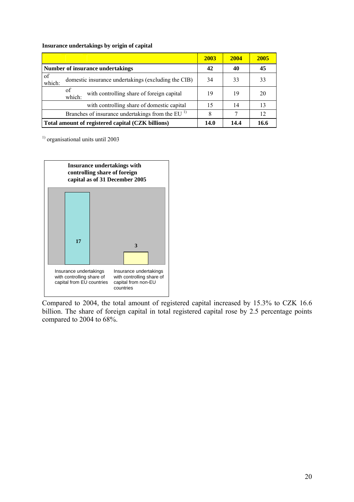#### **Insurance undertakings by origin of capital**

|              |                                                           | 2003 | 2004 | 2005 |
|--------------|-----------------------------------------------------------|------|------|------|
|              | <b>Number of insurance undertakings</b>                   | 42   | 40   | 45   |
| of<br>which: | domestic insurance undertakings (excluding the CIB)       | 34   | 33   | 33   |
|              | of<br>with controlling share of foreign capital<br>which: | 19   | 19   | 20   |
|              | with controlling share of domestic capital                | 15   | 14   | 13   |
|              | Branches of insurance undertakings from the EU $1$        | 8    |      | 12   |
|              | Total amount of registered capital (CZK billions)         | 14.0 | 14.4 | 16.6 |

<sup>1)</sup> organisational units until 2003



Compared to 2004, the total amount of registered capital increased by 15.3% to CZK 16.6 billion. The share of foreign capital in total registered capital rose by 2.5 percentage points compared to 2004 to 68%.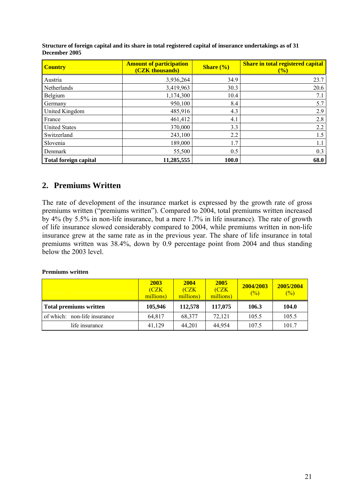| <b>Country</b>        | <b>Amount of participation</b><br>(CZK thousands) | <b>Share</b> $\left(\frac{0}{0}\right)$ | <b>Share in total registered capital</b><br>$($ %) |
|-----------------------|---------------------------------------------------|-----------------------------------------|----------------------------------------------------|
| Austria               | 3,936,264                                         | 34.9                                    | 23.7                                               |
| Netherlands           | 3,419,963                                         | 30.3                                    | 20.6                                               |
| Belgium               | 1,174,300                                         | 10.4                                    | 7.1                                                |
| Germany               | 950,100                                           | 8.4                                     | 5.7                                                |
| United Kingdom        | 485,916                                           | 4.3                                     | 2.9                                                |
| France                | 461,412                                           | 4.1                                     | 2.8                                                |
| <b>United States</b>  | 370,000                                           | 3.3                                     | 2.2                                                |
| Switzerland           | 243,100                                           | 2.2                                     | 1.5                                                |
| Slovenia              | 189,000                                           | 1.7                                     | 1.1                                                |
| Denmark               | 55,500                                            | 0.5                                     | 0.3                                                |
| Total foreign capital | 11,285,555                                        | <b>100.0</b>                            | 68.0                                               |

**Structure of foreign capital and its share in total registered capital of insurance undertakings as of 31 December 2005** 

# **2. Premiums Written**

The rate of development of the insurance market is expressed by the growth rate of gross premiums written ("premiums written"). Compared to 2004, total premiums written increased by 4% (by 5.5% in non-life insurance, but a mere 1.7% in life insurance). The rate of growth of life insurance slowed considerably compared to 2004, while premiums written in non-life insurance grew at the same rate as in the previous year. The share of life insurance in total premiums written was 38.4%, down by 0.9 percentage point from 2004 and thus standing below the 2003 level.

#### **Premiums written**

|                               | 2003<br>(CZK<br>millions) | 2004<br><b>CZK</b><br>millions) | 2005<br>(CZK<br>millions) | 2004/2003<br>$\frac{6}{2}$ | 2005/2004<br>$(\%)$ |
|-------------------------------|---------------------------|---------------------------------|---------------------------|----------------------------|---------------------|
| <b>Total premiums written</b> | 105,946                   | 112,578                         | 117,075                   | 106.3                      | 104.0               |
| of which: non-life insurance  | 64.817                    | 68.377                          | 72.121                    | 105.5                      | 105.5               |
| life insurance                | 41.129                    | 44,201                          | 44.954                    | 107.5                      | 101.7               |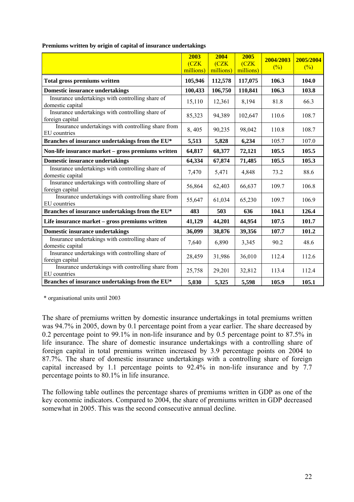|                                                                      | 2003<br>(CZK)<br>millions) | 2004<br>(CZK)<br>millions) | 2005<br>(CZK)<br>millions) | 2004/2003<br>$(\%)$ | 2005/2004<br>(%) |
|----------------------------------------------------------------------|----------------------------|----------------------------|----------------------------|---------------------|------------------|
| <b>Total gross premiums written</b>                                  | 105,946                    | 112,578                    | 117,075                    | 106.3               | 104.0            |
| <b>Domestic insurance undertakings</b>                               | 100,433                    | 106,750                    | 110,841                    | 106.3               | 103.8            |
| Insurance undertakings with controlling share of<br>domestic capital | 15,110                     | 12,361                     | 8,194                      | 81.8                | 66.3             |
| Insurance undertakings with controlling share of<br>foreign capital  | 85,323                     | 94,389                     | 102,647                    | 110.6               | 108.7            |
| Insurance undertakings with controlling share from<br>EU countries   | 8,405                      | 90,235                     | 98,042                     | 110.8               | 108.7            |
| Branches of insurance undertakings from the EU*                      | 5,513                      | 5,828                      | 6,234                      | 105.7               | 107.0            |
| Non-life insurance market - gross premiums written                   | 64,817                     | 68,377                     | 72,121                     | 105.5               | 105.5            |
| <b>Domestic insurance undertakings</b>                               | 64,334                     | 67,874                     | 71,485                     | 105.5               | 105.3            |
| Insurance undertakings with controlling share of<br>domestic capital | 7,470                      | 5,471                      | 4,848                      | 73.2                | 88.6             |
| Insurance undertakings with controlling share of<br>foreign capital  | 56,864                     | 62,403                     | 66,637                     | 109.7               | 106.8            |
| Insurance undertakings with controlling share from<br>EU countries   | 55,647                     | 61,034                     | 65,230                     | 109.7               | 106.9            |
| Branches of insurance undertakings from the EU*                      | 483                        | 503                        | 636                        | 104.1               | 126.4            |
| Life insurance market - gross premiums written                       | 41,129                     | 44,201                     | 44,954                     | 107.5               | 101.7            |
| <b>Domestic insurance undertakings</b>                               | 36,099                     | 38,876                     | 39,356                     | 107.7               | 101.2            |
| Insurance undertakings with controlling share of<br>domestic capital | 7,640                      | 6,890                      | 3,345                      | 90.2                | 48.6             |
| Insurance undertakings with controlling share of<br>foreign capital  | 28,459                     | 31,986                     | 36,010                     | 112.4               | 112.6            |
| Insurance undertakings with controlling share from<br>EU countries   | 25,758                     | 29,201                     | 32,812                     | 113.4               | 112.4            |
| Branches of insurance undertakings from the EU*                      | 5,030                      | 5,325                      | 5,598                      | 105.9               | 105.1            |

**Premiums written by origin of capital of insurance undertakings** 

\* organisational units until 2003

The share of premiums written by domestic insurance undertakings in total premiums written was 94.7% in 2005, down by 0.1 percentage point from a year earlier. The share decreased by 0.2 percentage point to 99.1% in non-life insurance and by 0.5 percentage point to 87.5% in life insurance. The share of domestic insurance undertakings with a controlling share of foreign capital in total premiums written increased by 3.9 percentage points on 2004 to 87.7%. The share of domestic insurance undertakings with a controlling share of foreign capital increased by 1.1 percentage points to 92.4% in non-life insurance and by 7.7 percentage points to 80.1% in life insurance.

The following table outlines the percentage shares of premiums written in GDP as one of the key economic indicators. Compared to 2004, the share of premiums written in GDP decreased somewhat in 2005. This was the second consecutive annual decline.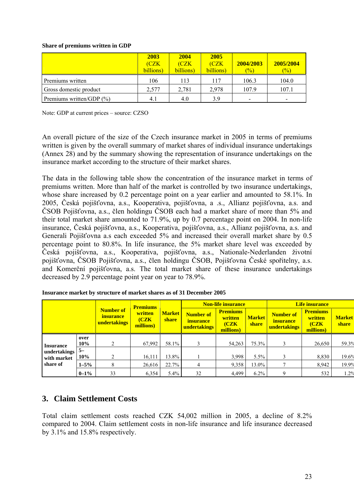#### **Share of premiums written in GDP**

|                              | 2003<br>(CZK)<br>billions) | 2004<br>(CZK<br>billions) | 2005<br>(CZK)<br>billions) | 2004/2003<br>$\frac{1}{2}$ | 2005/2004<br>$\frac{1}{2}$ |
|------------------------------|----------------------------|---------------------------|----------------------------|----------------------------|----------------------------|
| Premiums written             | 106                        | 113                       | 117                        | 106.3                      | 104.0                      |
| Gross domestic product       | 2.577                      | 2.781                     | 2.978                      | 107.9                      | 107.1                      |
| Premiums written/GDP $(\% )$ | 4.1                        | 4.0                       | 3.9                        |                            |                            |

Note: GDP at current prices – source: CZSO

An overall picture of the size of the Czech insurance market in 2005 in terms of premiums written is given by the overall summary of market shares of individual insurance undertakings (Annex 28) and by the summary showing the representation of insurance undertakings on the insurance market according to the structure of their market shares.

The data in the following table show the concentration of the insurance market in terms of premiums written. More than half of the market is controlled by two insurance undertakings, whose share increased by 0.2 percentage point on a year earlier and amounted to 58.1%. In 2005, Česká pojišťovna, a.s., Kooperativa, pojišťovna, a .s., Allianz pojišťovna, a.s. and ČSOB Pojišťovna, a.s., člen holdingu ČSOB each had a market share of more than 5% and their total market share amounted to 71.9%, up by 0.7 percentage point on 2004. In non-life insurance, Česká pojišťovna, a.s., Kooperativa, pojišťovna, a.s., Allianz pojišťovna, a.s. and Generali Pojišťovna a.s each exceeded 5% and increased their overall market share by 0.5 percentage point to 80.8%. In life insurance, the 5% market share level was exceeded by Česká pojišťovna, a.s., Kooperativa, pojišťovna, a.s., Nationale-Nederlanden životní pojišťovna, ČSOB Pojišťovna, a.s., člen holdingu ČSOB, Pojišťovna České spořitelny, a.s. and Komerční pojišťovna, a.s. The total market share of these insurance undertakings decreased by 2.9 percentage point year on year to 78.9%.

|                                                 | <b>Premiums</b> |                                                      |                                                                                                                 | <b>Non-life insurance</b> |                                                  | Life insurance         |                                                      |                                                  |                        |       |
|-------------------------------------------------|-----------------|------------------------------------------------------|-----------------------------------------------------------------------------------------------------------------|---------------------------|--------------------------------------------------|------------------------|------------------------------------------------------|--------------------------------------------------|------------------------|-------|
|                                                 |                 | <b>Number of</b><br><i>insurance</i><br>undertakings | written<br><b>Market</b><br>Number of<br>(CZK)<br><b>share</b><br><i>insurance</i><br>millions)<br>undertakings |                           | <b>Premiums</b><br>written<br>(CZK)<br>millions) | <b>Market</b><br>share | <b>Number of</b><br><i>insurance</i><br>undertakings | <b>Premiums</b><br>written<br>(CZK)<br>millions) | <b>Market</b><br>share |       |
|                                                 | over<br>10%     | $\mathcal{D}$                                        | 67.992                                                                                                          | 58.1%                     |                                                  | 54,263                 | 75.3%                                                |                                                  | 26,650                 | 59.3% |
| <b>Insurance</b><br>undertakings<br>with market | $5-$<br>10%     | C                                                    | 16,111                                                                                                          | 13.8%                     |                                                  | 3,998                  | $5.5\%$                                              |                                                  | 8,830                  | 19.6% |
| share of                                        | $1 - 5\%$       | 8                                                    | 26,616                                                                                                          | 22.7%                     | 4                                                | 9,358                  | 13.0%                                                |                                                  | 8,942                  | 19.9% |
|                                                 | $0 - 1\%$       | 33                                                   | 6,354                                                                                                           | $5.4\%$                   | 32                                               | 4.499                  | $6.2\%$                                              | Q                                                | 532                    | .2%   |

**Insurance market by structure of market shares as of 31 December 2005** 

# **3. Claim Settlement Costs**

Total claim settlement costs reached CZK 54,002 million in 2005, a decline of 8.2% compared to 2004. Claim settlement costs in non-life insurance and life insurance decreased by 3.1% and 15.8% respectively.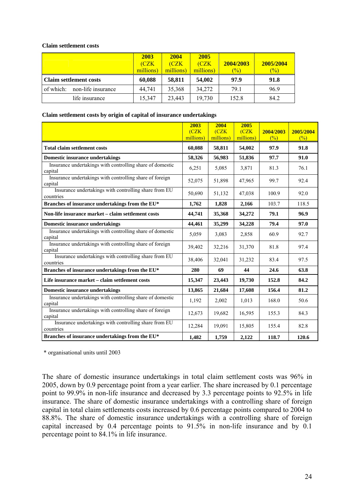#### **Claim settlement costs**

|                                 | 2003<br>(CZK)<br>millions) | 2004<br>(CZK<br>millions) | 2005<br>(CZK)<br>millions) | 2004/2003<br>$\frac{1}{2}$ | 2005/2004<br>$\frac{1}{2}$ |
|---------------------------------|----------------------------|---------------------------|----------------------------|----------------------------|----------------------------|
| <b>Claim settlement costs</b>   | 60,088                     | 58,811                    | 54,002                     | 97.9                       | 91.8                       |
| non-life insurance<br>of which: | 44.741                     | 35,368                    | 34,272                     | 79.1                       | 96.9                       |
| life insurance                  | 15,347                     | 23.443                    | 19,730                     | 152.8                      | 84.2                       |

#### **Claim settlement costs by origin of capital of insurance undertakings**

|                                                                      | 2003<br>CZK<br>millions) | 2004<br>(CZK)<br>millions) | 2005<br>CZK<br>millions) | 2004/2003<br>(%) | 2005/2004<br>(%) |
|----------------------------------------------------------------------|--------------------------|----------------------------|--------------------------|------------------|------------------|
| <b>Total claim settlement costs</b>                                  | 60,088                   | 58,811                     | 54,002                   | 97.9             | 91.8             |
| <b>Domestic insurance undertakings</b>                               | 58,326                   | 56,983                     | 51,836                   | 97.7             | 91.0             |
| Insurance undertakings with controlling share of domestic<br>capital | 6,251                    | 5,085                      | 3,871                    | 81.3             | 76.1             |
| Insurance undertakings with controlling share of foreign<br>capital  | 52,075                   | 51,898                     | 47,965                   | 99.7             | 92.4             |
| Insurance undertakings with controlling share from EU<br>countries   | 50,690                   | 51,132                     | 47,038                   | 100.9            | 92.0             |
| Branches of insurance undertakings from the EU*                      | 1,762                    | 1,828                      | 2,166                    | 103.7            | 118.5            |
| Non-life insurance market - claim settlement costs                   | 44,741                   | 35,368                     | 34,272                   | 79.1             | 96.9             |
| <b>Domestic insurance undertakings</b>                               | 44,461                   | 35,299                     | 34,228                   | 79.4             | 97.0             |
| Insurance undertakings with controlling share of domestic<br>capital | 5,059                    | 3,083                      | 2,858                    | 60.9             | 92.7             |
| Insurance undertakings with controlling share of foreign<br>capital  | 39,402                   | 32,216                     | 31,370                   | 81.8             | 97.4             |
| Insurance undertakings with controlling share from EU<br>countries   | 38,406                   | 32,041                     | 31,232                   | 83.4             | 97.5             |
| Branches of insurance undertakings from the EU*                      | 280                      | 69                         | 44                       | 24.6             | 63.8             |
| Life insurance market – claim settlement costs                       | 15,347                   | 23,443                     | 19,730                   | 152.8            | 84.2             |
| <b>Domestic insurance undertakings</b>                               | 13,865                   | 21,684                     | 17,608                   | 156.4            | 81.2             |
| Insurance undertakings with controlling share of domestic<br>capital | 1,192                    | 2,002                      | 1,013                    | 168.0            | 50.6             |
| Insurance undertakings with controlling share of foreign<br>capital  | 12,673                   | 19,682                     | 16,595                   | 155.3            | 84.3             |
| Insurance undertakings with controlling share from EU<br>countries   | 12,284                   | 19,091                     | 15,805                   | 155.4            | 82.8             |
| Branches of insurance undertakings from the EU*                      | 1,482                    | 1,759                      | 2,122                    | 118.7            | 120.6            |

\* organisational units until 2003

The share of domestic insurance undertakings in total claim settlement costs was 96% in 2005, down by 0.9 percentage point from a year earlier. The share increased by 0.1 percentage point to 99.9% in non-life insurance and decreased by 3.3 percentage points to 92.5% in life insurance. The share of domestic insurance undertakings with a controlling share of foreign capital in total claim settlements costs increased by 0.6 percentage points compared to 2004 to 88.8%. The share of domestic insurance undertakings with a controlling share of foreign capital increased by 0.4 percentage points to 91.5% in non-life insurance and by 0.1 percentage point to 84.1% in life insurance.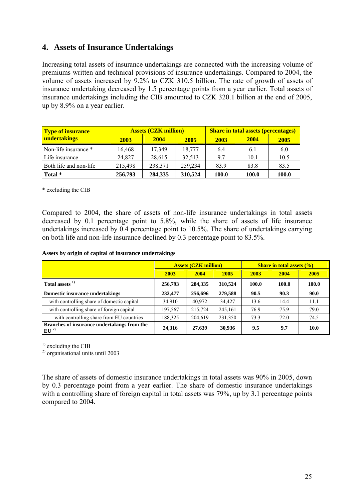# **4. Assets of Insurance Undertakings**

Increasing total assets of insurance undertakings are connected with the increasing volume of premiums written and technical provisions of insurance undertakings. Compared to 2004, the volume of assets increased by 9.2% to CZK 310.5 billion. The rate of growth of assets of insurance undertaking decreased by 1.5 percentage points from a year earlier. Total assets of insurance undertakings including the CIB amounted to CZK 320.1 billion at the end of 2005, up by 8.9% on a year earlier.

| <b>Type of insurance</b> |         | <b>Assets (CZK million)</b> |         | <b>Share in total assets (percentages)</b> |              |       |  |
|--------------------------|---------|-----------------------------|---------|--------------------------------------------|--------------|-------|--|
| undertakings             | 2003    | <b>2004</b>                 | 2005    | 2003                                       | <b>2004</b>  | 2005  |  |
| Non-life insurance *     | 16.468  | 17.349                      | 18,777  | 6.4                                        | 6.1          | 6.0   |  |
| Life insurance           | 24.827  | 28,615                      | 32.513  | 9.7                                        | 10.1         | 10.5  |  |
| Both life and non-life   | 215,498 | 238,371                     | 259,234 | 83.9                                       | 83.8         | 83.5  |  |
| Total *                  | 256,793 | 284,335                     | 310,524 | 100.0                                      | <b>100.0</b> | 100.0 |  |

\* excluding the CIB

Compared to 2004, the share of assets of non-life insurance undertakings in total assets decreased by 0.1 percentage point to 5.8%, while the share of assets of life insurance undertakings increased by 0.4 percentage point to 10.5%. The share of undertakings carrying on both life and non-life insurance declined by 0.3 percentage point to 83.5%.

#### **Assets by origin of capital of insurance undertakings**

|                                                          | <b>Assets (CZK million)</b> |         |         | <b>Share in total assets <math>(\% )</math></b> |       |       |
|----------------------------------------------------------|-----------------------------|---------|---------|-------------------------------------------------|-------|-------|
|                                                          | 2003                        | 2004    | 2005    | 2003                                            | 2004  | 2005  |
| Total assets <sup>1)</sup>                               | 256,793                     | 284,335 | 310,524 | 100.0                                           | 100.0 | 100.0 |
| <b>Domestic insurance undertakings</b>                   | 232,477                     | 256,696 | 279,588 | 90.5                                            | 90.3  | 90.0  |
| with controlling share of domestic capital               | 34,910                      | 40,972  | 34,427  | 13.6                                            | 14.4  | 11.1  |
| with controlling share of foreign capital                | 197,567                     | 215.724 | 245,161 | 76.9                                            | 75.9  | 79.0  |
| with controlling share from EU countries                 | 188,325                     | 204.619 | 231,350 | 73.3                                            | 72.0  | 74.5  |
| Branches of insurance undertakings from the<br>$EU^{2)}$ | 24,316                      | 27,639  | 30,936  | 9.5                                             | 9.7   | 10.0  |

 $<sup>1)</sup>$  excluding the CIB</sup>

2) organisational units until 2003

The share of assets of domestic insurance undertakings in total assets was 90% in 2005, down by 0.3 percentage point from a year earlier. The share of domestic insurance undertakings with a controlling share of foreign capital in total assets was 79%, up by 3.1 percentage points compared to 2004.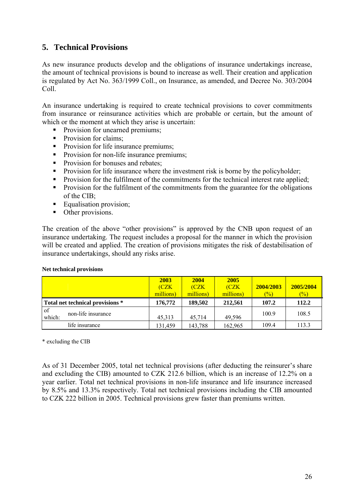# **5. Technical Provisions**

As new insurance products develop and the obligations of insurance undertakings increase, the amount of technical provisions is bound to increase as well. Their creation and application is regulated by Act No. 363/1999 Coll., on Insurance, as amended, and Decree No. 303/2004 Coll.

An insurance undertaking is required to create technical provisions to cover commitments from insurance or reinsurance activities which are probable or certain, but the amount of which or the moment at which they arise is uncertain:

- Provision for unearned premiums:
- Provision for claims;
- Provision for life insurance premiums;
- Provision for non-life insurance premiums:
- Provision for bonuses and rebates:
- **Provision for life insurance where the investment risk is borne by the policyholder;**
- **Provision for the fulfilment of the commitments for the technical interest rate applied;**
- **Provision for the fulfilment of the commitments from the guarantee for the obligations** of the CIB;
- **Equalisation provision;**
- Other provisions.

The creation of the above "other provisions" is approved by the CNB upon request of an insurance undertaking. The request includes a proposal for the manner in which the provision will be created and applied. The creation of provisions mitigates the risk of destabilisation of insurance undertakings, should any risks arise.

|                                               | 2003<br>(CZK)<br>millions) | 2004<br>(CZK)<br>millions) | 2005<br>(CZK<br>millions) | 2004/2003<br>$\binom{0}{0}$ | 2005/2004<br>$\frac{1}{2}$ |
|-----------------------------------------------|----------------------------|----------------------------|---------------------------|-----------------------------|----------------------------|
| Total net technical provisions *              | 176,772                    | 189,502                    | 212,561                   | 107.2                       | 112.2                      |
| <sub>of</sub><br>non-life insurance<br>which: | 45,313                     | 45.714                     | 49.596                    | 100.9                       | 108.5                      |
| life insurance                                | 131,459                    | 143,788                    | 162,965                   | 109.4                       | 113.3                      |

#### **Net technical provisions**

\* excluding the CIB

As of 31 December 2005, total net technical provisions (after deducting the reinsurer's share and excluding the CIB) amounted to CZK 212.6 billion, which is an increase of 12.2% on a year earlier. Total net technical provisions in non-life insurance and life insurance increased by 8.5% and 13.3% respectively. Total net technical provisions including the CIB amounted to CZK 222 billion in 2005. Technical provisions grew faster than premiums written.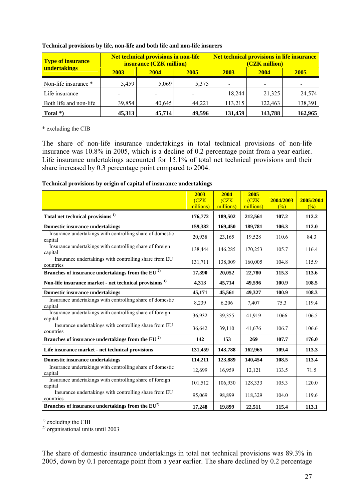| <b>Type of insurance</b> |        | <b>Net technical provisions in non-life</b><br>insurance (CZK million) |        | <b>Net technical provisions in life insurance</b><br>(CZK million) |             |         |  |
|--------------------------|--------|------------------------------------------------------------------------|--------|--------------------------------------------------------------------|-------------|---------|--|
| undertakings             | 2003   | 2004                                                                   | 2005   | 2003                                                               | <b>2004</b> | 2005    |  |
| Non-life insurance *     | 5,459  | 5,069                                                                  | 5,375  | $\overline{\phantom{a}}$                                           |             |         |  |
| Life insurance           |        |                                                                        |        | 18,244                                                             | 21,325      | 24,574  |  |
| Both life and non-life   | 39,854 | 40,645                                                                 | 44,221 | 113,215                                                            | 122,463     | 138,391 |  |
| Total $*)$               | 45,313 | 45,714                                                                 | 49,596 | 131,459                                                            | 143,788     | 162,965 |  |

#### **Technical provisions by life, non-life and both life and non-life insurers**

\* excluding the CIB

The share of non-life insurance undertakings in total technical provisions of non-life insurance was 10.8% in 2005, which is a decline of 0.2 percentage point from a year earlier. Life insurance undertakings accounted for 15.1% of total net technical provisions and their share increased by 0.3 percentage point compared to 2004.

#### **Technical provisions by origin of capital of insurance undertakings**

|                                                                      | 2003<br>(CZK)<br>millions) | 2004<br>(CZK)<br>millions) | 2005<br>(CZK)<br>millions) | 2004/2003<br>(%) | 2005/2004<br>(%) |
|----------------------------------------------------------------------|----------------------------|----------------------------|----------------------------|------------------|------------------|
| Total net technical provisions <sup>1)</sup>                         | 176,772                    | 189,502                    | 212,561                    | 107.2            | 112.2            |
| <b>Domestic insurance undertakings</b>                               | 159,382                    | 169,450                    | 189,781                    | 106.3            | 112.0            |
| Insurance undertakings with controlling share of domestic<br>capital | 20,938                     | 23,165                     | 19,528                     | 110.6            | 84.3             |
| Insurance undertakings with controlling share of foreign<br>capital  | 138,444                    | 146,285                    | 170,253                    | 105.7            | 116.4            |
| Insurance undertakings with controlling share from EU<br>countries   | 131,711                    | 138,009                    | 160,005                    | 104.8            | 115.9            |
| Branches of insurance undertakings from the EU $^{2)}$               | 17,390                     | 20,052                     | 22,780                     | 115.3            | 113.6            |
| Non-life insurance market - net technical provisions <sup>1)</sup>   | 4,313                      | 45,714                     | 49,596                     | 100.9            | 108.5            |
| <b>Domestic insurance undertakings</b>                               | 45,171                     | 45,561                     | 49,327                     | 100.9            | 108.3            |
| Insurance undertakings with controlling share of domestic<br>capital | 8,239                      | 6,206                      | 7,407                      | 75.3             | 119.4            |
| Insurance undertakings with controlling share of foreign<br>capital  | 36,932                     | 39,355                     | 41,919                     | 1066             | 106.5            |
| Insurance undertakings with controlling share from EU<br>countries   | 36,642                     | 39,110                     | 41,676                     | 106.7            | 106.6            |
| Branches of insurance undertakings from the EU <sup>2)</sup>         | 142                        | 153                        | 269                        | 107.7            | 176.0            |
| Life insurance market - net technical provisions                     | 131,459                    | 143,788                    | 162,965                    | 109.4            | 113.3            |
| <b>Domestic insurance undertakings</b>                               | 114,211                    | 123,889                    | 140,454                    | 108.5            | 113.4            |
| Insurance undertakings with controlling share of domestic<br>capital | 12,699                     | 16,959                     | 12,121                     | 133.5            | 71.5             |
| Insurance undertakings with controlling share of foreign<br>capital  | 101,512                    | 106,930                    | 128,333                    | 105.3            | 120.0            |
| Insurance undertakings with controlling share from EU<br>countries   | 95,069                     | 98,899                     | 118,329                    | 104.0            | 119.6            |
| Branches of insurance undertakings from the $EU^{2)}$                | 17,248                     | 19,899                     | 22,511                     | 115.4            | 113.1            |

 $<sup>1</sup>$  excluding the CIB</sup>

2) organisational units until 2003

The share of domestic insurance undertakings in total net technical provisions was 89.3% in 2005, down by 0.1 percentage point from a year earlier. The share declined by 0.2 percentage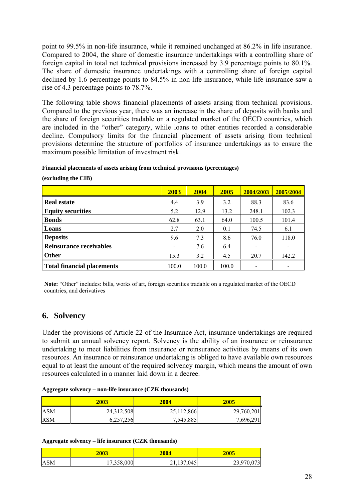point to 99.5% in non-life insurance, while it remained unchanged at 86.2% in life insurance. Compared to 2004, the share of domestic insurance undertakings with a controlling share of foreign capital in total net technical provisions increased by 3.9 percentage points to 80.1%. The share of domestic insurance undertakings with a controlling share of foreign capital declined by 1.6 percentage points to 84.5% in non-life insurance, while life insurance saw a rise of 4.3 percentage points to 78.7%.

The following table shows financial placements of assets arising from technical provisions. Compared to the previous year, there was an increase in the share of deposits with banks and the share of foreign securities tradable on a regulated market of the OECD countries, which are included in the "other" category, while loans to other entities recorded a considerable decline. Compulsory limits for the financial placement of assets arising from technical provisions determine the structure of portfolios of insurance undertakings as to ensure the maximum possible limitation of investment risk.

**Financial placements of assets arising from technical provisions (percentages)** 

|                                | <b>2003</b> | 2004  | <b>2005</b> | 2004/2003                | 2005/2004 |
|--------------------------------|-------------|-------|-------------|--------------------------|-----------|
| <b>Real estate</b>             | 4.4         | 3.9   | 3.2         | 88.3                     | 83.6      |
| <b>Equity securities</b>       | 5.2         | 12.9  | 13.2        | 248.1                    | 102.3     |
| <b>Bonds</b>                   | 62.8        | 63.1  | 64.0        | 100.5                    | 101.4     |
| Loans                          | 2.7         | 2.0   | 0.1         | 74.5                     | 6.1       |
| <b>Deposits</b>                | 9.6         | 7.3   | 8.6         | 76.0                     | 118.0     |
| <b>Reinsurance receivables</b> |             | 7.6   | 6.4         | $\overline{\phantom{0}}$ |           |
| <b>Other</b>                   | 15.3        | 3.2   | 4.5         | 20.7                     | 142.2     |
| Total financial placements     | 100.0       | 100.0 | 100.0       |                          |           |

**(excluding the CIB)** 

**Note:** "Other" includes: bills, works of art, foreign securities tradable on a regulated market of the OECD countries, and derivatives

# **6. Solvency**

Under the provisions of Article 22 of the Insurance Act, insurance undertakings are required to submit an annual solvency report. Solvency is the ability of an insurance or reinsurance undertaking to meet liabilities from insurance or reinsurance activities by means of its own resources. An insurance or reinsurance undertaking is obliged to have available own resources equal to at least the amount of the required solvency margin, which means the amount of own resources calculated in a manner laid down in a decree.

| Aggregate solvency - non-life insurance (CZK thousands) |  |  |  |
|---------------------------------------------------------|--|--|--|
|---------------------------------------------------------|--|--|--|

|            | <b>2003</b> | <b>2004</b> | 2005       |
|------------|-------------|-------------|------------|
| ASM        | 24,312,508  | 25,112,866  | 29,760,201 |
| <b>RSM</b> | 6,257,256   | 7,545,885   | 7,696,291  |

### **Aggregate solvency – life insurance (CZK thousands)**

|            | 2003       | 2004 | 2005       |
|------------|------------|------|------------|
| <b>ASM</b> | 250<br>nnn | .045 | 23.970.073 |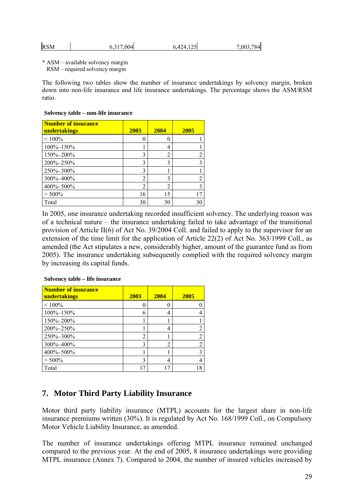| <b>RSM</b><br>6,317,004 | 6.424.125 | 7,003,784 |
|-------------------------|-----------|-----------|
|-------------------------|-----------|-----------|

\* ASM – available solvency margin

RSM – required solvency margin

The following two tables show the number of insurance undertakings by solvency margin, broken down into non-life insurance and life insurance undertakings. The percentage shows the ASM/RSM ratio.

#### **Solvency table – non-life insurance**

| <b>Number of insurance</b> |                |                |      |
|----------------------------|----------------|----------------|------|
| undertakings               | 2003           | 2004           | 2005 |
| $< 100\%$                  |                | 0              |      |
| 100%-150%                  |                | 4              |      |
| 150%-200%                  | 3              | $\overline{c}$ |      |
| 200%-250%                  | 3              | 3              |      |
| 250%-300%                  | 3              |                |      |
| 300%-400%                  | $\overline{c}$ | 3              |      |
| 400%-500%                  | 2              | $\overline{2}$ | 3    |
| $> 500\%$                  | 16             | 15             |      |
| Total                      | 30             | 30             | 30   |

In 2005, one insurance undertaking recorded insufficient solvency. The underlying reason was of a technical nature – the insurance undertaking failed to take advantage of the transitional provision of Article II(6) of Act No. 39/2004 Coll. and failed to apply to the supervisor for an extension of the time limit for the application of Article 22(2) of Act No. 363/1999 Coll., as amended (the Act stipulates a new, considerably higher, amount of the guarantee fund as from 2005). The insurance undertaking subsequently complied with the required solvency margin by increasing its capital funds.

| <b>Number of insurance</b><br>undertakings | 2003           | <b>2004</b>    | 2005 |
|--------------------------------------------|----------------|----------------|------|
| $< 100\%$                                  |                |                |      |
| 100%-150%                                  | 6              | 4              |      |
| 150%-200%                                  |                |                |      |
| 200%-250%                                  |                | 4              |      |
| 250%-300%                                  | $\overline{2}$ |                |      |
| 300%-400%                                  | 3              | $\overline{c}$ |      |
| 400%-500%                                  |                |                |      |
| $> 500\%$                                  | 3              | 4              |      |
| Total                                      |                |                |      |

### **Solvency table – life insurance**

# **7. Motor Third Party Liability Insurance**

Motor third party liability insurance (MTPL) accounts for the largest share in non-life insurance premiums written (30%). It is regulated by Act No. 168/1999 Coll., on Compulsory Motor Vehicle Liability Insurance, as amended.

The number of insurance undertakings offering MTPL insurance remained unchanged compared to the previous year. At the end of 2005, 8 insurance undertakings were providing MTPL insurance (Annex 7). Compared to 2004, the number of insured vehicles increased by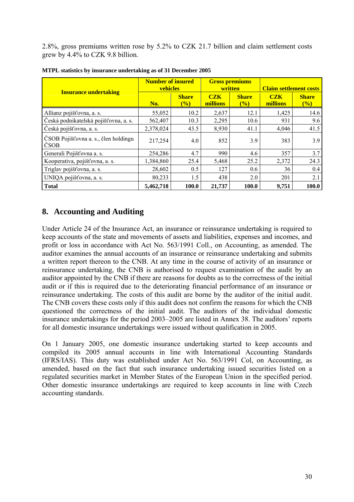2.8%, gross premiums written rose by 5.2% to CZK 21.7 billion and claim settlement costs grew by 4.4% to CZK 9.8 billion.

|                                              | <b>Number of insured</b><br>vehicles |                        | <b>Gross premiums</b><br>written |                     | <b>Claim settlement costs</b> |                     |
|----------------------------------------------|--------------------------------------|------------------------|----------------------------------|---------------------|-------------------------------|---------------------|
| <b>Insurance undertaking</b>                 | No.                                  | <b>Share</b><br>$($ %) | CZK<br>millions                  | <b>Share</b><br>(%) | CZK<br>millions               | <b>Share</b><br>(%) |
| Allianz pojišťovna, a. s.                    | 55,052                               | 10.2                   | 2,637                            | 12.1                | 1,425                         | 14.6                |
| Česká podnikatelská pojišťovna, a. s.        | 562,407                              | 10.3                   | 2,295                            | 10.6                | 931                           | 9.6                 |
| Česká pojišťovna, a. s.                      | 2,378,024                            | 43.5                   | 8,930                            | 41.1                | 4,046                         | 41.5                |
| ČSOB Pojišťovna a. s., člen holdingu<br>ČSOB | 217,254                              | 4.0                    | 852                              | 3.9                 | 383                           | 3.9                 |
| Generali Pojišťovna a. s.                    | 254,286                              | 4.7                    | 990                              | 4.6                 | 357                           | 3.7                 |
| Kooperativa, pojišťovna, a. s.               | 1,384,860                            | 25.4                   | 5,468                            | 25.2                | 2,372                         | 24.3                |
| Triglav pojišťovna, a. s.                    | 28,602                               | 0.5                    | 127                              | 0.6                 | 36                            | 0.4                 |
| UNIQA pojišťovna, a. s.                      | 80,233                               | 1.5                    | 438                              | 2.0                 | 201                           | 2.1                 |
| <b>Total</b>                                 | 5,462,718                            | 100.0                  | 21,737                           | 100.0               | 9,751                         | 100.0               |

**MTPL statistics by insurance undertaking as of 31 December 2005** 

# **8. Accounting and Auditing**

Under Article 24 of the Insurance Act, an insurance or reinsurance undertaking is required to keep accounts of the state and movements of assets and liabilities, expenses and incomes, and profit or loss in accordance with Act No. 563/1991 Coll., on Accounting, as amended. The auditor examines the annual accounts of an insurance or reinsurance undertaking and submits a written report thereon to the CNB. At any time in the course of activity of an insurance or reinsurance undertaking, the CNB is authorised to request examination of the audit by an auditor appointed by the CNB if there are reasons for doubts as to the correctness of the initial audit or if this is required due to the deteriorating financial performance of an insurance or reinsurance undertaking. The costs of this audit are borne by the auditor of the initial audit. The CNB covers these costs only if this audit does not confirm the reasons for which the CNB questioned the correctness of the initial audit. The auditors of the individual domestic insurance undertakings for the period 2003–2005 are listed in Annex 38. The auditors' reports for all domestic insurance undertakings were issued without qualification in 2005.

On 1 January 2005, one domestic insurance undertaking started to keep accounts and compiled its 2005 annual accounts in line with International Accounting Standards (IFRS/IAS). This duty was established under Act No. 563/1991 Col, on Accounting, as amended, based on the fact that such insurance undertaking issued securities listed on a regulated securities market in Member States of the European Union in the specified period. Other domestic insurance undertakings are required to keep accounts in line with Czech accounting standards.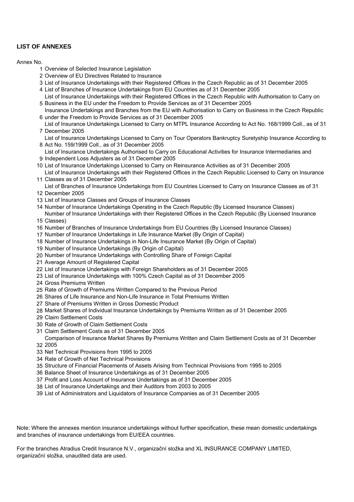### **LIST OF ANNEXES**

#### Annex No.

- Overview of Selected Insurance Legislation
- Overview of EU Directives Related to Insurance
- List of Insurance Undertakings with their Registered Offices in the Czech Republic as of 31 December 2005
- List of Branches of Insurance Undertakings from EU Countries as of 31 December 2005
- Business in the EU under the Freedom to Provide Services as of 31 December 2005 List of Insurance Undertakings with their Registered Offices in the Czech Republic with Authorisation to Carry on
- under the Freedom to Provide Services as of 31 December 2005 Insurance Undertakings and Branches from the EU with Authorisation to Carry on Business in the Czech Republic
- December 2005 List of Insurance Undertakings Licensed to Carry on MTPL Insurance According to Act No. 168/1999 Coll., as of 31
- Act No. 159/1999 Coll., as of 31 December 2005 List of Insurance Undertakings Licensed to Carry on Tour Operators Bankruptcy Suretyship Insurance According to
- Independent Loss Adjusters as of 31 December 2005 List of Insurance Undertakings Authorised to Carry on Educational Activities for Insurance Intermediaries and
- List of Insurance Undertakings Licensed to Carry on Reinsurance Activities as of 31 December 2005
- Classes as of 31 December 2005 List of Insurance Undertakings with their Registered Offices in the Czech Republic Licensed to Carry on Insurance
- List of Branches of Insurance Undertakings from EU Countries Licensed to Carry on Insurance Classes as of 31
- December 2005
- List of Insurance Classes and Groups of Insurance Classes
- Number of Insurance Undertakings Operating in the Czech Republic (By Licensed Insurance Classes) Number of Insurance Undertakings with their Registered Offices in the Czech Republic (By Licensed Insurance
- Classes)
- Number of Branches of Insurance Undertakings from EU Countries (By Licensed Insurance Classes)
- Number of Insurance Undertakings in Life Insurance Market (By Origin of Capital)
- Number of Insurance Undertakings in Non-Life Insurance Market (By Origin of Capital)
- Number of Insurance Undertakings (By Origin of Capital)
- Number of Insurance Undertakings with Controlling Share of Foreign Capital
- Average Amount of Registered Capital
- List of Insurance Undertakings with Foreign Shareholders as of 31 December 2005
- List of Insurance Undertakings with 100% Czech Capital as of 31 December 2005
- Gross Premiums Written
- Rate of Growth of Premiums Written Compared to the Previous Period
- Shares of Life Insurance and Non-Life Insurance in Total Premiums Written
- Share of Premiums Written in Gross Domestic Product
- Market Shares of Individual Insurance Undertakings by Premiums Written as of 31 December 2005
- Claim Settlement Costs
- Rate of Growth of Claim Settlement Costs
- Claim Settlement Costs as of 31 December 2005
- 2005 Comparison of Insurance Market Shares By Premiums Written and Claim Settlement Costs as of 31 December
- Net Technical Provisions from 1995 to 2005
- Rate of Growth of Net Technical Provisions
- Structure of Financial Placements of Assets Arising from Technical Provisions from 1995 to 2005
- Balance Sheet of Insurance Undertakings as of 31 December 2005
- Profit and Loss Account of Insurance Undertakings as of 31 December 2005
- List of Insurance Undertakings and their Auditors from 2003 to 2005
- List of Administrators and Liquidators of Insurance Companies as of 31 December 2005

Note: Where the annexes mention insurance undertakings without further specification, these mean domestic undertakings and branches of insurance undertakings from EU/EEA countries.

For the branches Atradius Credit Insurance N.V., organizační složka and XL INSURANCE COMPANY LIMITED, organizační složka, unaudited data are used.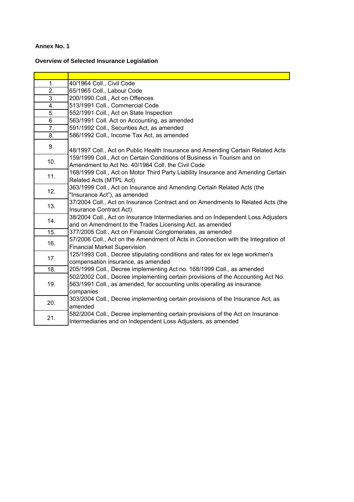## **Overview of Selected Insurance Legislation**

| 1.               | 40/1964 Coll., Civil Code                                                                                                                                                |
|------------------|--------------------------------------------------------------------------------------------------------------------------------------------------------------------------|
| $\overline{2}$ . | 65/1965 Coll., Labour Code                                                                                                                                               |
| 3.               | 200/1990 Coll., Act on Offences                                                                                                                                          |
| 4.               | 513/1991 Coll., Commercial Code                                                                                                                                          |
| 5.               | 552/1991 Coll., Act on State Inspection                                                                                                                                  |
| 6.               | 563/1991 Coll. Act on Accounting, as amended                                                                                                                             |
| 7.               | 591/1992 Coll., Securities Act, as amended                                                                                                                               |
| 8.               | 586/1992 Coll., Income Tax Act, as amended                                                                                                                               |
| 9.               | 48/1997 Coll., Act on Public Health Insurance and Amending Certain Related Acts                                                                                          |
| 10.              | 159/1999 Coll., Act on Certain Conditions of Business in Tourism and on<br>Amendment to Act No. 40/1964 Coll. the Civil Code                                             |
| 11.              | 168/1999 Coll., Act on Motor Third Party Liability Insurance and Amending Certain<br>Related Acts (MTPL Act)                                                             |
| 12.              | 363/1999 Coll., Act on Insurance and Amending Certain Related Acts (the<br>"Insurance Act"), as amended                                                                  |
| 13.              | 37/2004 Coll., Act on Insurance Contract and on Amendments to Related Acts (the<br>Insurance Contract Act)                                                               |
| 14.              | 38/2004 Coll., Act on Insurance Intermediaries and on Independent Loss Adjusters<br>and on Amendment to the Trades Licensing Act, as amended                             |
| 15.              | 377/2005 Coll., Act on Financial Conglomerates, as amended                                                                                                               |
| 16.              | 57/2006 Coll., Act on the Amendment of Acts in Connection with the Integration of<br><b>Financial Market Supervision</b>                                                 |
| 17.              | 125/1993 Coll., Decree stipulating conditions and rates for ex lege workmen's<br>compensation insurance, as amended                                                      |
| 18.              | 205/1999 Coll., Decree implementing Act no. 168/1999 Coll., as amended                                                                                                   |
| 19.              | 502/2002 Coll., Decree implementing certain provisions of the Accounting Act No.<br>563/1991 Coll., as amended, for accounting units operating as insurance<br>companies |
| 20.              | 303/2004 Coll., Decree implementing certain provisions of the Insurance Act, as<br>amended                                                                               |
| 21.              | 582/2004 Coll., Decree implementing certain provisions of the Act on Insurance<br>Intermediaries and on Independent Loss Adjusters, as amended                           |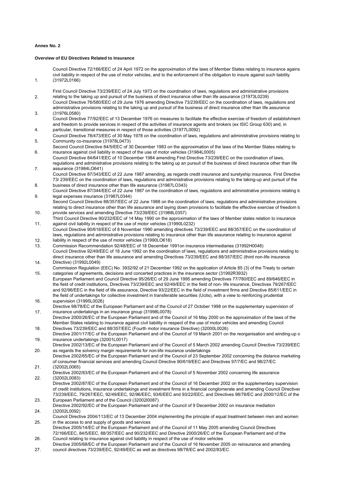1.

#### **Overview of EU Directives Related to Insurance**

Council Directive 72/166/EEC of 24 April 1972 on the approximation of the laws of Member States relating to insurance agains civil liability in respect of the use of motor vehicles, and to the enforcement of the obligation to insure against such liability (31972L0166)

- 2. First Council Directive 73/239/EEC of 24 July 1973 on the coordination of laws, regulations and administrative provisions relating to the taking up and pursuit of the business of direct insurance other than life assurance (31973L0239)
- 3. Council Directive 76/580/EEC of 29 June 1976 amending Directive 73/239/EEC on the coordination of laws, regulations and administrative provisions relating to the taking up and pursuit of the business of direct insurance other than life assurance (31976L0580)
- 4. Council Directive 77/92/EEC of 13 December 1976 on measures to facilitate the effective exercise of freedom of establishment and freedom to provide services in respect of the activities of insurance agents and brokers (ex ISIC Group 630) and, in particular, transitional measures in respect of those activities (31977L0092)
- 5. Council Directive 78/473/EEC of 30 May 1978 on the coordination of laws, regulations and administrative provisions relating to Community co-insurance (31978L0473)
- 6. Second Council Directive 84/5/EEC of 30 December 1983 on the approximation of the laws of the Member States relating to insurance against civil liability in respect of the use of motor vehicles (31984L0005)
- 7. Council Directive 84/641/EEC of 10 December 1984 amending First Directive 73/239/EEC on the coordination of laws, regulations and administrative provisions relating to the taking up an pursuit of the business of direct insurance other than life assurance (31984LO641)
- 8. Council Directive 87/343/EEC of 22 June 1987 amending, as regards credit insurance and suretyship insurance, First Directive 73/ 239/EEC on the coordination of laws, regulations and administrative provisions relating to the taking-up and pursuit of the business of direct insurance other than life assurance (31987LO343)
- 9. Council Directive 87/344/EEC of 22 June 1987 on the coordination of laws, regulations and administrative provisions relating to legal expenses insurance (31987L0344)
- 10. Second Council Directive 88/357/EEC of 22 June 1988 on the coordination of laws, regulations and administrative provisions relating to direct insurance other than life assurance and laying down provisions to facilitate the effective exercise of freedom to provide services and amending Directive 73/239/EEC (31988L0357)
- 11. Third Council Directive 90/232/EEC of 14 May 1990 on the approximation of the laws of Member states relation to insurance against civil liability in respect of the use of motor vehicles (31990L0232)
- $12.2$ Council Directive 90/618/EEC of 8 November 1990 amending directives 73/239/EEC and 88/357/EEC on the coordination of laws, regulations and administrative provisions relating to insurance other than life assurance relating to insurance against liability in respect of the use of motor vehicles (31990LO618)
- 13. Commission Recommendation 92/48/EEC of 18 December 1991on insurance intermediaries (31992H0048) 14. Council Directive 92/49/EEC of 18 June 1992 on the coordination of laws, regulations and administrative provisions relating to direct insurance other than life assurance and amending Directives 73/239/EEC and 88/357/EEC (third non-life insurance Directive) (31992L0049)
- 15. Commission Regulation (EEC) No. 3932/92 of 21 December 1992 on the application of Article 85 (3) of the Treaty to certain categories of agreements, decisions and concerted practices in the insurance sector (31992R3932)
- 16. European Parliament and Council Directive 95/26/EC of 29 June 1995 amending Directives 77/780/EEC and 89/646/EEC in the field of credit institutions, Directives 73/239/EEC and 92/49/EEC in the field of non- life insurance, Directives 79/267/EEC and 92/96/EEC in the field of life assurance, Directive 93/22/EEC in the field of investment firms and Directive 85/611/EEC in the field of undertakings for collective investment in transferable securities (Ucits), with a view to reinforcing prudential supervision (31995L0026)
- 17. Directive 98/78/EC of the European Parliament and of the Council of 27 October 1998 on the supplementary supervision of insurance undertakings in an insurance group (31998L0078)
- 18. Directive 2000/26/EC of the European Parliament and of the Council of 16 May 2000 on the approximation of the laws of the Member States relating to insurance against civil liability in respect of the use of motor vehicles and amending Council Directives 73/239/EEC and 88/357/EEC (Fourth motor insurance Directive) (32000L0026)
- 19. Directive 2001/17/EC of the European Parliament and of the Council of 19 March 2001 on the reorganisation and winding-up o insurance undertakings (32001L0017)
- 20. Directive 2002/13/EC of the European Parliament and of the Council of 5 March 2002 amending Council Directive 73/239/EEC as regards the solvency margin requirements for non-life insurance undertakings
- 21. Directive 2002/65/EC of the European Parliament and of the Council of 23 September 2002 concerning the distance marketing of consumer financial services and amending Council Directive 90/619/EEC and Directives 97/7/EC and 98/27/EC (32002L0065)
- 22. Directive 2002/83/EC of the European Parliament and of the Council of 5 November 2002 concerning life assurance (32002L0083)
- 23. Directive 2002/87/EC of the European Parliament and of the Council of 16 December 2002 on the supplementary supervision of credit institutions, insurance undertakings and investment firms in a financial conglomerate and amending Council Directives 73/239/EEC, 79/267/EEC, 92/49/EEC, 92/96/EEC, 93/6/EEC and 93/22/EEC, and Directives 98/78/EC and 2000/12/EC of the European Parliament and of the Council (32002l0087)
- 24. Directive 2002/92/EC of the European Parliament and of the Council of 9 December 2002 on insurance mediation (32002L0092)
- 25. Council Directive 2004/113/EC of 13 December 2004 implementing the principle of equal treatment between men and women in the access to and supply of goods and services
- 26. Directive 2005/14/EC of the European Parliament and of the Council of 11 May 2005 amending Council Directives 72/166/EEC, 84/5/EEC, 88/357/EEC and 90/232/EEC and Directive 2000/26/EC of the European Parliament and of the Council relating to insurance against civil liability in respect of the use of motor vehicles
- 27. Directive 2005/68/EC of the European Parliament and of the Council of 16 November 2005 on reinsurance and amending council directives 73/239/EEC, 92/49/EEC as well as directives 98/78/EC and 2002/83/EC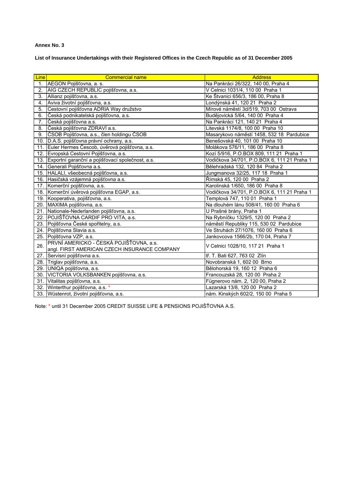**List of Insurance Undertakings with their Registered Offices in the Czech Republic as of 31 December 2005** 

| <b>Line</b> | <b>Commercial name</b>                               | <b>Address</b>                              |
|-------------|------------------------------------------------------|---------------------------------------------|
| 1.          | AEGON Pojišťovna, a. s.                              | Na Pankráci 26/322, 140 00, Praha 4         |
| 2.          | AIG CZECH REPUBLIC pojišťovna, a.s.                  | V Celnici 1031/4, 110 00 Praha 1            |
| 3.          | Allianz pojišťovna, a.s.                             | Ke Štvanici 656/3, 186 00, Praha 8          |
| 4.          | Aviva životní pojišťovna, a.s.                       | Londýnská 41, 120 21 Praha 2                |
| 5.          | Cestovní pojišťovna ADRIA Way družstvo               | Mírové náměstí 3d/519, 703 00 Ostrava       |
| 6.          | Česká podnikatelská pojišťovna, a.s.                 | Budějovická 5/64, 140 00 Praha 4            |
| 7.          | Česká pojišťovna a.s.                                | Na Pankráci 121, 140 21 Praha 4             |
| 8.          | Česká pojišťovna ZDRAVÍ a.s.                         | Litevská 1174/8, 100 00 Praha 10            |
| 9.          | ČSOB Pojišťovna, a.s., člen holdingu ČSOB            | Masarykovo náměstí 1458, 532 18 Pardubice   |
|             | 10. D.A.S. pojišťovna právní ochrany, a.s.           | Benešovská 40, 101 00 Praha 10              |
| 11.         | Euler Hermes Čescob, úvěrová pojišťovna, a.s.        | Molákova 576/11, 186 00 Praha 8             |
|             | 12. Evropská Cestovní Pojišťovna, a.s.               | Kozí 5/916, P.O.BOX 809, 111 21 Praha 1     |
|             | 13. Exportní garanční a pojišťovací společnost, a.s. | Vodičkova 34/701, P.O.BOX 6, 111 21 Praha 1 |
|             | 14. Generali Pojišťovna a.s.                         | Bělehradská 132, 120 84 Praha 2             |
|             | 15. HALALI, všeobecná pojišťovna, a.s.               | Jungmanova 32/25, 117 18 Praha 1            |
|             | 16. Hasičská vzájemná pojišťovna a.s.                | Římská 45, 120 00 Praha 2                   |
| 17.         | Komerční pojišťovna, a.s.                            | Karolinská 1/650, 186 00 Praha 8            |
|             | 18. Komerční úvěrová pojišťovna EGAP, a.s.           | Vodičkova 34/701, P.O.BOX 6, 111 21 Praha 1 |
|             | 19. Kooperativa, pojišťovna, a.s.                    | Templová 747, 110 01 Praha 1                |
|             | 20. MAXIMA pojišťovna, a.s.                          | Na dlouhém lánu 508/41, 160 00 Praha 6      |
|             | 21. Nationale-Nederlanden pojišťovna, a.s.           | U Prašné brány, Praha 1                     |
|             | 22. POJIŠŤOVNA CARDIF PRO VITA, a.s.                 | Na Rybníčku 1329/5, 120 00 Praha 2          |
|             | 23. Pojišťovna České spořitelny, a.s.                | náměstí Republiky 115, 530 02 Pardubice     |
|             | 24. Pojišťovna Slavia a.s.                           | Ve Struhách 27/1076, 160 00 Praha 6         |
| 25.         | Pojišťovna VZP, a.s.                                 | Jankovcova 1566/2b, 170 04, Praha 7         |
| 26.         | PRVNÍ AMERICKO - ČESKÁ POJIŠŤOVNA, a.s.              | V Celnici 1028/10, 117 21 Praha 1           |
|             | angl. FIRST AMERICAN CZECH INSURANCE COMPANY         |                                             |
| 27.         | Servisní pojišťovna a.s.                             | tř. T. Bati 627, 763 02 Zlín                |
|             | 28. Triglav pojišťovna, a.s.                         | Novobranská 1, 602 00 Brno                  |
|             | 29. UNIQA pojišťovna, a.s.                           | Bělohorská 19, 160 12 Praha 6               |
| 30.         | VICTORIA VOLKSBANKEN pojišťovna, a.s.                | Francouzská 28, 120 00 Praha 2              |
| 31.         | Vitalitas pojišťovna, a.s.                           | Fügnerovo nám. 2, 120 00, Praha 2           |
|             | 32. Winterthur pojišťovna, a.s. *                    | Lazarská 13/8, 120 00 Praha 2               |
|             | 33. Wüstenrot, životní pojišťovna, a.s.              | nám. Kinských 602/2, 150 00 Praha 5         |

Note: \* until 31 December 2005 CREDIT SUISSE LIFE & PENSIONS POJIŠŤOVNA A.S.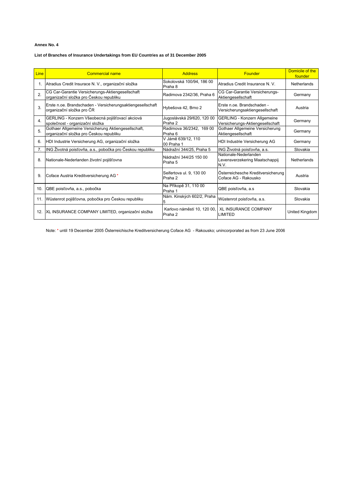#### **List of Branches of Insurance Undertakings from EU Countries as of 31 December 2005**

| <b>Line</b>      | <b>Commercial name</b>                                                                         | <b>Address</b>                         | Founder                                                          | Domicile of the<br>founder |
|------------------|------------------------------------------------------------------------------------------------|----------------------------------------|------------------------------------------------------------------|----------------------------|
|                  | Atradius Credit Insurace N. V., organizační složka                                             | Sokolovská 100/94, 186 00<br>Praha 8   | Atradius Credit Insurance N. V.                                  | Netherlands                |
| 2.               | CG Car-Garantie Versicherungs-Aktiengesellschaft<br>organizační složka pro Českou republiku    | Radimova 2342/36, Praha 6              | CG Car-Garantie Versicherungs-<br>Aktiengesellschaft             | Germany                    |
| 3.               | Erste n.oe. Brandschaden - Versicherungsaktiengesellschaft<br>organizační složka pro ČR        | Hybešova 42, Brno 2                    | Erste n.oe. Brandschaden -<br>Versicherungsaktiengesellschaft    | Austria                    |
| $\overline{4}$ . | GERLING - Konzern Všeobecná pojišťovací akciová<br>společnost - organizační složka             | Jugoslávská 29/620, 120 00<br>Praha 2  | GERLING - Konzern Allgemeine<br>Versicherungs-Aktiengesellschaft | Germany                    |
| 5                | Gothaer Allgemeine Versicherung Aktiengesellschaft,<br>organizační složka pro Českou republiku | Radimova 36/2342, 169 00<br>Praha 6    | Gothaer Allgemeine Versicherung<br>Aktiengesellschaft            | Germany                    |
| 6.               | HDI Industrie Versicherung AG, organizační složka                                              | V Jámě 639/12, 110<br>00 Praha 1       | HDI Industrie Versicherung AG                                    | Germany                    |
| 7.               | ING Životná poisťovňa, a.s., pobočka pro Českou republiku                                      | Nádražní 344/25, Praha 5               | ING Životná poisťovňa, a.s.                                      | Slovakia                   |
| 8.               | Nationale-Nederlanden životní pojišťovna                                                       | Nádražní 344/25 150 00<br>Praha 5      | Nationale-Nederlanden<br>Levensverzekering Maatschappij<br>N.V.  | <b>Netherlands</b>         |
| 9.               | Coface Austria Kreditversicherung AG *                                                         | Seifertova ul. 9, 130 00<br>Praha 2    | Österreichesche Kreditversicherung<br>Coface AG - Rakousko       | Austria                    |
| 10.              | QBE poisťovňa, a.s., pobočka                                                                   | Na Příkopě 31, 110 00<br>Praha 1       | QBE poisťovňa, a.s                                               | Slovakia                   |
|                  | 11. Wüstenrot pojišťovna, pobočka pro Českou republiku                                         | Nám. Kinských 602/2, Praha<br>5        | Wüstenrot poisťovňa, a.s.                                        | Slovakia                   |
| 12.              | XL INSURANCE COMPANY LIMITED, organizační složka                                               | Karlovo náměstí 10, 120 00,<br>Praha 2 | <b>XL INSURANCE COMPANY</b><br>LIMITED                           | United Kingdom             |

Note: \* until 19 December 2005 Österreichische Kreditversicherung Coface AG - Rakousko; unincorporated as from 23 June 2006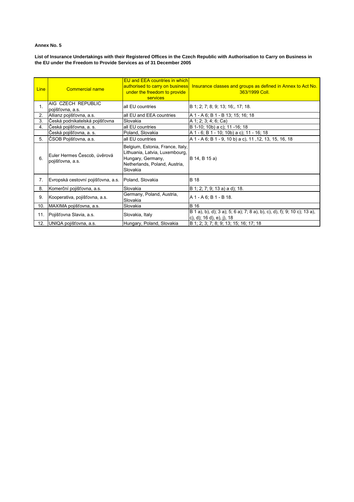**List of Insurance Undertakings with their Registered Offices in the Czech Republic with Authorisation to Carry on Business in the EU under the Freedom to Provide Services as of 31 December 2005** 

| Line | <b>Commercial name</b>                           | <b>EU and EEA countries in which</b><br>authorised to carry on business<br>under the freedom to provide<br>services                  | Insurance classes and groups as defined in Annex to Act No.<br>363/1999 Coll.                               |
|------|--------------------------------------------------|--------------------------------------------------------------------------------------------------------------------------------------|-------------------------------------------------------------------------------------------------------------|
| 1.   | AIG CZECH REPUBLIC<br>pojišťovna, a.s.           | all EU countries                                                                                                                     | B 1; 2; 7; 8; 9; 13; 16;, 17; 18.                                                                           |
| 2.   | Allianz pojišťovna, a.s.                         | all EU and EEA countries                                                                                                             | A 1 - A 6; B 1 - B 13; 15; 16; 18                                                                           |
| 3.   | Česká podnikatelská pojišťovna                   | Slovakia                                                                                                                             | A 1; 2; 3; 4; 6; Ca)                                                                                        |
| 4.   | Česká pojišťovna, a. s.                          | all EU countries                                                                                                                     | B 1-10; 10b) a c); 11 -16; 18                                                                               |
|      | Česká pojišťovna, a. s.                          | Poland, Slovakia                                                                                                                     | A 1 - 6; B 1 - 10; 10b) a c); 11 - 16; 18                                                                   |
| 5.   | ČSOB Pojišťovna, a.s.                            | all EU countries                                                                                                                     | A 1 - A 6; B 1 - 9, 10 b) a c), 11, 12, 13, 15, 16, 18                                                      |
| 6.   | Euler Hermes Čescob, úvěrová<br>pojišťovna, a.s. | Belgium, Estonia, France, Italy,<br>Lithuania, Latvia, Luxembourg,<br>Hungary, Germany,<br>Netherlands, Poland, Austria,<br>Slovakia | B 14, B 15 a)                                                                                               |
| 7.   | Evropská cestovní pojišťovna, a.s.               | Poland, Slovakia                                                                                                                     | <b>B</b> 18                                                                                                 |
| 8.   | Komerční pojišťovna, a.s.                        | Slovakia                                                                                                                             | B 1; 2; 7; 9; 13 a) a d); 18.                                                                               |
| 9.   | Kooperativa, pojišťovna, a.s.                    | Germany, Poland, Austria,<br>Slovakia                                                                                                | A 1 - A 6; B 1 - B 18.                                                                                      |
| 10.  | MAXIMA pojišťovna, a.s.                          | Slovakia                                                                                                                             | <b>B</b> 16                                                                                                 |
| 11.  | Pojišťovna Slavia, a.s.                          | Slovakia, Italy                                                                                                                      | B 1 a), b), d); 3 a); 5; 6 a); 7; 8 a), b), c), d), f); 9; 10 c); 13 a),<br>c), d); $16 d$ , e), j), $18 d$ |
| 12.  | UNIQA pojišťovna, a.s.                           | Hungary, Poland, Slovakia                                                                                                            | B 1; 2; 3; 7; 8; 9; 13; 15; 16; 17; 18                                                                      |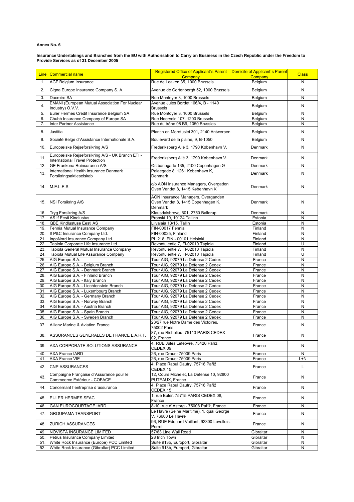**Insurance Undertakings and Branches from the EU with Authorisation to Carry on Business in the Czech Republic under the Freedom to Provide Services as of 31 December 2005** 

| <b>Line</b> | Commercial name                                                                     | Registered Office of Applicant's Parent   Domicile of Applicant's Parent<br>Company | Company            | <b>Class</b> |
|-------------|-------------------------------------------------------------------------------------|-------------------------------------------------------------------------------------|--------------------|--------------|
| 1.          | <b>AGF Belgium Insurance</b>                                                        | Rue de Leaken 35, 1000 Brussels                                                     | Belgium            | N            |
| 2.          | Cigna Europe Insurance Company S. A.                                                | Avenue de Cortenbergh 52, 1000 Brussels                                             | Belgium            | N            |
| 3.          | Ducroire SA                                                                         | Rue Montoyer 3, 1000 Brussels                                                       | Belgium            | N            |
|             | <b>EMANI</b> (European Mutual Association For Nuclear                               | Avenue Jules Bordet 166/4, B - 1140                                                 |                    |              |
| 4.          | Industry) O.V.V.                                                                    | <b>Brussels</b>                                                                     | Belgium            | N            |
| 5.          | Euler Hermes Credit Insurance Belgium SA                                            | Rue Montoyer 3, 1000 Brussels                                                       | Belgium            | N            |
| 6.          | Chubb Insurance Company of Europe SA                                                | Rue Neerveld 107, 1200 Brussels                                                     | Belgium            | N            |
| 7.          | Inter Partner Assistance                                                            | Rue du trône 98 B9, 1050 Brussles                                                   | Belgium            | N            |
| 8.          | Justitia                                                                            | Plantin en Moretuslei 301, 2140 Antwerpen                                           | Belgium            | N            |
| 9.          | Société Belge d'Assistance Internationale S.A.                                      | Boulevard de la plaine, 9, B-1050                                                   | Belgium            | N            |
| 10.         | Europæiske Rejseforsikring A/S                                                      | Frederiksberg Allé 3, 1790 København V.                                             | Denmark            | N            |
| 11.         | Europæiske Rejseforsikring A/S - UK Branch ETI -<br>International Travel Protection | Frederiksberg Allé 3, 1790 København V.                                             | Denmark            | N            |
| 12.         | GE Frankona Reinsurance A/S                                                         | Østbanegade 135, 2100 Copenhagen Ø                                                  | Denmark            | N            |
| 13.         | International Health Insurance Danmark                                              | Palaegade 8, 1261 Kobenhavn K,                                                      | Denmark            | N            |
|             | Forsikringsaktieselskab                                                             | Denmark                                                                             |                    |              |
| 14.         | M.E.L.E.S.                                                                          | c/o AON Insurance Managers, Overgaden<br>Oven Vandet 8, 1415 København K            | Denmark            | N            |
| 15.         | NSI Forsikring A/S                                                                  | AON Insurance Managers, Overganden<br>Oven Vandet 8, 1415 Copenhagen K,<br>Denmark  | Denmark            | N            |
| 16.         | Tryg Forsikring A/S                                                                 | Klausdalsbrovej 601, 2750 Ballerup                                                  | Denmark            | N            |
| 17.         | <b>AS If Eesti Kindlustus</b>                                                       | Pronski 19, 10124 Tallinn                                                           | Estonia            | N            |
| 18.         | QBE Kindlustuse Eesti AS                                                            | Liivalaia 13/15, Tallin                                                             | Estonia            | N            |
| 19.<br>20.  | Fennia Mutual Insurance Company                                                     | FIN-00017 Fennia                                                                    | Finland<br>Finland | N<br>N       |
| 21.         | If P&C Insurance Company Ltd.<br>IngoNord Insurance Company Ltd.                    | FIN-00025, Finland<br>PL 218, FIN - 00101 Helsinki                                  | Finland            | N            |
| 22.         | Tapiola Corporate Life Insurance Ltd                                                | Revontulentie 7, FI-02010 Tapiola                                                   | Finland            | U            |
| 23.         | Tapiola General Mutual Insurance Company                                            | Revontulentie 7, FI-02010 Tapiola                                                   | Finland            | N            |
| 24.         | Tapiola Mutual Life Assurance Company                                               | Revontulentie 7, FI-02010 Tapiola                                                   | Finland            | U            |
| 25.         | AIG Europe S.A.                                                                     | Tour AIG, 92079 La Défense 2 Cedex                                                  | France             | N            |
| 26.         | AIG Europe S.A. - Belgium Branch                                                    | Tour AIG, 92079 La Défense 2 Cedex                                                  | France             | N            |
| 27.         | AIG Europe S.A. - Denmark Branch                                                    | Tour AIG, 92079 La Défense 2 Cedex                                                  | France             | N            |
| 28.         | AIG Europe S.A. - Finland Branch                                                    | Tour AIG, 92079 La Défense 2 Cedex                                                  | France             | N            |
| 29.         | AIG Europe S.A. - Italy Branch                                                      | Tour AIG, 92079 La Défense 2 Cedex                                                  | France             | N<br>N       |
| 30.<br>31.  | AIG Europe S.A. - Liechtenstein Branch<br>AIG Europe S.A. - Luxembourg Branch       | Tour AIG, 92079 La Défense 2 Cedex<br>Tour AIG, 92079 La Défense 2 Cedex            | France<br>France   | N            |
| 32.         | AIG Europe S.A. - Germany Branch                                                    | Tour AIG, 92079 La Défense 2 Cedex                                                  | France             | N            |
| 33.         | AIG Europe S.A. - Norway Branch                                                     | Tour AIG, 92079 La Défense 2 Cedex                                                  | France             | N            |
| 34.         | AIG Europe S.A. - Austria Branch                                                    | Tour AIG, 92079 La Défense 2 Cedex                                                  | France             | N            |
| 35.         | AIG Europe S.A. - Spain Branch                                                      | Tour AIG, 92079 La Défense 2 Cedex                                                  | France             | N            |
| 36.         | AIG Europe S.A. - Sweden Branch                                                     | Tour AIG, 92079 La Défense 2 Cedex                                                  | France             | N            |
| 37.         | Allianz Marine & Aviation France                                                    | 23/27 rue Notre Dame des Victoires,<br>75002 Paris                                  | France             | N            |
| 38.         | ASSURANCES GENERALES DE FRANCE L.A.R.T.                                             | 87, rue Richelieu, 75113 PARIS CEDEX<br>02, France                                  | France             | N            |
| 39.         | AXA CORPORATE SOLUTIONS ASSURANCE                                                   | 4, RUE Jules Lefebvre, 75426 Paříž<br>CEDEX 09                                      | France             | N            |
| 40.         | <b>AXA France IARD</b>                                                              | 26, rue Drouot 75009 Paris                                                          | France             | N            |
| 41.         | <b>AXA France VIE</b>                                                               | 26, rue Drouot 75009 Paris                                                          | France             | L+N          |
| 42.         | <b>CNP ASSURANCES</b>                                                               | 4, Place Raoul Dautry, 75716 Paříž<br>CEDEX 15                                      | France             | L            |
| 43.         | Compaigne Française d'Assurance pour le<br>Commeerce Extérieur - COFACE             | 12, Cours Michelet, La Défense 10, 92800<br>PUTEAUX, France                         | France             | N            |
| 44.         | Concernant l'entreprise d'assurance                                                 | 4, Place Raoul Dautry, 75716 Paříž<br>CEDEX 15                                      | France             | N            |
| 45.         | <b>EULER HERMES SFAC</b>                                                            | 1, rue Euler, 75715 PARIS CEDEX 08,<br>France                                       | France             | N            |
| 46.         | <b>GAN EUROCOURTAGE IARD</b>                                                        | 8-10, rue d'Astorg - 75008 Paříž, France                                            | France             | N            |
| 47.         | <b>GROUPAMA TRANSPORT</b>                                                           | Le Havre (Seine Maritime), 1, quai George<br>V, 76600 Le Havre                      | France             | N            |
| 48.         | <b>ZURICH ASSURANCES</b>                                                            | 96, RUE Edouard Vaillant, 92300 Levellois-<br>Perret                                | France             | N            |
| 49.         | NOVISTA INSURANCE LIMITED                                                           | 57/63 Line Wall Road                                                                | Gibraltar          | N            |
| 50.         | Petrus Insurance Company Limited                                                    | 28 Irich Town                                                                       | Gibraltar          | N            |
| 51.         | White Rock Insurance (Europe) PCC Limited                                           | Suite 913b, Europort, Gibraltar                                                     | Gibraltar          | N            |
| 52.         | White Rock Insurance (Gibraltar) PCC Limited                                        | Suite 913b, Europort, Gibraltar                                                     | Gibraltar          | N            |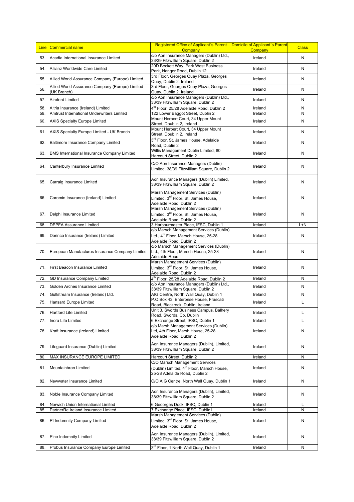| <b>Line</b> | Commercial name                                                | <b>Registered Office of Applicant's Parent</b><br>Company                                                                    | Domicile of Applicant's Parent<br>Company | <b>Class</b> |
|-------------|----------------------------------------------------------------|------------------------------------------------------------------------------------------------------------------------------|-------------------------------------------|--------------|
| 53.         | Acadia International Insurance Limited                         | c/o Aon Insurance Managers (Dublin) Ltd.,<br>33/39 Fitzwilliam Square, Dublin 2                                              | Ireland                                   | N            |
| 54.         | Allianz Worldwide Care Limited                                 | 20D Beckett Way, Park West Business<br>Park, Nangor Road, Dublin 12                                                          | Ireland                                   | N            |
| 55.         | Allied World Assurance Company (Europe) Limited                | 3rd Floor, Georges Quay Plaza, Georges<br>Quay, Dublin 2, Ireland                                                            | Ireland                                   | N            |
| 56.         | Allied World Assurance Company (Europe) Limited<br>(UK Branch) | 3rd Floor, Georges Quay Plaza, Georges<br>Quay, Dublin 2, Ireland                                                            | Ireland                                   | N            |
| 57.         | <b>Alreford Limited</b>                                        | c/o Aon Insurance Managers (Dublin) Ltd.,                                                                                    | Ireland                                   | N            |
| 58.         | Altria Insurance (Ireland) Limited                             | 33/39 Fitzwilliam Square, Dublin 2<br>4 <sup>th</sup> Floor, 25/28 Adelaide Road, Dublin 2                                   | Ireland                                   | N            |
| 59.         | Amtrust International Underwriters Limited                     | 122 Lower Baggot Street, Dublin 2                                                                                            | Ireland                                   | N            |
| 60.         | <b>AXIS Specialty Europe Limited</b>                           | Mount Herbert Court, 34 Upper Mount<br>Street, Doublin 2, Ireland                                                            | Ireland                                   | N            |
| 61.         | AXIS Specialty Europe Limited - UK Branch                      | Mount Herbert Court, 34 Upper Mount<br>Street, Doublin 2, Ireland                                                            | Ireland                                   | N            |
| 62.         | Baltimore Insurance Company Limited                            | 3rd Floor, St. James House, Adelaide<br>Road, Dublin 2                                                                       | Ireland                                   | N            |
| 63.         | BMS International Insurance Company Limited                    | Willis Management Dublin Limited, 80<br>Harcourt Street, Dublin 2                                                            | Ireland                                   | N            |
| 64.         | Canterbury Insurance Limited                                   | C/O Aon Insurance Managers (Dublin)                                                                                          | Ireland                                   | N            |
|             |                                                                | Limited, 38/39 Fitzwilliam Square, Dublin 2                                                                                  |                                           |              |
| 65.         | Carraig Insurance Limited                                      | Aon Insurance Managers (Dublin) Limited,<br>38/39 Fitzwilliam Square, Dublin 2                                               | Ireland                                   | Ν            |
| 66.         | Coromin Insurance (Ireland) Limited                            | Marsh Management Services (Dublin)<br>Limited, 3 <sup>rd</sup> Floor, St. James House,<br>Adelaide Road, Dublin 2            | Ireland                                   | Ν            |
| 67.         | Delphi Insurance Limited                                       | Marsh Management Services (Dublin)<br>Limited, 3 <sup>rd</sup> Floor, St. James House,<br>Adelaide Road, Dublin 2            | Ireland                                   | Ν            |
| 68.         | <b>DEPFA Assurance Limited</b>                                 | 3 Harbourmaster Place, IFSC, Dublin 1                                                                                        | Ireland                                   | L+N          |
| 69.         | Dorinco Insurance (Ireland) Limited                            | c/o Marsch Management Services (Dublin)<br>Ltd., 4 <sup>th</sup> Floor, Marsch House, 25-28<br>Adelaide Road, Dublin 2       | Ireland                                   | N            |
| 70.         | European Manufactures Insurance Company Limited                | c/o Marsch Management Services (Dublin)<br>Ltd., 4th Floor, Marsch House, 25-28<br>Adelaide Road                             | Ireland                                   | N            |
| 71.         | First Beacon Insurance Limited                                 | Marsh Management Services (Dublin)<br>Limited, 3rd Floor, St. James House,<br>Adelaide Road, Dublin 2                        | Ireland                                   | Ν            |
| 72.         | GD Insurance Company Limited                                   | 4 <sup>th</sup> Floor, 25/28 Adelaide Road, Dublin 2                                                                         | Ireland                                   | N            |
| 73.         | Golden Arches Insurance Limited                                | c/o Aon Insurance Managers (Dublin) Ltd.,<br>38/39 Fitzwilliam Square, Dublin 2                                              | Ireland                                   | Ν            |
| 74.         | Gulfstream Insurance (Ireland) Ltd.                            | AIG Centre, North Wall Quay, Dublin 1                                                                                        | Ireland                                   | Ν            |
| 75.         | Hansard Europe Limited                                         | P.O.Box 43, Enterprise House, Frascati<br>Ireland<br>Road, Blackrock, Dublin, Ireland                                        |                                           | Г            |
| 76.         | <b>Hartford Life Limited</b>                                   | Unit 3, Swords Business Campus, Balhery<br>Road, Swords, Co. Dublin                                                          | Ireland                                   | L            |
| 77.         | Inora Life Limited                                             | 6 Exchange Street, IFSC, Dublin 1                                                                                            | Ireland                                   |              |
| 78.         | Kraft Insurance (Ireland) Limited                              | c/o Marsh Management Services (Dublin)<br>Ltd, 4th Floor, Marsh House, 25-28<br>Adelaide Road, Dublin 2                      | Ireland                                   | Ν            |
| 79.         | Lifequard Insurance (Dublin) Limited                           | Aon Insurance Managers (Dublin), Limited,<br>38/39 Fitzwilliam Square, Dublin 2                                              | Ireland                                   | Ν            |
| 80.         | MAX INSURANCE EUROPE LIMITED                                   | Harcourt Street, Dublin 2                                                                                                    | Ireland                                   | Ν            |
| 81.         | Mountainbran Limited                                           | C/O Marsch Management Services<br>(Dublin) Limited, 4 <sup>th</sup> Floor, Marsch House,<br>25-28 Adelaide Road, Dublin 2    | Ireland                                   | N            |
| 82.         | Newwater Insurance Limited                                     | C/O AIG Centre, North Wall Quay, Dublin 1                                                                                    | Ireland                                   | N            |
| 83.         | Noble Insurance Company Limited                                | Aon Insurance Managers (Dublin), Limited,<br>Ireland<br>38/39 Fitzwilliam Square, Dublin 2                                   |                                           | N            |
| 84.         | Norwich Union International Limited                            | 6 Geoorges Dock, IFSC, Dublin 1                                                                                              | Ireland                                   | L            |
| 85.         | PartnerRe Ireland Insurance Limited                            | 7 Exchange Place, IFSC, Dublin1                                                                                              | Ireland                                   | Ν            |
| 86.         | PI Indemnity Company Limited                                   | Marsh Management Services (Dublin)<br>Limited, 3 <sup>rd</sup> Floor, St. James House,<br>Ireland<br>Adelaide Road, Dublin 2 |                                           | Ν            |
| 87.         | Pine Indemnity Limited                                         | Aon Insurance Managers (Dublin), Limited,<br>Ireland<br>38/39 Fitzwilliam Square, Dublin 2                                   |                                           | Ν            |
| 88.         | Probus Insurance Company Europe Limited                        | 3rd Floor, 1 North Wall Quay, Dublin 1                                                                                       | Ireland                                   | N            |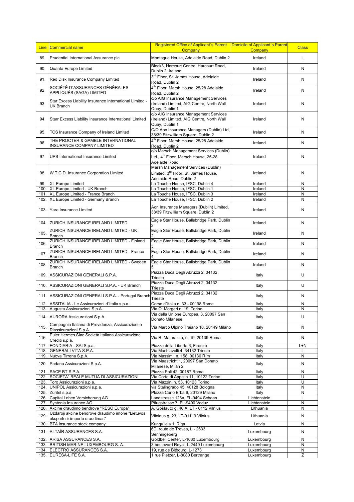| Line         | Commercial name                                                                             | Registered Office of Applicant's Parent<br><b>Company</b>                                                         | Domicile of Applicant's Parent<br>Company | <b>Class</b> |
|--------------|---------------------------------------------------------------------------------------------|-------------------------------------------------------------------------------------------------------------------|-------------------------------------------|--------------|
| 89.          | Prudential International Assurance plc                                                      | Montague House, Adelaide Road, Dublin 2<br>Ireland                                                                |                                           | L            |
| 90.          | Quanta Europe Limited                                                                       | Block3, Harcourt Centre, Harcourt Road,<br>Dublin 2, Ireland                                                      | Ireland                                   | N            |
| 91.          | Red Disk Insurance Company Limited                                                          | 3 <sup>rd</sup> Floor, St. James House, Adelaide<br>Road, Dublin 2                                                | Ireland                                   | N            |
| 92.          | SOCIÉTÉ D`ASSURANCES GÉNÉRALES<br>APPLIQUÉS (SAGA) LIMITED                                  | 4 <sup>th</sup> Floor, Marsh House, 25/28 Adelaide<br>Road, Dublin 2                                              | Ireland                                   | N            |
| 93.          | Star Excess Liability Insurance International Limited -<br>UK Branch                        | c/o AIG Insurance Management Services<br>(Ireland) Limited, AIG Centre, North Wall<br>Quay, Dublin 1              | Ireland                                   | N            |
| 94.          | Starr Excess Liability Insurance International Limited                                      | c/o AIG Insurance Management Services<br>(Ireland) Limited, AIG Centre, North Wall<br>Quay, Dublin 1              | Ireland                                   | N            |
| 95.          | TCS Insurance Company of Ireland Limited                                                    | C/O Aon Insurance Managers (Dublin) Ltd,<br>38/39 Fitzwilliam Square, Dublin 2                                    | Ireland                                   | N            |
| 96.          | THE PROCTER & GAMBLE INTERNATIONAL<br>INSURANCE COMPANY LIMITED                             | 4 <sup>th</sup> Floor, Marsh House, 25/28 Adelaide<br>Road, Dublin 2                                              | Ireland                                   | N            |
| 97.          | UPS International Insurance Limited                                                         | c/o Marsch Management Services (Dublin)<br>Ltd., 4 <sup>th</sup> Floor, Marsch House, 25-28<br>Adelaide Road      | Ireland                                   | N            |
| 98.          | W.T.C.D. Insurance Corporation Limited                                                      | Marsh Management Services (Dublin)<br>Limited, 3 <sup>rd</sup> Floor, St. James House,<br>Adelaide Road, Dublin 2 | Ireland                                   | N            |
| 99.          | XL Europe Limited                                                                           | La Touche House, IFSC, Dublin 4                                                                                   | Ireland                                   | N            |
| 100.         | XL Europe Limited - UK Branch                                                               | La Touche House, IFSC, Dublin 1                                                                                   | Ireland                                   | N            |
| 101.         | XL Europe Limited - France Branch                                                           | La Touche House, IFSC, Dublin 3                                                                                   | Ireland                                   | N            |
| 102.         | XL Europe Limited - Germany Branch                                                          | La Touche House, IFSC, Dublin 2                                                                                   | Ireland                                   | N            |
| 103.         | Yara Insurance Limited                                                                      | Aon Insurance Managers (Dublin) Limited,<br>Ireland<br>38/39 Fitzwilliam Square, Dublin 2                         |                                           | N            |
|              | 104. ZURICH INSURANCE IRELAND LIMITED                                                       | Eagle Star House, Ballsbridge Park, Dublin                                                                        | Ireland                                   | N            |
| 105.         | ZURICH INSURANCE IRELAND LIMITED - UK<br><b>Branch</b>                                      | Eagle Star House, Ballsbridge Park, Dublin<br>Ireland                                                             |                                           | N            |
| 106.         | ZURICH INSURANCE IRELAND LIMITED - Finland<br><b>Branch</b>                                 | Eagle Star House, Ballsbridge Park, Dublin                                                                        | Ireland                                   | N            |
| 107.         | ZURICH INSURANCE IRELAND LIMITED - France<br><b>Branch</b>                                  | Eagle Star House, Ballsbridge Park, Dublin                                                                        | Ireland                                   | N            |
| 108.         | ZURICH INSURANCE IRELAND LIMITED - Sweden<br><b>Branch</b>                                  | Eagle Star House, Ballsbridge Park, Dublin<br>Ireland                                                             |                                           | N            |
| 109.         | ASSICURAZIONI GENERALI S.P.A.                                                               | Piazza Duca Degli Abruzzi 2, 34132<br>Italy<br>Trieste                                                            |                                           | U            |
| 110.         | ASSICURAZIONI GENERALI S.P.A. - UK Branch                                                   | Piazza Duca Degli Abruzzi 2, 34132<br>Italy<br><b>Trieste</b>                                                     |                                           | U            |
| 111.         | ASSICURAZIONI GENERALI S.P.A. - Portugal Branch                                             | Piazza Duca Degli Abruzzi 2, 34132<br>Trieste                                                                     | Italy                                     | Ν            |
| 112.         | ASSITALIA - Le Assicurazioni d'Italia s.p.a.                                                | Corso d'Italia n. 33 - 00198 Rome                                                                                 | Italy                                     | N            |
|              | 113. Augusta Assicurazioni S.p.A.                                                           | Via O. Morgari n. 19, Torino<br>Via della Unione Europea, 3, 20097 San                                            | Italy                                     | IN.          |
| 114.         | AURORA Assicurazioni S.p.A.<br>Compagnia Italiana di Previdenza, Assicurazioni e            | Donato Milanese                                                                                                   | Italy                                     | U            |
| 115.         | Riassicurazioni S.p.A.<br>Euler Hermes Siac Società Italiana Assicurazione                  | Via Marco Ulpino Traiano 18, 20149 Miláno                                                                         | Italy                                     | Ν            |
| 116.         | Crediti s.p.a.                                                                              | Via R. Matarazzo, n. 19, 20139 Roma<br>Italy                                                                      |                                           | Ν            |
| 117.         | FONDIARIA - SAI S.p.a.                                                                      | Piazza della Liberta 6, Firenze                                                                                   | Italy                                     | L+N          |
| 118.         | <b>GENERALI VITA S.P.A.</b>                                                                 | Via Machiavelli 4, 34132 Trieste                                                                                  | Italy                                     |              |
| 119.<br>120. | Nuova Tirrena S.p.A.<br>Padana Assicurazioni S.p.A.                                         | Via Massimi, n. 158, 00136 Řím<br>Italy<br>Via Maastricht 1, 20097 San Donato<br>Italy                            |                                           | Ν<br>Ν       |
| 121.         | SACE BT S.P.A.                                                                              | Milanese, Milán 2<br>Piazza Poli 42, 00187 Roma<br>Italy                                                          |                                           | N            |
| 122.         | SOCIETA' REALE MUTUA DI ASSICURAZIONI                                                       | Via Corte di Appello 11, 10122 Torino                                                                             | Italy                                     | U            |
| 123.         | Toro Assicurazioni s.p.a.                                                                   | Via Mazzini n. 53, 10123 Torino                                                                                   | Italy                                     | U            |
| 124.         | UNIPOL Assicurazioni s.p.a.                                                                 | via Stalingrado 45, 40128 Bologna                                                                                 | Italy                                     | N            |
|              | 125. Zuritel s.p.a.                                                                         | Plazza Carlo Erba 6, 20129 Milano                                                                                 | Italy                                     | N            |
| 126.         | Capital Leben Versicherung AG                                                               | Landstrasse 126a, FL-9494 Schaan                                                                                  | Lichtenstein                              | L            |
| 127.         | Syntonia Insurance AG                                                                       | Pflugstrasse 7, FL-9490 Vaduz                                                                                     | Lichtenstein                              | N            |
| 128.<br>129. | Akcine draudimo bendrove "RESO Europa"<br>Uždaroji akcine bendrove draudimo imone "Lietuvos | A. Goštauto g. 40 A, LT - 0112 Vilnius<br>Vilniaus g. 23, LT-01119 Vilnius                                        | Lithuania<br>Lithuania                    | Ν<br>N       |
| 130.         | eksporto ir importo draudimas"<br>BTA insurance stock company                               | Kungu iela 1, Riga<br>Latvia                                                                                      |                                           | N            |
| 131.         | ALTAÏR ASSURANCES S.A.                                                                      | 6D, route de Trèves, L - 2633<br>Luxembourg<br>Senningeberg                                                       |                                           | N            |
| 132.         | ARISA ASSURANCES S.A.                                                                       | Goldbell Center, L-1030 Luxembourg                                                                                | Luxembourg                                | N            |
| 133.         | BRITISH MARINE LUXEMBOURG S. A.                                                             | 3 boulevard Royal, L-2449 Luxembourg                                                                              | Luxembourg                                | N            |
| 134.         | ELECTRO ASSURANCES S.A.                                                                     | 19, rue de Bitbourg, L-1273                                                                                       | Luxembourg                                | Ν            |
|              | 135. EURESA-LIFE S.A.                                                                       | 1 rue Pletzer, L-8080 Bertrange                                                                                   | Luxembourg                                | Ž            |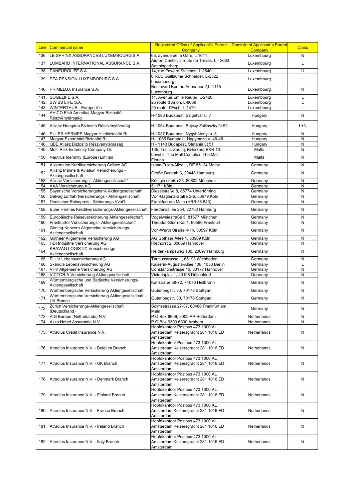| <b>Line</b>  | Commercial name                                                        | Registered Office of Applicant's Parent                                                             |                            | Domicile of Applicant's Parent<br><b>Class</b> |
|--------------|------------------------------------------------------------------------|-----------------------------------------------------------------------------------------------------|----------------------------|------------------------------------------------|
| 136.         | LE SPHINX ASSURANCES LUXEMBOURG S.A.                                   | Company<br><b>Company</b><br>65, avenue de la Gare, L 1611<br>Luxembourg                            |                            | N                                              |
| 137.         | LOMBARD INTERNATIONAL ASSURANCE S.A.                                   | Airport Center, 2 route de Tréves, L - 2633                                                         | Luxembourg                 | L                                              |
|              |                                                                        | Senningerberg                                                                                       |                            |                                                |
| 138.         | PANEUROLIFE S.A.                                                       | 14, rue Edward Steichen, L 2540                                                                     | Luxembourg                 | U                                              |
| 139.         | <b>PFA PENSION LUXEMBOPURG S.A.</b>                                    | 6 RUE Guillaume Schneider, L-2522<br>Luxembourg                                                     | Luxembourg                 | L                                              |
| 140.         | PRIMELUX Insurance S.A.                                                | Boulevard Konrad Adenauer 2, L-1115<br>Luxemburg                                                    | Luxembourg                 | N                                              |
| 141.         | SOGELIFE S.A.                                                          | 11, Avenue Emile Reuter, L-2420                                                                     | Luxembourg                 | L                                              |
| 142.         | SWISS LIFE S.A.                                                        | 25 route d'Arlon, L-8009                                                                            | Luxembourg                 |                                                |
| 143.         | WINTERTHUR - Europe Vie                                                | 25 route d'Esch, L-1470                                                                             | Luxembourg                 |                                                |
| 144.         | AHICO Elsö Amerikai-Magyar Biztosító<br>Részvénytársaág                | H-1083 Budapest, Szigetvár u. 7                                                                     | Hungary                    | N                                              |
| 145.         | Allianz Hungária Biztosító Részvénytársaág                             | H-1054 Budapest, Bajcsy-Zsilinszky út 52                                                            | Hungary                    | L+N                                            |
| 146.         | EULER HERMES Magyar Hitelbiztosító Rt.                                 | H-1037 Budapest, Nygybátonyi u. 8                                                                   | Hungary                    | N                                              |
| 147.         | Magyar Exporthitel Biztosító Rt.                                       | H- 1065 Budapest, Nagymezö u. 46-48                                                                 | Hungary                    | N                                              |
| 148.         | QBE Atlasz Biztosító Részvénytársaság                                  | H - 1143 Budapest, Stefánia út 51                                                                   | Hungary                    | N                                              |
| 149.         | Multi Risk Indemnity Company Ltd                                       | 135, Triq iz-Zerniq, Birkirkara BKR 13                                                              | Malta                      | N                                              |
| 150.         | Nautilus Idemnity (Europe) Limited                                     | Level 5, The Mall Complex, The Mall,<br>Florina                                                     | Malta                      | N                                              |
| 151.         | Allgemeine Kreditversicherung Coface AG                                | Isaac-Fulda-Allee 1, DE 55124 Mainz                                                                 | Germany                    | N                                              |
| 152.         | Allianz Marine & Aviation Versicherungs -<br>Aktiengesellschaft        | Große Burstah 3, 20448 Hamburg                                                                      | Germany                    | N                                              |
| 153.         | Allianz Versicherungs - Aktiengesellschaft*                            | Königin straße 28, 80802 München                                                                    | Germany                    | N                                              |
| 154.         | AXA Versicherung AG                                                    | 51171 Köln                                                                                          | Germany                    | N                                              |
| 155.         | Bayerische Versicherungsbank Aktiengesellschaft*                       | Dieselstraße 8, 85774 Unterföhring                                                                  | Germany                    | N                                              |
| 156.         | Delvag Luftfahrtversicherungs - Aktiengesllschaft                      | Von-Gaglenz-Staße 2-6, 50679 Köln                                                                   | Germany                    | N                                              |
| 157.         | Deutscher Reisepreis - Sicherungs VvaG                                 | Frankfurt am Main (HRB 38 843)                                                                      | Germany                    | N                                              |
| 158.         | Euler Hermes Kreditversicherungs-Aktiengesellschaft                    | Friedensallee 254, 22763 Hamburg                                                                    | Germany                    |                                                |
|              |                                                                        |                                                                                                     |                            |                                                |
| 159.         | Europäische Reiseversicherung Aktiengesellschaft                       | Vogelweiestraße 5, 81677 München                                                                    | Germany                    | N                                              |
| 160.         | Frankfurter Versicherungs - Aktiengesellschaft*                        | Theodor-Stern-Kai 1, 60596 Frankfurt                                                                | Germany                    | N                                              |
| 161.         | Gerling-Konzern Allgemeine Versicherungs-<br>Aktiengesellschaft        | Von-Werth Straße 4-14, 50597 Köln                                                                   | Germany                    | N                                              |
| 162.         | Gothaer Allgemeine Versicherung AG                                     | AG Gothaer Allee 1, 50969 Köln                                                                      | Germany                    | N                                              |
| 163.         | HDI Industrie Versicherung AG                                          | Riethorst 2, 30659 Hannover                                                                         | Germany                    | N                                              |
| 164.         | <b>KRAVAG LOGISTIC Versicherungs -</b><br>Aktiengesellschaft           | Heidenkampsweg 100, 20097 Hamburg                                                                   | Germany                    | N                                              |
| 165.         | R + V Lebensversicherung AG                                            | Taunusstrasse 1, 65193 Wiesbaden                                                                    | Germany                    | N                                              |
| 166.         | Skandia Lebensversicherung AG                                          | Kaiserin-Augusta-Allee 108, 1053 Berlin                                                             | Germany                    |                                                |
| 167.         | VHV Allgemeine Versicherung AG                                         | Constantinstrasse 40, 30177 Hannover                                                                | Germany                    | N                                              |
| 168.         | VICTORIA Versicherung Aktiengesellschaft                               | Victoriaplaz 1, 40198 Düseeldorf                                                                    | Germany                    | N                                              |
| 169.         | Württembergische und Badische Versicherungs-                           | Karlstraße 68-72, 74076 Heilbronn                                                                   | Germany                    | N                                              |
| 170.         | Aktiengesellschaft<br>Württembergische Versicherung Aktiengesellschaft | Gutenbegstr. 30, 70176 Stuttgart                                                                    | Germany                    |                                                |
| 171.         | Württembergische Versicherung Aktiengesellschaft -<br><b>UK Branch</b> | Gutenbegstr. 30, 70176 Stuttgart                                                                    | Germany                    | N                                              |
| 172.         | Zürich Versicherungs-Aktiengesellschaft                                | Solmsstrasse 27-37, 60486 Frankfurt am                                                              | Germany                    | N                                              |
|              | (Deutschland)                                                          | Main<br>P.O.Box 8606, 3009 AP Rotterdam                                                             |                            |                                                |
| 173.<br>174. | AIG Europe (Netherlands) N.V.<br>Akzo Nobel Assurantie N.V.            | P.O.Box 9300 6800 Arnhem                                                                            | Netherlands<br>Netherlands | N<br>N                                         |
| 175.         | Atradius Credit Insurance N.V.                                         | Hoofdkantoor Postbus 473 1000 AL<br>Amsterdam Keizersgracht 281 1016 ED                             | Netherlands                | N                                              |
|              |                                                                        | Amsterdam<br>Hoofdkantoor Postbus 473 1000 AL                                                       |                            |                                                |
| 176.         | Atradius Insurance N.V. - Belgium Branch                               | Amsterdam Keizersgracht 281 1016 ED<br>Amsterdam                                                    | Netherlands                | N                                              |
|              | 177. Atradius Insurance N.V. - UK Branch                               | Hoofdkantoor Postbus 473 1000 AL<br>Amsterdam Keizersgracht 281 1016 ED                             | Netherlands                | N                                              |
|              |                                                                        | Amsterdam<br>Hoofdkantoor Postbus 473 1000 AL                                                       |                            |                                                |
| 178.         | Atradius Insurance N.V. - Denmark Branch                               | Amsterdam Keizersgracht 281 1016 ED<br>Amsterdam                                                    | Netherlands                | N                                              |
| 179.         | Atradius Insurance N.V. - Finland Branch                               | Hoofdkantoor Postbus 473 1000 AL<br>Amsterdam Keizersgracht 281 1016 ED<br>Netherlands<br>Amsterdam |                            | N                                              |
| 180.         | Atradius Insurance N.V. - France Branch                                | Hoofdkantoor Postbus 473 1000 AL<br>Amsterdam Keizersgracht 281 1016 ED<br>Netherlands<br>Amsterdam |                            | N                                              |
| 181.         | Atradius Insurance N.V. - Ireland Branch                               | Hoofdkantoor Postbus 473 1000 AL<br>Amsterdam Keizersgracht 281 1016 ED<br>Netherlands<br>Amsterdam |                            | N                                              |
|              | 182. Atradius Insurance N.V. - Italy Branch                            | Hoofdkantoor Postbus 473 1000 AL<br>Amsterdam Keizersgracht 281 1016 ED<br>Amsterdam                | Netherlands                | N                                              |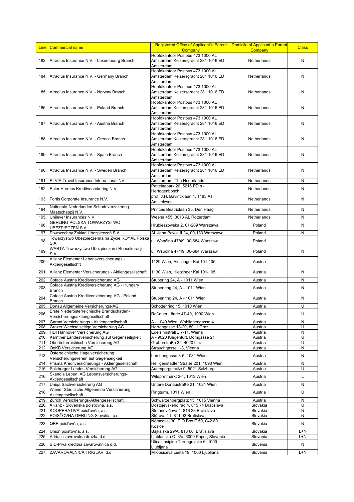| Hoofdkantoor Postbus 473 1000 AL<br>183. Atradius Insurance N.V. - Luxembourg Branch<br>Amsterdam Keizersgracht 281 1016 ED<br>Netherlands<br>N<br>Amsterdam<br>Hoofdkantoor Postbus 473 1000 AL<br>184. Atradius Insurance N.V. - Germany Branch<br>Amsterdam Keizersgracht 281 1016 ED<br>Netherlands<br>N<br>Amsterdam<br>Hoofdkantoor Postbus 473 1000 AL<br>185. Atradius Insurance N.V. - Norway Branch<br>Amsterdam Keizersgracht 281 1016 ED<br>Netherlands<br>N<br>Amsterdam<br>Hoofdkantoor Postbus 473 1000 AL<br>Amsterdam Keizersgracht 281 1016 ED<br>Atradius Insurance N.V. - Poland Branch<br>Netherlands<br>N<br>186.<br>Amsterdam<br>Hoofdkantoor Postbus 473 1000 AL<br>Amsterdam Keizersgracht 281 1016 ED<br>187. Atradius Insurance N.V. - Austria Branch<br>N<br>Netherlands<br>Amsterdam<br>Hoofdkantoor Postbus 473 1000 AL<br>188.<br>Atradius Insurance N.V. - Greece Branch<br>Amsterdam Keizersgracht 281 1016 ED<br>Netherlands<br>N<br>Amsterdam<br>Hoofdkantoor Postbus 473 1000 AL<br>189. Atradius Insurance N.V. - Spain Branch<br>Amsterdam Keizersgracht 281 1016 ED<br>Netherlands<br>N<br>Amsterdam<br>Hoofdkantoor Postbus 473 1000 AL<br>190.<br>Atradius Insurance N.V. - Sweden Branch<br>Amsterdam Keizersgracht 281 1016 ED<br>Netherlands<br>N<br>Amsterdam<br>Amsterdam, The Nederlands<br>ELVIA Travel Insurance International NV<br>N<br>191.<br>Netherlands<br>Pettelaapark 20, 5216 PD's -<br>192.<br>Euler Hermes Kreditverzekering N.V.<br>N<br>Netherlands<br>Hertogenbosch<br>prof. J.H. Bavincklaan 1, 1183 AT<br>N<br>193.<br>Fortis Corporate Insurance N.V.<br>Netherlands<br>Amstelvven<br>Nationale-Nederlanden Schadeverzekering<br>194.<br>Princes Beatrixlaan 35, Den Haag<br>Netherlands<br>Ν<br>Maatschappij N.V.<br>195.<br>Unilever Insurances N.V.<br>N<br>Weena 455, 3013 AL Rotterdam<br>Netherlands<br>GERLING POLSKA TOWARZYSTWO<br>196.<br>Hrubieszowska 2, 01-209 Warszawa<br>Poland<br>Ν<br>UBEZPIECZEŇ S.A.<br>197.<br>Powszechny Zaklad Ubezpieczeń S.A.<br>Al. Jana Pawla II 24, 00-133 Warszawa<br>Ν<br>Poland<br>Towarzystwo Ubezpieczeńna na Życie ROYAL Polska<br>ul. Wspólna 47/49, 00-684 Warszaw<br>198.<br>Poland<br>L<br>S.A.<br>WARTA Towarzystwo Ubezpieczeń i Reasekuracji<br>199.<br>N<br>ul. Wspólna 47/49, 00-684 Warszaw<br>Poland<br>S.A.<br>Allianz Elementar Lebensversicherungs -<br>200.<br>1129 Wien, Hietzinger Kai 101-105<br>Г<br>Austria<br>Aktiengesellschft<br>201.<br>Allianz Elementar Versicherungs - Aktiengesellschaft<br>Austria<br>N<br>1130 Wien, Hietzinger Kai 101-105<br>Coface Austria Kreditversicherung AG<br>Stubering 24, A - 1011 Wien<br>N<br>202.<br>Austria<br>Coface Austria Kreditversicherung AG - Hungary<br>203.<br>N<br>Stubenring 24, A - 1011 Wien<br>Austria<br><b>Branch</b><br>Coface Austria Kreditversicherung AG - Poland<br>204.<br>Stubenring 24, A - 1011 Wien<br>Austria<br>Ν<br><b>Branch</b><br>U<br>Donau Allgemeine Versicherungs-AG<br>205.<br>Schottenring 15, 1010 Wien<br>Austria<br>Erste Niederösterreichische Brandschaden-<br>206.<br>U<br>Roßauer Lände 47-49, 1090 Wien<br>Austria<br>Versicherungsaktiengesellschaft<br>207.<br>Garant Versicherungs - Aktiengesellschaft<br>A - 1040 Wien, Wohllebengasse 4<br>Austria<br>N<br>Grazer Wechselseitige Versicherung AG<br>Herrengasse 18-20, 8011 Graz<br>U<br>208.<br>Austria<br>HDI Hannover Versicherung AG<br>EdelsinnstraßE 7-11, Wiena<br>N<br>209.<br>Austria<br>U<br>Kärntner Landesversicherung auf Gegenseitigkeit<br>A - 9020 Klagenfurt, Domgasse 21<br>Austria<br>210.<br>Oberösterreichische Versicherung AG<br>Gruberstraße 32, 4020 Linz<br>U<br>211.<br>Austria<br>N<br>OeKB Versicherung AG<br>Strauchgasse 1-3, Vienna<br>212.<br>Austria<br>Österreichische Hagelversicherung<br>213.<br>N<br>Lerchengasse 3-5, 1081 Wien<br>Austria<br>Versicherungsverein auf Gegenseigkeit<br>Prisma Kreditversicherungs - Aktiengesellschaft<br>Heiligenstädter Straße 201, 1090 Wien<br>${\sf N}$<br>214.<br>Austria<br>Salzburger Landes-Versicherung AG<br>U<br>215.<br>Auerspergstraße 9, 5021 Salzburg<br>Austria<br>Skandia Leben AG Lebensversicherungs-<br>216.<br>Г<br>Wildpretmarkt 2-4, 1013 Wien<br>Austria<br>Aktiengesellschaft<br>Uniqa Sachversicherung AG<br>N<br>Untere Donaustraße 21, 1021 Wien<br>Austria<br>217.<br>Wiener Städtische Allgemeine Versicherung<br>218.<br>U<br>Ringturm, 1011 Wien<br>Austria<br>Aktiengesellschaft<br>Zürich Versicherungs-Aktiengesellschaft<br>Schwarzenbergplatz 15, 1015 Vienna<br>219.<br>Austria<br>N<br>U<br>Allianz - Slovenská poisťovna, a.s.<br>Dostojevského rad 4, 815 74 Bratislava<br>Slovakia<br>220.<br>KOOPERATIVA poisťovňa, a.s.<br>Štefanovičova 4, 816 23 Bratislava<br>Slovakia<br>N<br>221.<br>N<br>POISTOVNA GERLING Slovakia, a.s.<br>Slovakia<br>222.<br>Štůrova 11, 811 02 Bratislava<br>Němcovej 30, P.O.Box E 50, 042 80<br>N<br>223.<br>QBE poisťovňa, a.s.<br>Slovakia<br>Košice<br>Bajkalská 29/A, 813 60 Bratislava<br>Slovakia<br>224.<br>Union poisťovňa, a.s.<br>L+N<br>Adriatic zavrovalna družba d.d.<br>Ljublanska C. 3/a, 6000 Koper, Slovenia<br>Slovenia<br>$L+N$<br>225.<br>Ulica Josipine Turnograjske 6, 1000<br>N<br>226.<br>SID-Prva kreditna zavarovalnica d.d.<br>Slovenia<br>Ljubljana | Line | Commercial name             | Registered Office of Applicant's Parent<br>Domicile of Applicant's Parent<br>Company<br>Company |  | <b>Class</b> |
|-------------------------------------------------------------------------------------------------------------------------------------------------------------------------------------------------------------------------------------------------------------------------------------------------------------------------------------------------------------------------------------------------------------------------------------------------------------------------------------------------------------------------------------------------------------------------------------------------------------------------------------------------------------------------------------------------------------------------------------------------------------------------------------------------------------------------------------------------------------------------------------------------------------------------------------------------------------------------------------------------------------------------------------------------------------------------------------------------------------------------------------------------------------------------------------------------------------------------------------------------------------------------------------------------------------------------------------------------------------------------------------------------------------------------------------------------------------------------------------------------------------------------------------------------------------------------------------------------------------------------------------------------------------------------------------------------------------------------------------------------------------------------------------------------------------------------------------------------------------------------------------------------------------------------------------------------------------------------------------------------------------------------------------------------------------------------------------------------------------------------------------------------------------------------------------------------------------------------------------------------------------------------------------------------------------------------------------------------------------------------------------------------------------------------------------------------------------------------------------------------------------------------------------------------------------------------------------------------------------------------------------------------------------------------------------------------------------------------------------------------------------------------------------------------------------------------------------------------------------------------------------------------------------------------------------------------------------------------------------------------------------------------------------------------------------------------------------------------------------------------------------------------------------------------------------------------------------------------------------------------------------------------------------------------------------------------------------------------------------------------------------------------------------------------------------------------------------------------------------------------------------------------------------------------------------------------------------------------------------------------------------------------------------------------------------------------------------------------------------------------------------------------------------------------------------------------------------------------------------------------------------------------------------------------------------------------------------------------------------------------------------------------------------------------------------------------------------------------------------------------------------------------------------------------------------------------------------------------------------------------------------------------------------------------------------------------------------------------------------------------------------------------------------------------------------------------------------------------------------------------------------------------------------------------------------------------------------------------------------------------------------------------------------------------------------------------------------------------------------------------------------------------------------------------------------------------------------------------------------------------------------------------------------------------------------------------------------------------------------------------------------------------------------------------------------------------------------------------------------------------------------------------------------------------------------------------------------------------------------------------------------------------------------------------------------------------|------|-----------------------------|-------------------------------------------------------------------------------------------------|--|--------------|
|                                                                                                                                                                                                                                                                                                                                                                                                                                                                                                                                                                                                                                                                                                                                                                                                                                                                                                                                                                                                                                                                                                                                                                                                                                                                                                                                                                                                                                                                                                                                                                                                                                                                                                                                                                                                                                                                                                                                                                                                                                                                                                                                                                                                                                                                                                                                                                                                                                                                                                                                                                                                                                                                                                                                                                                                                                                                                                                                                                                                                                                                                                                                                                                                                                                                                                                                                                                                                                                                                                                                                                                                                                                                                                                                                                                                                                                                                                                                                                                                                                                                                                                                                                                                                                                                                                                                                                                                                                                                                                                                                                                                                                                                                                                                                                                                                                                                                                                                                                                                                                                                                                                                                                                                                                                                                                                         |      |                             |                                                                                                 |  |              |
|                                                                                                                                                                                                                                                                                                                                                                                                                                                                                                                                                                                                                                                                                                                                                                                                                                                                                                                                                                                                                                                                                                                                                                                                                                                                                                                                                                                                                                                                                                                                                                                                                                                                                                                                                                                                                                                                                                                                                                                                                                                                                                                                                                                                                                                                                                                                                                                                                                                                                                                                                                                                                                                                                                                                                                                                                                                                                                                                                                                                                                                                                                                                                                                                                                                                                                                                                                                                                                                                                                                                                                                                                                                                                                                                                                                                                                                                                                                                                                                                                                                                                                                                                                                                                                                                                                                                                                                                                                                                                                                                                                                                                                                                                                                                                                                                                                                                                                                                                                                                                                                                                                                                                                                                                                                                                                                         |      |                             |                                                                                                 |  |              |
|                                                                                                                                                                                                                                                                                                                                                                                                                                                                                                                                                                                                                                                                                                                                                                                                                                                                                                                                                                                                                                                                                                                                                                                                                                                                                                                                                                                                                                                                                                                                                                                                                                                                                                                                                                                                                                                                                                                                                                                                                                                                                                                                                                                                                                                                                                                                                                                                                                                                                                                                                                                                                                                                                                                                                                                                                                                                                                                                                                                                                                                                                                                                                                                                                                                                                                                                                                                                                                                                                                                                                                                                                                                                                                                                                                                                                                                                                                                                                                                                                                                                                                                                                                                                                                                                                                                                                                                                                                                                                                                                                                                                                                                                                                                                                                                                                                                                                                                                                                                                                                                                                                                                                                                                                                                                                                                         |      |                             |                                                                                                 |  |              |
|                                                                                                                                                                                                                                                                                                                                                                                                                                                                                                                                                                                                                                                                                                                                                                                                                                                                                                                                                                                                                                                                                                                                                                                                                                                                                                                                                                                                                                                                                                                                                                                                                                                                                                                                                                                                                                                                                                                                                                                                                                                                                                                                                                                                                                                                                                                                                                                                                                                                                                                                                                                                                                                                                                                                                                                                                                                                                                                                                                                                                                                                                                                                                                                                                                                                                                                                                                                                                                                                                                                                                                                                                                                                                                                                                                                                                                                                                                                                                                                                                                                                                                                                                                                                                                                                                                                                                                                                                                                                                                                                                                                                                                                                                                                                                                                                                                                                                                                                                                                                                                                                                                                                                                                                                                                                                                                         |      |                             |                                                                                                 |  |              |
|                                                                                                                                                                                                                                                                                                                                                                                                                                                                                                                                                                                                                                                                                                                                                                                                                                                                                                                                                                                                                                                                                                                                                                                                                                                                                                                                                                                                                                                                                                                                                                                                                                                                                                                                                                                                                                                                                                                                                                                                                                                                                                                                                                                                                                                                                                                                                                                                                                                                                                                                                                                                                                                                                                                                                                                                                                                                                                                                                                                                                                                                                                                                                                                                                                                                                                                                                                                                                                                                                                                                                                                                                                                                                                                                                                                                                                                                                                                                                                                                                                                                                                                                                                                                                                                                                                                                                                                                                                                                                                                                                                                                                                                                                                                                                                                                                                                                                                                                                                                                                                                                                                                                                                                                                                                                                                                         |      |                             |                                                                                                 |  |              |
|                                                                                                                                                                                                                                                                                                                                                                                                                                                                                                                                                                                                                                                                                                                                                                                                                                                                                                                                                                                                                                                                                                                                                                                                                                                                                                                                                                                                                                                                                                                                                                                                                                                                                                                                                                                                                                                                                                                                                                                                                                                                                                                                                                                                                                                                                                                                                                                                                                                                                                                                                                                                                                                                                                                                                                                                                                                                                                                                                                                                                                                                                                                                                                                                                                                                                                                                                                                                                                                                                                                                                                                                                                                                                                                                                                                                                                                                                                                                                                                                                                                                                                                                                                                                                                                                                                                                                                                                                                                                                                                                                                                                                                                                                                                                                                                                                                                                                                                                                                                                                                                                                                                                                                                                                                                                                                                         |      |                             |                                                                                                 |  |              |
|                                                                                                                                                                                                                                                                                                                                                                                                                                                                                                                                                                                                                                                                                                                                                                                                                                                                                                                                                                                                                                                                                                                                                                                                                                                                                                                                                                                                                                                                                                                                                                                                                                                                                                                                                                                                                                                                                                                                                                                                                                                                                                                                                                                                                                                                                                                                                                                                                                                                                                                                                                                                                                                                                                                                                                                                                                                                                                                                                                                                                                                                                                                                                                                                                                                                                                                                                                                                                                                                                                                                                                                                                                                                                                                                                                                                                                                                                                                                                                                                                                                                                                                                                                                                                                                                                                                                                                                                                                                                                                                                                                                                                                                                                                                                                                                                                                                                                                                                                                                                                                                                                                                                                                                                                                                                                                                         |      |                             |                                                                                                 |  |              |
|                                                                                                                                                                                                                                                                                                                                                                                                                                                                                                                                                                                                                                                                                                                                                                                                                                                                                                                                                                                                                                                                                                                                                                                                                                                                                                                                                                                                                                                                                                                                                                                                                                                                                                                                                                                                                                                                                                                                                                                                                                                                                                                                                                                                                                                                                                                                                                                                                                                                                                                                                                                                                                                                                                                                                                                                                                                                                                                                                                                                                                                                                                                                                                                                                                                                                                                                                                                                                                                                                                                                                                                                                                                                                                                                                                                                                                                                                                                                                                                                                                                                                                                                                                                                                                                                                                                                                                                                                                                                                                                                                                                                                                                                                                                                                                                                                                                                                                                                                                                                                                                                                                                                                                                                                                                                                                                         |      |                             |                                                                                                 |  |              |
|                                                                                                                                                                                                                                                                                                                                                                                                                                                                                                                                                                                                                                                                                                                                                                                                                                                                                                                                                                                                                                                                                                                                                                                                                                                                                                                                                                                                                                                                                                                                                                                                                                                                                                                                                                                                                                                                                                                                                                                                                                                                                                                                                                                                                                                                                                                                                                                                                                                                                                                                                                                                                                                                                                                                                                                                                                                                                                                                                                                                                                                                                                                                                                                                                                                                                                                                                                                                                                                                                                                                                                                                                                                                                                                                                                                                                                                                                                                                                                                                                                                                                                                                                                                                                                                                                                                                                                                                                                                                                                                                                                                                                                                                                                                                                                                                                                                                                                                                                                                                                                                                                                                                                                                                                                                                                                                         |      |                             |                                                                                                 |  |              |
|                                                                                                                                                                                                                                                                                                                                                                                                                                                                                                                                                                                                                                                                                                                                                                                                                                                                                                                                                                                                                                                                                                                                                                                                                                                                                                                                                                                                                                                                                                                                                                                                                                                                                                                                                                                                                                                                                                                                                                                                                                                                                                                                                                                                                                                                                                                                                                                                                                                                                                                                                                                                                                                                                                                                                                                                                                                                                                                                                                                                                                                                                                                                                                                                                                                                                                                                                                                                                                                                                                                                                                                                                                                                                                                                                                                                                                                                                                                                                                                                                                                                                                                                                                                                                                                                                                                                                                                                                                                                                                                                                                                                                                                                                                                                                                                                                                                                                                                                                                                                                                                                                                                                                                                                                                                                                                                         |      |                             |                                                                                                 |  |              |
|                                                                                                                                                                                                                                                                                                                                                                                                                                                                                                                                                                                                                                                                                                                                                                                                                                                                                                                                                                                                                                                                                                                                                                                                                                                                                                                                                                                                                                                                                                                                                                                                                                                                                                                                                                                                                                                                                                                                                                                                                                                                                                                                                                                                                                                                                                                                                                                                                                                                                                                                                                                                                                                                                                                                                                                                                                                                                                                                                                                                                                                                                                                                                                                                                                                                                                                                                                                                                                                                                                                                                                                                                                                                                                                                                                                                                                                                                                                                                                                                                                                                                                                                                                                                                                                                                                                                                                                                                                                                                                                                                                                                                                                                                                                                                                                                                                                                                                                                                                                                                                                                                                                                                                                                                                                                                                                         |      |                             |                                                                                                 |  |              |
|                                                                                                                                                                                                                                                                                                                                                                                                                                                                                                                                                                                                                                                                                                                                                                                                                                                                                                                                                                                                                                                                                                                                                                                                                                                                                                                                                                                                                                                                                                                                                                                                                                                                                                                                                                                                                                                                                                                                                                                                                                                                                                                                                                                                                                                                                                                                                                                                                                                                                                                                                                                                                                                                                                                                                                                                                                                                                                                                                                                                                                                                                                                                                                                                                                                                                                                                                                                                                                                                                                                                                                                                                                                                                                                                                                                                                                                                                                                                                                                                                                                                                                                                                                                                                                                                                                                                                                                                                                                                                                                                                                                                                                                                                                                                                                                                                                                                                                                                                                                                                                                                                                                                                                                                                                                                                                                         |      |                             |                                                                                                 |  |              |
|                                                                                                                                                                                                                                                                                                                                                                                                                                                                                                                                                                                                                                                                                                                                                                                                                                                                                                                                                                                                                                                                                                                                                                                                                                                                                                                                                                                                                                                                                                                                                                                                                                                                                                                                                                                                                                                                                                                                                                                                                                                                                                                                                                                                                                                                                                                                                                                                                                                                                                                                                                                                                                                                                                                                                                                                                                                                                                                                                                                                                                                                                                                                                                                                                                                                                                                                                                                                                                                                                                                                                                                                                                                                                                                                                                                                                                                                                                                                                                                                                                                                                                                                                                                                                                                                                                                                                                                                                                                                                                                                                                                                                                                                                                                                                                                                                                                                                                                                                                                                                                                                                                                                                                                                                                                                                                                         |      |                             |                                                                                                 |  |              |
|                                                                                                                                                                                                                                                                                                                                                                                                                                                                                                                                                                                                                                                                                                                                                                                                                                                                                                                                                                                                                                                                                                                                                                                                                                                                                                                                                                                                                                                                                                                                                                                                                                                                                                                                                                                                                                                                                                                                                                                                                                                                                                                                                                                                                                                                                                                                                                                                                                                                                                                                                                                                                                                                                                                                                                                                                                                                                                                                                                                                                                                                                                                                                                                                                                                                                                                                                                                                                                                                                                                                                                                                                                                                                                                                                                                                                                                                                                                                                                                                                                                                                                                                                                                                                                                                                                                                                                                                                                                                                                                                                                                                                                                                                                                                                                                                                                                                                                                                                                                                                                                                                                                                                                                                                                                                                                                         |      |                             |                                                                                                 |  |              |
|                                                                                                                                                                                                                                                                                                                                                                                                                                                                                                                                                                                                                                                                                                                                                                                                                                                                                                                                                                                                                                                                                                                                                                                                                                                                                                                                                                                                                                                                                                                                                                                                                                                                                                                                                                                                                                                                                                                                                                                                                                                                                                                                                                                                                                                                                                                                                                                                                                                                                                                                                                                                                                                                                                                                                                                                                                                                                                                                                                                                                                                                                                                                                                                                                                                                                                                                                                                                                                                                                                                                                                                                                                                                                                                                                                                                                                                                                                                                                                                                                                                                                                                                                                                                                                                                                                                                                                                                                                                                                                                                                                                                                                                                                                                                                                                                                                                                                                                                                                                                                                                                                                                                                                                                                                                                                                                         |      |                             |                                                                                                 |  |              |
|                                                                                                                                                                                                                                                                                                                                                                                                                                                                                                                                                                                                                                                                                                                                                                                                                                                                                                                                                                                                                                                                                                                                                                                                                                                                                                                                                                                                                                                                                                                                                                                                                                                                                                                                                                                                                                                                                                                                                                                                                                                                                                                                                                                                                                                                                                                                                                                                                                                                                                                                                                                                                                                                                                                                                                                                                                                                                                                                                                                                                                                                                                                                                                                                                                                                                                                                                                                                                                                                                                                                                                                                                                                                                                                                                                                                                                                                                                                                                                                                                                                                                                                                                                                                                                                                                                                                                                                                                                                                                                                                                                                                                                                                                                                                                                                                                                                                                                                                                                                                                                                                                                                                                                                                                                                                                                                         |      |                             |                                                                                                 |  |              |
|                                                                                                                                                                                                                                                                                                                                                                                                                                                                                                                                                                                                                                                                                                                                                                                                                                                                                                                                                                                                                                                                                                                                                                                                                                                                                                                                                                                                                                                                                                                                                                                                                                                                                                                                                                                                                                                                                                                                                                                                                                                                                                                                                                                                                                                                                                                                                                                                                                                                                                                                                                                                                                                                                                                                                                                                                                                                                                                                                                                                                                                                                                                                                                                                                                                                                                                                                                                                                                                                                                                                                                                                                                                                                                                                                                                                                                                                                                                                                                                                                                                                                                                                                                                                                                                                                                                                                                                                                                                                                                                                                                                                                                                                                                                                                                                                                                                                                                                                                                                                                                                                                                                                                                                                                                                                                                                         |      |                             |                                                                                                 |  |              |
|                                                                                                                                                                                                                                                                                                                                                                                                                                                                                                                                                                                                                                                                                                                                                                                                                                                                                                                                                                                                                                                                                                                                                                                                                                                                                                                                                                                                                                                                                                                                                                                                                                                                                                                                                                                                                                                                                                                                                                                                                                                                                                                                                                                                                                                                                                                                                                                                                                                                                                                                                                                                                                                                                                                                                                                                                                                                                                                                                                                                                                                                                                                                                                                                                                                                                                                                                                                                                                                                                                                                                                                                                                                                                                                                                                                                                                                                                                                                                                                                                                                                                                                                                                                                                                                                                                                                                                                                                                                                                                                                                                                                                                                                                                                                                                                                                                                                                                                                                                                                                                                                                                                                                                                                                                                                                                                         |      |                             |                                                                                                 |  |              |
|                                                                                                                                                                                                                                                                                                                                                                                                                                                                                                                                                                                                                                                                                                                                                                                                                                                                                                                                                                                                                                                                                                                                                                                                                                                                                                                                                                                                                                                                                                                                                                                                                                                                                                                                                                                                                                                                                                                                                                                                                                                                                                                                                                                                                                                                                                                                                                                                                                                                                                                                                                                                                                                                                                                                                                                                                                                                                                                                                                                                                                                                                                                                                                                                                                                                                                                                                                                                                                                                                                                                                                                                                                                                                                                                                                                                                                                                                                                                                                                                                                                                                                                                                                                                                                                                                                                                                                                                                                                                                                                                                                                                                                                                                                                                                                                                                                                                                                                                                                                                                                                                                                                                                                                                                                                                                                                         |      |                             |                                                                                                 |  |              |
|                                                                                                                                                                                                                                                                                                                                                                                                                                                                                                                                                                                                                                                                                                                                                                                                                                                                                                                                                                                                                                                                                                                                                                                                                                                                                                                                                                                                                                                                                                                                                                                                                                                                                                                                                                                                                                                                                                                                                                                                                                                                                                                                                                                                                                                                                                                                                                                                                                                                                                                                                                                                                                                                                                                                                                                                                                                                                                                                                                                                                                                                                                                                                                                                                                                                                                                                                                                                                                                                                                                                                                                                                                                                                                                                                                                                                                                                                                                                                                                                                                                                                                                                                                                                                                                                                                                                                                                                                                                                                                                                                                                                                                                                                                                                                                                                                                                                                                                                                                                                                                                                                                                                                                                                                                                                                                                         |      |                             |                                                                                                 |  |              |
|                                                                                                                                                                                                                                                                                                                                                                                                                                                                                                                                                                                                                                                                                                                                                                                                                                                                                                                                                                                                                                                                                                                                                                                                                                                                                                                                                                                                                                                                                                                                                                                                                                                                                                                                                                                                                                                                                                                                                                                                                                                                                                                                                                                                                                                                                                                                                                                                                                                                                                                                                                                                                                                                                                                                                                                                                                                                                                                                                                                                                                                                                                                                                                                                                                                                                                                                                                                                                                                                                                                                                                                                                                                                                                                                                                                                                                                                                                                                                                                                                                                                                                                                                                                                                                                                                                                                                                                                                                                                                                                                                                                                                                                                                                                                                                                                                                                                                                                                                                                                                                                                                                                                                                                                                                                                                                                         |      |                             |                                                                                                 |  |              |
|                                                                                                                                                                                                                                                                                                                                                                                                                                                                                                                                                                                                                                                                                                                                                                                                                                                                                                                                                                                                                                                                                                                                                                                                                                                                                                                                                                                                                                                                                                                                                                                                                                                                                                                                                                                                                                                                                                                                                                                                                                                                                                                                                                                                                                                                                                                                                                                                                                                                                                                                                                                                                                                                                                                                                                                                                                                                                                                                                                                                                                                                                                                                                                                                                                                                                                                                                                                                                                                                                                                                                                                                                                                                                                                                                                                                                                                                                                                                                                                                                                                                                                                                                                                                                                                                                                                                                                                                                                                                                                                                                                                                                                                                                                                                                                                                                                                                                                                                                                                                                                                                                                                                                                                                                                                                                                                         |      |                             |                                                                                                 |  |              |
|                                                                                                                                                                                                                                                                                                                                                                                                                                                                                                                                                                                                                                                                                                                                                                                                                                                                                                                                                                                                                                                                                                                                                                                                                                                                                                                                                                                                                                                                                                                                                                                                                                                                                                                                                                                                                                                                                                                                                                                                                                                                                                                                                                                                                                                                                                                                                                                                                                                                                                                                                                                                                                                                                                                                                                                                                                                                                                                                                                                                                                                                                                                                                                                                                                                                                                                                                                                                                                                                                                                                                                                                                                                                                                                                                                                                                                                                                                                                                                                                                                                                                                                                                                                                                                                                                                                                                                                                                                                                                                                                                                                                                                                                                                                                                                                                                                                                                                                                                                                                                                                                                                                                                                                                                                                                                                                         |      |                             |                                                                                                 |  |              |
|                                                                                                                                                                                                                                                                                                                                                                                                                                                                                                                                                                                                                                                                                                                                                                                                                                                                                                                                                                                                                                                                                                                                                                                                                                                                                                                                                                                                                                                                                                                                                                                                                                                                                                                                                                                                                                                                                                                                                                                                                                                                                                                                                                                                                                                                                                                                                                                                                                                                                                                                                                                                                                                                                                                                                                                                                                                                                                                                                                                                                                                                                                                                                                                                                                                                                                                                                                                                                                                                                                                                                                                                                                                                                                                                                                                                                                                                                                                                                                                                                                                                                                                                                                                                                                                                                                                                                                                                                                                                                                                                                                                                                                                                                                                                                                                                                                                                                                                                                                                                                                                                                                                                                                                                                                                                                                                         |      |                             |                                                                                                 |  |              |
|                                                                                                                                                                                                                                                                                                                                                                                                                                                                                                                                                                                                                                                                                                                                                                                                                                                                                                                                                                                                                                                                                                                                                                                                                                                                                                                                                                                                                                                                                                                                                                                                                                                                                                                                                                                                                                                                                                                                                                                                                                                                                                                                                                                                                                                                                                                                                                                                                                                                                                                                                                                                                                                                                                                                                                                                                                                                                                                                                                                                                                                                                                                                                                                                                                                                                                                                                                                                                                                                                                                                                                                                                                                                                                                                                                                                                                                                                                                                                                                                                                                                                                                                                                                                                                                                                                                                                                                                                                                                                                                                                                                                                                                                                                                                                                                                                                                                                                                                                                                                                                                                                                                                                                                                                                                                                                                         |      |                             |                                                                                                 |  |              |
|                                                                                                                                                                                                                                                                                                                                                                                                                                                                                                                                                                                                                                                                                                                                                                                                                                                                                                                                                                                                                                                                                                                                                                                                                                                                                                                                                                                                                                                                                                                                                                                                                                                                                                                                                                                                                                                                                                                                                                                                                                                                                                                                                                                                                                                                                                                                                                                                                                                                                                                                                                                                                                                                                                                                                                                                                                                                                                                                                                                                                                                                                                                                                                                                                                                                                                                                                                                                                                                                                                                                                                                                                                                                                                                                                                                                                                                                                                                                                                                                                                                                                                                                                                                                                                                                                                                                                                                                                                                                                                                                                                                                                                                                                                                                                                                                                                                                                                                                                                                                                                                                                                                                                                                                                                                                                                                         |      |                             |                                                                                                 |  |              |
|                                                                                                                                                                                                                                                                                                                                                                                                                                                                                                                                                                                                                                                                                                                                                                                                                                                                                                                                                                                                                                                                                                                                                                                                                                                                                                                                                                                                                                                                                                                                                                                                                                                                                                                                                                                                                                                                                                                                                                                                                                                                                                                                                                                                                                                                                                                                                                                                                                                                                                                                                                                                                                                                                                                                                                                                                                                                                                                                                                                                                                                                                                                                                                                                                                                                                                                                                                                                                                                                                                                                                                                                                                                                                                                                                                                                                                                                                                                                                                                                                                                                                                                                                                                                                                                                                                                                                                                                                                                                                                                                                                                                                                                                                                                                                                                                                                                                                                                                                                                                                                                                                                                                                                                                                                                                                                                         |      |                             |                                                                                                 |  |              |
|                                                                                                                                                                                                                                                                                                                                                                                                                                                                                                                                                                                                                                                                                                                                                                                                                                                                                                                                                                                                                                                                                                                                                                                                                                                                                                                                                                                                                                                                                                                                                                                                                                                                                                                                                                                                                                                                                                                                                                                                                                                                                                                                                                                                                                                                                                                                                                                                                                                                                                                                                                                                                                                                                                                                                                                                                                                                                                                                                                                                                                                                                                                                                                                                                                                                                                                                                                                                                                                                                                                                                                                                                                                                                                                                                                                                                                                                                                                                                                                                                                                                                                                                                                                                                                                                                                                                                                                                                                                                                                                                                                                                                                                                                                                                                                                                                                                                                                                                                                                                                                                                                                                                                                                                                                                                                                                         |      |                             |                                                                                                 |  |              |
|                                                                                                                                                                                                                                                                                                                                                                                                                                                                                                                                                                                                                                                                                                                                                                                                                                                                                                                                                                                                                                                                                                                                                                                                                                                                                                                                                                                                                                                                                                                                                                                                                                                                                                                                                                                                                                                                                                                                                                                                                                                                                                                                                                                                                                                                                                                                                                                                                                                                                                                                                                                                                                                                                                                                                                                                                                                                                                                                                                                                                                                                                                                                                                                                                                                                                                                                                                                                                                                                                                                                                                                                                                                                                                                                                                                                                                                                                                                                                                                                                                                                                                                                                                                                                                                                                                                                                                                                                                                                                                                                                                                                                                                                                                                                                                                                                                                                                                                                                                                                                                                                                                                                                                                                                                                                                                                         |      |                             |                                                                                                 |  |              |
|                                                                                                                                                                                                                                                                                                                                                                                                                                                                                                                                                                                                                                                                                                                                                                                                                                                                                                                                                                                                                                                                                                                                                                                                                                                                                                                                                                                                                                                                                                                                                                                                                                                                                                                                                                                                                                                                                                                                                                                                                                                                                                                                                                                                                                                                                                                                                                                                                                                                                                                                                                                                                                                                                                                                                                                                                                                                                                                                                                                                                                                                                                                                                                                                                                                                                                                                                                                                                                                                                                                                                                                                                                                                                                                                                                                                                                                                                                                                                                                                                                                                                                                                                                                                                                                                                                                                                                                                                                                                                                                                                                                                                                                                                                                                                                                                                                                                                                                                                                                                                                                                                                                                                                                                                                                                                                                         |      |                             |                                                                                                 |  |              |
|                                                                                                                                                                                                                                                                                                                                                                                                                                                                                                                                                                                                                                                                                                                                                                                                                                                                                                                                                                                                                                                                                                                                                                                                                                                                                                                                                                                                                                                                                                                                                                                                                                                                                                                                                                                                                                                                                                                                                                                                                                                                                                                                                                                                                                                                                                                                                                                                                                                                                                                                                                                                                                                                                                                                                                                                                                                                                                                                                                                                                                                                                                                                                                                                                                                                                                                                                                                                                                                                                                                                                                                                                                                                                                                                                                                                                                                                                                                                                                                                                                                                                                                                                                                                                                                                                                                                                                                                                                                                                                                                                                                                                                                                                                                                                                                                                                                                                                                                                                                                                                                                                                                                                                                                                                                                                                                         |      |                             |                                                                                                 |  |              |
|                                                                                                                                                                                                                                                                                                                                                                                                                                                                                                                                                                                                                                                                                                                                                                                                                                                                                                                                                                                                                                                                                                                                                                                                                                                                                                                                                                                                                                                                                                                                                                                                                                                                                                                                                                                                                                                                                                                                                                                                                                                                                                                                                                                                                                                                                                                                                                                                                                                                                                                                                                                                                                                                                                                                                                                                                                                                                                                                                                                                                                                                                                                                                                                                                                                                                                                                                                                                                                                                                                                                                                                                                                                                                                                                                                                                                                                                                                                                                                                                                                                                                                                                                                                                                                                                                                                                                                                                                                                                                                                                                                                                                                                                                                                                                                                                                                                                                                                                                                                                                                                                                                                                                                                                                                                                                                                         |      |                             |                                                                                                 |  |              |
|                                                                                                                                                                                                                                                                                                                                                                                                                                                                                                                                                                                                                                                                                                                                                                                                                                                                                                                                                                                                                                                                                                                                                                                                                                                                                                                                                                                                                                                                                                                                                                                                                                                                                                                                                                                                                                                                                                                                                                                                                                                                                                                                                                                                                                                                                                                                                                                                                                                                                                                                                                                                                                                                                                                                                                                                                                                                                                                                                                                                                                                                                                                                                                                                                                                                                                                                                                                                                                                                                                                                                                                                                                                                                                                                                                                                                                                                                                                                                                                                                                                                                                                                                                                                                                                                                                                                                                                                                                                                                                                                                                                                                                                                                                                                                                                                                                                                                                                                                                                                                                                                                                                                                                                                                                                                                                                         |      |                             |                                                                                                 |  |              |
|                                                                                                                                                                                                                                                                                                                                                                                                                                                                                                                                                                                                                                                                                                                                                                                                                                                                                                                                                                                                                                                                                                                                                                                                                                                                                                                                                                                                                                                                                                                                                                                                                                                                                                                                                                                                                                                                                                                                                                                                                                                                                                                                                                                                                                                                                                                                                                                                                                                                                                                                                                                                                                                                                                                                                                                                                                                                                                                                                                                                                                                                                                                                                                                                                                                                                                                                                                                                                                                                                                                                                                                                                                                                                                                                                                                                                                                                                                                                                                                                                                                                                                                                                                                                                                                                                                                                                                                                                                                                                                                                                                                                                                                                                                                                                                                                                                                                                                                                                                                                                                                                                                                                                                                                                                                                                                                         |      |                             |                                                                                                 |  |              |
|                                                                                                                                                                                                                                                                                                                                                                                                                                                                                                                                                                                                                                                                                                                                                                                                                                                                                                                                                                                                                                                                                                                                                                                                                                                                                                                                                                                                                                                                                                                                                                                                                                                                                                                                                                                                                                                                                                                                                                                                                                                                                                                                                                                                                                                                                                                                                                                                                                                                                                                                                                                                                                                                                                                                                                                                                                                                                                                                                                                                                                                                                                                                                                                                                                                                                                                                                                                                                                                                                                                                                                                                                                                                                                                                                                                                                                                                                                                                                                                                                                                                                                                                                                                                                                                                                                                                                                                                                                                                                                                                                                                                                                                                                                                                                                                                                                                                                                                                                                                                                                                                                                                                                                                                                                                                                                                         |      |                             |                                                                                                 |  |              |
|                                                                                                                                                                                                                                                                                                                                                                                                                                                                                                                                                                                                                                                                                                                                                                                                                                                                                                                                                                                                                                                                                                                                                                                                                                                                                                                                                                                                                                                                                                                                                                                                                                                                                                                                                                                                                                                                                                                                                                                                                                                                                                                                                                                                                                                                                                                                                                                                                                                                                                                                                                                                                                                                                                                                                                                                                                                                                                                                                                                                                                                                                                                                                                                                                                                                                                                                                                                                                                                                                                                                                                                                                                                                                                                                                                                                                                                                                                                                                                                                                                                                                                                                                                                                                                                                                                                                                                                                                                                                                                                                                                                                                                                                                                                                                                                                                                                                                                                                                                                                                                                                                                                                                                                                                                                                                                                         |      |                             |                                                                                                 |  |              |
|                                                                                                                                                                                                                                                                                                                                                                                                                                                                                                                                                                                                                                                                                                                                                                                                                                                                                                                                                                                                                                                                                                                                                                                                                                                                                                                                                                                                                                                                                                                                                                                                                                                                                                                                                                                                                                                                                                                                                                                                                                                                                                                                                                                                                                                                                                                                                                                                                                                                                                                                                                                                                                                                                                                                                                                                                                                                                                                                                                                                                                                                                                                                                                                                                                                                                                                                                                                                                                                                                                                                                                                                                                                                                                                                                                                                                                                                                                                                                                                                                                                                                                                                                                                                                                                                                                                                                                                                                                                                                                                                                                                                                                                                                                                                                                                                                                                                                                                                                                                                                                                                                                                                                                                                                                                                                                                         |      |                             |                                                                                                 |  |              |
|                                                                                                                                                                                                                                                                                                                                                                                                                                                                                                                                                                                                                                                                                                                                                                                                                                                                                                                                                                                                                                                                                                                                                                                                                                                                                                                                                                                                                                                                                                                                                                                                                                                                                                                                                                                                                                                                                                                                                                                                                                                                                                                                                                                                                                                                                                                                                                                                                                                                                                                                                                                                                                                                                                                                                                                                                                                                                                                                                                                                                                                                                                                                                                                                                                                                                                                                                                                                                                                                                                                                                                                                                                                                                                                                                                                                                                                                                                                                                                                                                                                                                                                                                                                                                                                                                                                                                                                                                                                                                                                                                                                                                                                                                                                                                                                                                                                                                                                                                                                                                                                                                                                                                                                                                                                                                                                         |      |                             |                                                                                                 |  |              |
|                                                                                                                                                                                                                                                                                                                                                                                                                                                                                                                                                                                                                                                                                                                                                                                                                                                                                                                                                                                                                                                                                                                                                                                                                                                                                                                                                                                                                                                                                                                                                                                                                                                                                                                                                                                                                                                                                                                                                                                                                                                                                                                                                                                                                                                                                                                                                                                                                                                                                                                                                                                                                                                                                                                                                                                                                                                                                                                                                                                                                                                                                                                                                                                                                                                                                                                                                                                                                                                                                                                                                                                                                                                                                                                                                                                                                                                                                                                                                                                                                                                                                                                                                                                                                                                                                                                                                                                                                                                                                                                                                                                                                                                                                                                                                                                                                                                                                                                                                                                                                                                                                                                                                                                                                                                                                                                         |      |                             |                                                                                                 |  |              |
|                                                                                                                                                                                                                                                                                                                                                                                                                                                                                                                                                                                                                                                                                                                                                                                                                                                                                                                                                                                                                                                                                                                                                                                                                                                                                                                                                                                                                                                                                                                                                                                                                                                                                                                                                                                                                                                                                                                                                                                                                                                                                                                                                                                                                                                                                                                                                                                                                                                                                                                                                                                                                                                                                                                                                                                                                                                                                                                                                                                                                                                                                                                                                                                                                                                                                                                                                                                                                                                                                                                                                                                                                                                                                                                                                                                                                                                                                                                                                                                                                                                                                                                                                                                                                                                                                                                                                                                                                                                                                                                                                                                                                                                                                                                                                                                                                                                                                                                                                                                                                                                                                                                                                                                                                                                                                                                         |      |                             |                                                                                                 |  |              |
|                                                                                                                                                                                                                                                                                                                                                                                                                                                                                                                                                                                                                                                                                                                                                                                                                                                                                                                                                                                                                                                                                                                                                                                                                                                                                                                                                                                                                                                                                                                                                                                                                                                                                                                                                                                                                                                                                                                                                                                                                                                                                                                                                                                                                                                                                                                                                                                                                                                                                                                                                                                                                                                                                                                                                                                                                                                                                                                                                                                                                                                                                                                                                                                                                                                                                                                                                                                                                                                                                                                                                                                                                                                                                                                                                                                                                                                                                                                                                                                                                                                                                                                                                                                                                                                                                                                                                                                                                                                                                                                                                                                                                                                                                                                                                                                                                                                                                                                                                                                                                                                                                                                                                                                                                                                                                                                         |      |                             |                                                                                                 |  |              |
|                                                                                                                                                                                                                                                                                                                                                                                                                                                                                                                                                                                                                                                                                                                                                                                                                                                                                                                                                                                                                                                                                                                                                                                                                                                                                                                                                                                                                                                                                                                                                                                                                                                                                                                                                                                                                                                                                                                                                                                                                                                                                                                                                                                                                                                                                                                                                                                                                                                                                                                                                                                                                                                                                                                                                                                                                                                                                                                                                                                                                                                                                                                                                                                                                                                                                                                                                                                                                                                                                                                                                                                                                                                                                                                                                                                                                                                                                                                                                                                                                                                                                                                                                                                                                                                                                                                                                                                                                                                                                                                                                                                                                                                                                                                                                                                                                                                                                                                                                                                                                                                                                                                                                                                                                                                                                                                         |      |                             |                                                                                                 |  |              |
|                                                                                                                                                                                                                                                                                                                                                                                                                                                                                                                                                                                                                                                                                                                                                                                                                                                                                                                                                                                                                                                                                                                                                                                                                                                                                                                                                                                                                                                                                                                                                                                                                                                                                                                                                                                                                                                                                                                                                                                                                                                                                                                                                                                                                                                                                                                                                                                                                                                                                                                                                                                                                                                                                                                                                                                                                                                                                                                                                                                                                                                                                                                                                                                                                                                                                                                                                                                                                                                                                                                                                                                                                                                                                                                                                                                                                                                                                                                                                                                                                                                                                                                                                                                                                                                                                                                                                                                                                                                                                                                                                                                                                                                                                                                                                                                                                                                                                                                                                                                                                                                                                                                                                                                                                                                                                                                         |      |                             |                                                                                                 |  |              |
|                                                                                                                                                                                                                                                                                                                                                                                                                                                                                                                                                                                                                                                                                                                                                                                                                                                                                                                                                                                                                                                                                                                                                                                                                                                                                                                                                                                                                                                                                                                                                                                                                                                                                                                                                                                                                                                                                                                                                                                                                                                                                                                                                                                                                                                                                                                                                                                                                                                                                                                                                                                                                                                                                                                                                                                                                                                                                                                                                                                                                                                                                                                                                                                                                                                                                                                                                                                                                                                                                                                                                                                                                                                                                                                                                                                                                                                                                                                                                                                                                                                                                                                                                                                                                                                                                                                                                                                                                                                                                                                                                                                                                                                                                                                                                                                                                                                                                                                                                                                                                                                                                                                                                                                                                                                                                                                         |      |                             |                                                                                                 |  |              |
|                                                                                                                                                                                                                                                                                                                                                                                                                                                                                                                                                                                                                                                                                                                                                                                                                                                                                                                                                                                                                                                                                                                                                                                                                                                                                                                                                                                                                                                                                                                                                                                                                                                                                                                                                                                                                                                                                                                                                                                                                                                                                                                                                                                                                                                                                                                                                                                                                                                                                                                                                                                                                                                                                                                                                                                                                                                                                                                                                                                                                                                                                                                                                                                                                                                                                                                                                                                                                                                                                                                                                                                                                                                                                                                                                                                                                                                                                                                                                                                                                                                                                                                                                                                                                                                                                                                                                                                                                                                                                                                                                                                                                                                                                                                                                                                                                                                                                                                                                                                                                                                                                                                                                                                                                                                                                                                         |      |                             |                                                                                                 |  |              |
|                                                                                                                                                                                                                                                                                                                                                                                                                                                                                                                                                                                                                                                                                                                                                                                                                                                                                                                                                                                                                                                                                                                                                                                                                                                                                                                                                                                                                                                                                                                                                                                                                                                                                                                                                                                                                                                                                                                                                                                                                                                                                                                                                                                                                                                                                                                                                                                                                                                                                                                                                                                                                                                                                                                                                                                                                                                                                                                                                                                                                                                                                                                                                                                                                                                                                                                                                                                                                                                                                                                                                                                                                                                                                                                                                                                                                                                                                                                                                                                                                                                                                                                                                                                                                                                                                                                                                                                                                                                                                                                                                                                                                                                                                                                                                                                                                                                                                                                                                                                                                                                                                                                                                                                                                                                                                                                         | 227. | ZAVAROVALNICA TRIGLAV, d.d. | Miklošičeva cesta 19, 1000 Ljubljana<br>Slovenia                                                |  | L+N          |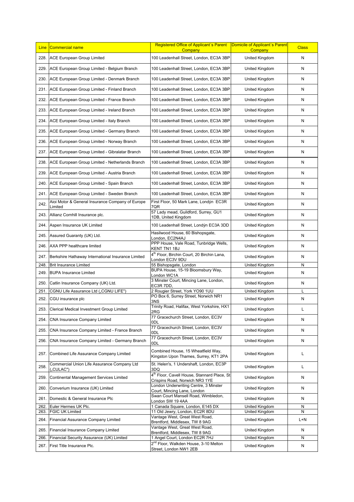| <b>Line</b> | Commercial name                                         | Domicile of Applicant's Parent<br>Registered Office of Applicant's Parent<br>Company<br>Company |                       | <b>Class</b> |
|-------------|---------------------------------------------------------|-------------------------------------------------------------------------------------------------|-----------------------|--------------|
| 228.        | <b>ACE European Group Limited</b>                       | 100 Leadenhall Street, London, EC3A 3BP                                                         | <b>United Kingdom</b> | N            |
| 229.        | ACE European Group Limited - Belgium Branch             | 100 Leadenhall Street, London, EC3A 3BP                                                         | United Kingdom        | N            |
| 230.        | ACE European Group Limited - Denmark Branch             | 100 Leadenhall Street, London, EC3A 3BP                                                         | United Kingdom        | N            |
| 231.        | ACE European Group Limited - Finland Branch             | 100 Leadenhall Street, London, EC3A 3BP                                                         | United Kingdom        | Ν            |
| 232.        | ACE European Group Limited - France Branch              | 100 Leadenhall Street, London, EC3A 3BP                                                         | United Kingdom        | Ν            |
| 233.        | ACE European Group Limited - Ireland Branch             | 100 Leadenhall Street, London, EC3A 3BP                                                         | United Kingdom        | N            |
| 234.        | ACE European Group Limited - Italy Branch               | 100 Leadenhall Street, London, EC3A 3BP                                                         | United Kingdom        | N            |
| 235.        | ACE European Group Limited - Germany Branch             | 100 Leadenhall Street, London, EC3A 3BP                                                         | United Kingdom        | N            |
| 236.        | ACE European Group Limited - Norway Branch              | 100 Leadenhall Street, London, EC3A 3BP                                                         | United Kingdom        | Ν            |
| 237.        | ACE European Group Limited - Gibralatar Branch          | 100 Leadenhall Street, London, EC3A 3BP                                                         | United Kingdom        | Ν            |
| 238.        | ACE European Group Limited - Netherlands Branch         | 100 Leadenhall Street, London, EC3A 3BP                                                         | United Kingdom        | Ν            |
| 239.        | ACE European Group Limited - Austria Branch             | 100 Leadenhall Street, London, EC3A 3BP                                                         | United Kingdom        | N            |
| 240.        | ACE European Group Limited - Spain Branch               | 100 Leadenhall Street, London, EC3A 3BP                                                         | United Kingdom        | N            |
| 241.        | ACE European Group Limited - Sweden Branch              | 100 Leadenhall Street, London, EC3A 3BP                                                         | United Kingdom        | N            |
| 242.        | Aioi Motor & General Insurance Company of Europe        | First Floor, 50 Mark Lane, Londýn EC3R                                                          | United Kingdom        |              |
| 243.        | Limited<br>Allianz Cornhill Insurance plc.              | 7QR<br>57 Lady mead, Guildford, Surrey, GU1                                                     | United Kingdom        | N<br>N       |
| 244.        | Aspen Insurance UK Limited                              | 1DB, United Kingdom<br>100 Leadenhall Street, Londýn EC3A 3DD<br>United Kingdom                 |                       | Ν            |
| 245.        | Assured Guaranty (UK) Ltd.                              | Hasilwood House, 60 Bishopsgate,<br>United Kingdom                                              |                       | Ν            |
| 246.        | AXA PPP healthcare limited                              | London, EC2N4AJ<br>PPP House, Vale Road, Tunbridge Wells,                                       | United Kingdom        | N            |
| 247.        | Berkshire Hathaway International Insurance Limited      | KENT TN1 1BJ<br>4 <sup>th</sup> Floor, Birchin Court, 20 Birchin Lana,<br>United Kingdom        |                       | N            |
| 248.        | <b>Brit Insurance Limited</b>                           | London EC3V 9DU<br>55 Bishopsgate, London                                                       | United Kingdom        | N            |
| 249.        | <b>BUPA Insurance Limited</b>                           | BUPA House, 15-19 Bloomsbury Way,<br>United Kingdom<br>London WC1A                              |                       | N            |
| 250.        | Catlin Insurance Company (UK) Ltd.                      | 3 Minster Court, Mincing Lane, London,<br>United Kingdom<br>EC3R 7DD,                           |                       | N            |
| 251         | CGNU Life Assurance Ltd ("CGNU LIFE")                   | 2 Rougier Street, York YO90 1UU                                                                 | United Kingdom        |              |
| 252.        | CGU insurance plc                                       | PO Box 6, Surrey Street, Norwich NR1<br>3NS                                                     | United Kingdom        | N            |
| 253.        | Clerical Medical Investment Group Limited               | Trinity Road, Halifax, West Yorkshire, HX1<br>2RG                                               | United Kingdom        |              |
| 254.        | CNA Insurance Company Limited                           | 77 Gracechurch Street, London, EC3V<br>0DL                                                      | United Kingdom        | N            |
| 255.        | CNA Insurance Company Limited - France Branch           | 77 Gracechurch Street, London, EC3V<br>0DL                                                      | United Kingdom        | N            |
| 256.        | CNA Insurance Company Limited - Germany Branch          | 77 Gracechurch Street, London, EC3V<br>0DL                                                      | United Kingdom        | N            |
| 257.        | Combined Life Assurance Company Limited                 | Combined House, 15 Wheatfield Way,<br>Kingston Upon Thames, Surrey, KT1 2PA                     | United Kingdom        | L            |
| 258.        | Commercial Union Life Assurance Company Ltd<br>,CULAC") | St. Helen's, 1 Undershaft, London, EC3P<br>United Kingdom                                       |                       | L            |
| 259.        | Continental Management Services Limited                 | 3DQ<br>4 <sup>th</sup> Floor, Cavell House, Stannard Place, St<br>United Kingdom                |                       | N            |
| 260.        | Converium Insurance (UK) Limited                        | Crispins Road, Norwich NR3 1YE<br>London Underwriting Centre, 3 Minster<br>United Kingdom       |                       | Ν            |
| 261.        | Domestic & General Insurance Plc                        | Court, Mincing Lane, London<br>Swan Court Mansell Road, Wimbledon,<br>United Kingdom            |                       | N            |
| 262.        | Euler Hermes UK Plc.                                    | London SW 19 4AA<br>1 Canada Square, London, E145 DX<br>United Kingdom                          |                       | N            |
| 263.        | <b>FGIC UK Limited</b>                                  | 11 Old Jewry, London, EC2R 8DU<br>United Kingdom                                                |                       | N            |
| 264.        | Financial Assurance Company Limited                     | Vantage West, Great West Road,<br>Brentford, Middlesex, TW 8 9AG                                | United Kingdom        | $L+N$        |
| 265.        | Financial Insurance Company Limited                     | Vantage West, Great West Road,<br>United Kingdom<br>Brentford, Middlesex, TW 8 9AG              |                       | N            |
| 266.        | Financial Security Assurance (UK) Limited               | 1 Angel Court, London EC2R 7HJ                                                                  | United Kingdom        | N            |
| 267.        | First Title Insurance Plc.                              | 2 <sup>nd</sup> Floor, Walkden House, 3-10 Melton<br>Street, London NW1 2EB                     | United Kingdom        | N            |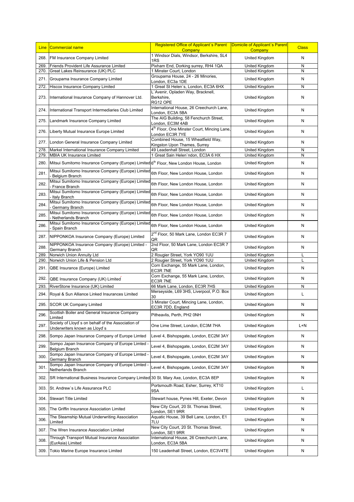| <b>Line</b> | Commercial name                                                                                    | Registered Office of Applicant's Parent<br>Company                         | Domicile of Applicant's Parent<br>Company | <b>Class</b> |
|-------------|----------------------------------------------------------------------------------------------------|----------------------------------------------------------------------------|-------------------------------------------|--------------|
| 268.        | FM Insurance Company Limited                                                                       | 1 Windsor Dials, Windsor, Berkshire, SL4<br>1RS                            | United Kingdom                            | N            |
| 269.        | Friends Provident Life Assurance Limited                                                           | Pixham End, Dorking surrey, RH4 1QA                                        | United Kingdom                            | N            |
| 270.        | Great Lakes Reinsurance (UK) PLC                                                                   | 1 Minster Court, London                                                    | United Kingdom                            | N            |
| 271.        | Groupama Insurance Company Limited                                                                 | Groupama House, 24 - 26 Minories,<br>London, EC3a 1DE                      | United Kingdom                            | N            |
| 272.        | Hiscox Insurance Company Limited                                                                   | 1 Great St Helen's, London, EC3A 6HX                                       | United Kingdom                            | N            |
| 273.        | International Insurance Company of Hannover Ltd.                                                   | L'Avenir, Opladen Way, Bracknell,<br>Berkshire,<br>RG12 OPE                | United Kingdom                            | N            |
| 274.        | International Transport Intermediaries Club Limited                                                | International House, 26 Creechurch Lane,<br>London, EC3A 5BA               | United Kingdom                            | N            |
| 275.        | Landmark Insurance Company Limited                                                                 | The AIG Building, 58 Fenchurch Street,<br>London, EC3M 4AB                 | United Kingdom                            | N            |
| 276.        | Liberty Mutual Insurance Europe Limited                                                            | 4 <sup>th</sup> Floor, One Minster Court, Mincing Lane,<br>London EC3R 7YE | United Kingdom                            | N            |
| 277.        | London General Insurance Company Limited                                                           | Combined House, 15 Wheatfield Way,<br>Kingston Upon Thames, Surrey         | United Kingdom                            | N            |
| 278.        | Markel International Insurance Company Limited                                                     | 49 Leadenhall Street, London                                               | United Kingdom                            | N            |
| 279.        | <b>MBIA UK Insurance Limited</b>                                                                   | 1 Great Sain Helen'ndon, EC3A 6 HX                                         | United Kingdom                            | N            |
| 280.        | Mitsui Sumitomo Insurance Company (Europe) Limited 6 <sup>th</sup> Floor, New London House, London |                                                                            | United Kingdom                            | N            |
| 281.        | Mitsui Sumitomo Insurance Company (Europe) Limited<br>Belgium Branch                               | 6th Floor, New London House, London                                        | United Kingdom                            | N            |
| 282.        | Mitsui Sumitomo Insurance Company (Europe) Limited<br>France Branch                                | 6th Floor, New London House, London                                        | United Kingdom                            | Ν            |
| 283.        | Mitsui Sumitomo Insurance Company (Europe) Limited<br>Italy Branch                                 | 6th Floor, New London House, London                                        | United Kingdom                            | N            |
| 284.        | Mitsui Sumitomo Insurance Company (Europe) Limited<br>Germany Branch                               | 6th Floor, New London House, London<br>United Kingdom                      |                                           | N            |
| 285.        | Mitsui Sumitomo Insurance Company (Europe) Limited<br>Netherlands Branch                           | 6th Floor, New London House, London                                        | United Kingdom                            | N            |
| 286.        | Mitsui Sumitomo Insurance Company (Europe) Limited<br>Spain Branch                                 | 6th Floor, New London House, London                                        | United Kingdom                            | N            |
| 287.        | NIPPONKOA Insurance Company (Europe) Limited                                                       | 2 <sup>nd</sup> Floor, 50 Mark Lane, London EC3R 7<br>QR                   | United Kingdom                            |              |
| 288.        | NIPPONKOA Insurance Company (Europe) Limited -<br>Germany Branch                                   | 2nd Floor, 50 Mark Lane, London EC3R 7<br>QR                               | United Kingdom                            | N            |
| 289.        | Norwich Union Annuity Ltd                                                                          | 2 Rougier Street, York YO90 1UU                                            | United Kingdom                            | L            |
| 290.        | Norwich Union Life & Pension Ltd                                                                   | 2 Rougier Street, York YO90 1UU                                            | United Kingdom                            |              |
| 291.        | QBE Insurance (Europe) Limited                                                                     | Corn Exchange, 55 Mark Lane, London,<br>EC3R 7NE                           | United Kingdom                            | N            |
| 292.        | QBE Insurance Company (UK) Limited                                                                 | Corn Exchange, 55 Mark Lane, London,<br>United Kingdom<br>EC3R 7NE         |                                           | N            |
| 293.        | RiverStone Insurance (UK) Limited                                                                  | 66 Mark Lane, London, EC3R 7HS                                             | United Kingdom                            | Ν            |
| 294.        | Royal & Sun Alliance Linked Insurances Limited                                                     | Merseyside, L69 3HS, Liverpool, P.O. Box<br>30                             | United Kingdom                            | L            |
|             | 295. SCOR UK Company Limited                                                                       | 3 Minster Court, Mincing Lane, London,<br>EC3R 7DD, England                | United Kingdom                            | Ν            |
| 296.        | Scottish Boiler and General Insurance Company<br>Limited                                           | Pitheavlis, Perth, PH2 0NH                                                 | United Kingdom                            | Ν            |
| 297.        | Society of Lloyd's on behalf of the Association of<br>Underwriters known as Lloyd's                | One Lime Street, London, EC3M 7HA                                          | United Kingdom                            | L+N          |
| 298.        | Sompo Japan Insurance Company of Europe Limted                                                     | Level 4, Bishopsgate, London, EC2M 3AY                                     | United Kingdom                            | N            |
| 299.        | Sompo Japan Insurance Company of Europe Limted -<br>Belgium Branch                                 | Level 4, Bishopsgate, London, EC2M 3AY<br>United Kingdom                   |                                           | Ν            |
| 300.        | Sompo Japan Insurance Company of Europe Limted<br>Germany Branch                                   | Level 4, Bishopsgate, London, EC2M 3AY<br>United Kingdom                   |                                           | N            |
| 301.        | Sompo Japan Insurance Company of Europe Limted -<br>Netherlands Branch                             | Level 4, Bishopsgate, London, EC2M 3AY<br>United Kingdom                   |                                           | Ν            |
| 302.        | SR International Business Insurance Company Limited 30 St. Mary Axe, London, EC3A 8EP              | United Kingdom                                                             |                                           | N            |
| 303.        | St. Andrew's Life Assurance PLC                                                                    | Portsmouth Road, Esher, Surrey, KT10<br>United Kingdom<br>9SA              |                                           | L            |
| 304.        | <b>Stewart Title Limited</b>                                                                       | Stewart house, Pynes Hill, Exeter, Devon                                   | United Kingdom                            | Ν            |
| 305.        | The Griffin Insurance Association Limited                                                          | New City Court, 20 St. Thomas Street,<br>London, SE1 9RR                   | United Kingdom                            | Ν            |
| 306.        | The Steamship Mutual Underwriting Association<br>Limited                                           | Aquatic House, 39 Bell Lane, London, E1<br>7LU                             | United Kingdom                            | Ν            |
| 307.        | The Wren Insurance Association Limited                                                             | New City Court, 20 St. Thomas Street,<br>United Kingdom<br>London, SE1 9RR |                                           | N            |
| 308.        | Through Transport Mutual Insurance Association<br>(EurAsia) Limited                                | International House, 26 Creechurch Lane,<br>London, EC3A 5BA               | United Kingdom                            | N            |
| 309.        | Tokio Marine Europe Insurance Limited                                                              | 150 Leadenhall Street, London, EC3V4TE                                     | United Kingdom                            | N            |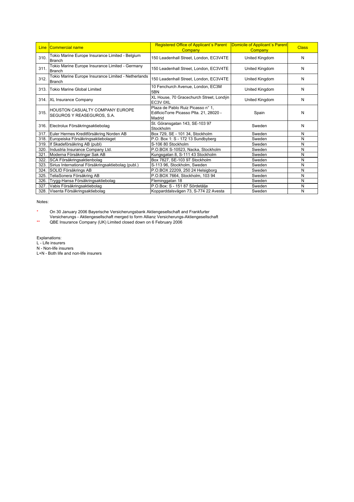| <b>Line</b> | <u>ICommercial name</u>                                              | <b>Registered Office of Applicant's Parent</b><br>Company                              | Domicile of Applicant's Parent<br>Company | <b>Class</b> |
|-------------|----------------------------------------------------------------------|----------------------------------------------------------------------------------------|-------------------------------------------|--------------|
| 310.        | Tokio Marine Europe Insurance Limited - Belgium<br><b>Branch</b>     | 150 Leadenhall Street, London, EC3V4TE                                                 | United Kingdom                            | N            |
| 311.        | Tokio Marine Europe Insurance Limited - Germany<br><b>Branch</b>     | 150 Leadenhall Street, London, EC3V4TE                                                 | United Kingdom                            | N            |
| 312.        | Tokio Marine Europe Insurance Limited - Netherlands<br><b>Branch</b> | 150 Leadenhall Street, London, EC3V4TE                                                 | United Kingdom                            | N            |
| 313.        | <b>Tokio Marine Global Limited</b>                                   | 10 Fenchurch Avenue, London, EC3M<br>5BN                                               | United Kingdom                            | N            |
|             | 314. XL Insurance Company                                            | XL House, 70 Gracechurch Street, Londýn<br>United Kingdom<br>EC3V 0XL                  |                                           | N            |
| 315.        | <b>HOUSTON CASUALTY COMPANY EUROPE</b><br>SEGUROS Y REASEGUROS, S.A. | Plaza de Pablo Ruiz Picasso nº 1.<br>EdificioTorre Picasso Plta. 21, 28020 -<br>Madrid | Spain                                     | N            |
| 316.        | Electrolux Försäkringsaktiebolag                                     | St. Göransgatan 143, SE-103 97<br>Stockholm                                            | Sweden                                    | N            |
| 317.        | Euler Hermes Kreditförsäkring Norden AB                              | Box 729, SE - 101 34, Stockholm                                                        | Sweden                                    | N            |
| 318.        | Europeiska Försäkringsaktiebolaget                                   | P.O. Box 1: S - 172 13 Sundbyberg                                                      | Sweden                                    | N            |
|             | 319. If Skadeförsäkring AB (publ)                                    | S-106 80 Stockholm                                                                     | Sweden                                    | N            |
| 320.        | Industria Insurance Company Ltd.                                     | P.O.BOX S-10523, Nacka, Stockholm<br>Sweden                                            |                                           | N            |
| 321.        | Moderna Försäkringar Sak AB                                          | Kungsgatan 8, S-111 43 Stockholm<br>Sweden                                             |                                           | N            |
| 322.        | SCA Försäkringsaktienbolag                                           | Box 7827, SE-103 97 Stockholm                                                          | Sweden                                    | N            |
| 323.        | Sirius International Försäkringsaktiebolag (publ.)                   | S-113 96, Stockholm, Sweden                                                            | Sweden                                    | N            |
| 324.        | SOLID Försäkrings AB                                                 | P.O.BOX 22209, 250 24 Helsigborg                                                       | Sweden                                    | N            |
| 325.        | TeliaSonera Försäkring AB                                            | P.O.BOX 7664, Stockholm, 103 94                                                        | Sweden                                    | N            |
| 326.        | Trygg-Hansa Försäkringsaktiebolag                                    | Fleminggatan 18                                                                        | Sweden                                    | N            |
| 327.        | Vabis Försäkringsaktiebolag                                          | P.O.Box: S - 151 87 Sördetälje<br>Sweden                                               |                                           | N            |
|             | 328. Visenta Försäkringsaktiebolag                                   | Kopparddalsvägen 73, S-774 22 Avesta<br>Sweden                                         |                                           | N            |

Notes:

\* On 30 January 2006 Bayerische Versicherungsbank Aktiengesellschaft and Frankfurter Versicherungs - Aktiengesellschaft merged to form Allianz Versicherungs-Aktiengesellschaft

\*\* QBE Insurance Company (UK) Limited closed down on 6 February 2006

Explanations:

L - Life insurers

N - Non-life insurers

L+N - Both life and non-life insurers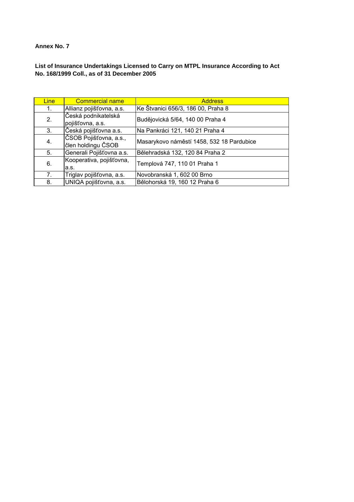# **List of Insurance Undertakings Licensed to Carry on MTPL Insurance According to Act No. 168/1999 Coll., as of 31 December 2005**

| <b>Line</b>    | <b>Commercial name</b>                       | <b>Address</b>                            |
|----------------|----------------------------------------------|-------------------------------------------|
| 1 <sub>1</sub> | Allianz pojišťovna, a.s.                     | Ke Štvanici 656/3, 186 00, Praha 8        |
| 2.             | Česká podnikatelská<br>pojišťovna, a.s.      | Budějovická 5/64, 140 00 Praha 4          |
| 3.             | Česká pojišťovna a.s.                        | Na Pankráci 121, 140 21 Praha 4           |
| 4.             | ČSOB Pojišťovna, a.s.,<br>člen holdingu ČSOB | Masarykovo náměstí 1458, 532 18 Pardubice |
| 5.             | Generali Pojišťovna a.s.                     | Bělehradská 132, 120 84 Praha 2           |
| 6.             | Kooperativa, pojišťovna,<br>a.s.             | Templová 747, 110 01 Praha 1              |
| 7.             | Triglav pojišťovna, a.s.                     | Novobranská 1, 602 00 Brno                |
| 8.             | UNIQA pojišťovna, a.s.                       | Bělohorská 19, 160 12 Praha 6             |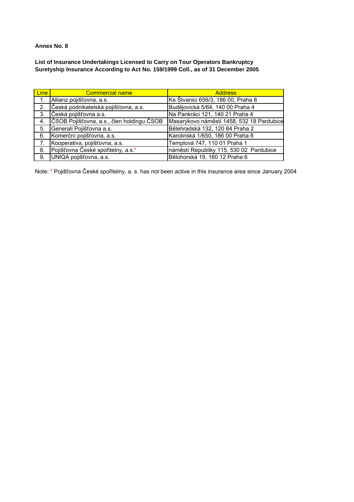**List of Insurance Undertakings Licensed to Carry on Tour Operators Bankruptcy Suretyship Insurance According to Act No. 159/1999 Coll., as of 31 December 2005** 

| <b>Line</b>      | <b>Commercial name</b>                    | <b>Address</b>                            |
|------------------|-------------------------------------------|-------------------------------------------|
| $\overline{1}$ . | Allianz pojišťovna, a.s.                  | Ke Štvanici 656/3, 186 00, Praha 8        |
| 2.               | Česká podnikatelská pojišťovna, a.s.      | Budějovická 5/64, 140 00 Praha 4          |
| 3.               | Česká pojišťovna a.s.                     | Na Pankráci 121, 140 21 Praha 4           |
| 4.               | ČSOB Pojišťovna, a.s., člen holdingu ČSOB | Masarykovo náměstí 1458, 532 18 Pardubice |
| 5.               | Generali Pojišťovna a.s.                  | Bělehradská 132, 120 84 Praha 2           |
| 6.               | Komerční pojišťovna, a.s.                 | Karolinská 1/650, 186 00 Praha 8          |
| $-7.$            | Kooperativa, pojišťovna, a.s.             | Templová 747, 110 01 Praha 1              |
| 8.               | Pojišťovna České spořitelny, a.s.*        | náměstí Republiky 115, 530 02 Pardubice   |
| 9.               | UNIQA pojišťovna, a.s.                    | Bělohorská 19, 160 12 Praha 6             |

Note: \* Pojišťovna České spořitelny, a. s. has not been active in this insurance area since January 2004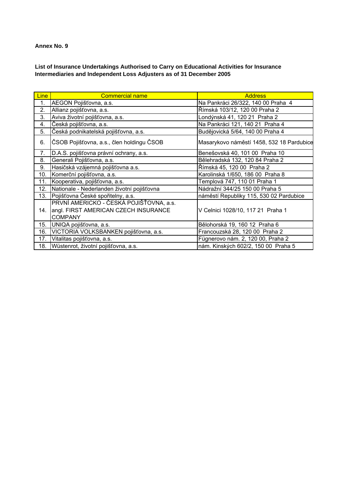## **List of Insurance Undertakings Authorised to Carry on Educational Activities for Insurance Intermediaries and Independent Loss Adjusters as of 31 December 2005**

| <b>Line</b> | <b>Commercial name</b>                                                                            | <b>Address</b>                            |
|-------------|---------------------------------------------------------------------------------------------------|-------------------------------------------|
| 1.          | AEGON Pojišťovna, a.s.                                                                            | Na Pankráci 26/322, 140 00 Praha 4        |
| 2.          | Allianz pojišťovna, a.s.                                                                          | Římská 103/12, 120 00 Praha 2             |
| 3.          | Aviva životní pojišťovna, a.s.                                                                    | Londýnská 41, 120 21 Praha 2              |
| 4.          | Česká pojišťovna, a.s.                                                                            | Na Pankráci 121, 140 21 Praha 4           |
| 5.          | Česká podnikatelská pojišťovna, a.s.                                                              | Budějovická 5/64, 140 00 Praha 4          |
| 6.          | ČSOB Pojišťovna, a.s., člen holdingu ČSOB                                                         | Masarykovo náměstí 1458, 532 18 Pardubice |
| 7.          | D.A.S. pojišťovna právní ochrany, a.s.                                                            | Benešovská 40, 101 00 Praha 10            |
| 8.          | Generali Pojišťovna, a.s.                                                                         | Bělehradská 132, 120 84 Praha 2           |
| 9.          | Hasičská vzájemná pojišťovna a.s.                                                                 | Římská 45, 120 00 Praha 2                 |
| 10.         | Komerční pojišťovna, a.s.                                                                         | Karolinská 1/650, 186 00 Praha 8          |
| 11.         | Kooperativa, pojišťovna, a.s.                                                                     | Templová 747, 110 01 Praha 1              |
| 12.         | Nationale - Nederlanden životní pojišťovna                                                        | Nádražní 344/25 150 00 Praha 5            |
| 13.         | Pojišťovna České spořitelny, a.s.                                                                 | náměstí Republiky 115, 530 02 Pardubice   |
| 14.         | PRVNÍ AMERICKO - ČESKÁ POJIŠŤOVNA, a.s.<br>angl. FIRST AMERICAN CZECH INSURANCE<br><b>COMPANY</b> | V Celnici 1028/10, 117 21 Praha 1         |
| 15.         | UNIQA pojišťovna, a.s.                                                                            | Bělohorská 19, 160 12 Praha 6             |
| 16.         | VICTORIA VOLKSBANKEN pojišťovna, a.s.                                                             | Francouzská 28, 120 00 Praha 2            |
| 17.         | Vitalitas pojišťovna, a.s.                                                                        | Fügnerovo nám. 2, 120 00, Praha 2         |
| 18.         | Wüstenrot, životní pojišťovna, a.s.                                                               | nám. Kinských 602/2, 150 00 Praha 5       |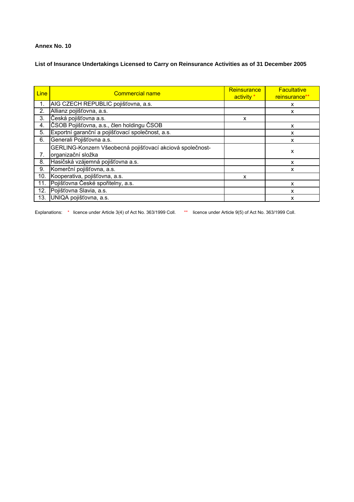**List of Insurance Undertakings Licensed to Carry on Reinsurance Activities as of 31 December 2005** 

| <b>Line</b> | <b>Commercial name</b>                                                          | <b>Reinsurance</b><br>activity * | <b>Facultative</b><br>reinsurance** |
|-------------|---------------------------------------------------------------------------------|----------------------------------|-------------------------------------|
| 1.          | AIG CZECH REPUBLIC pojišťovna, a.s.                                             |                                  | х                                   |
| 2.          | Allianz pojišťovna, a.s.                                                        |                                  | X                                   |
| 3.          | Česká pojišťovna a.s.                                                           | x                                |                                     |
| 4.          | ČSOB Pojišťovna, a.s., člen holdingu ČSOB                                       |                                  | x                                   |
| 5.          | Exportní garanční a pojišťovací společnost, a.s.                                |                                  | X                                   |
| 6.          | Generali Pojišťovna a.s.                                                        |                                  | x                                   |
| 7.          | GERLING-Konzern Všeobecná pojišťovací akciová společnost-<br>organizační složka |                                  | x                                   |
| 8.          | Hasičská vzájemná pojišťovna a.s.                                               |                                  | X                                   |
| 9.          | Komerční pojišťovna, a.s.                                                       |                                  | x                                   |
| 10.         | Kooperativa, pojišťovna, a.s.                                                   | X                                |                                     |
| 11.         | Pojišťovna České spořitelny, a.s.                                               |                                  | X                                   |
| 12.         | Pojišťovna Slavia, a.s.                                                         |                                  | x                                   |
| 13.         | UNIQA pojišťovna, a.s.                                                          |                                  | X                                   |

Explanations: \* licence under Article 3(4) of Act No. 363/1999 Coll. \*\* licence under Article 9(5) of Act No. 363/1999 Coll.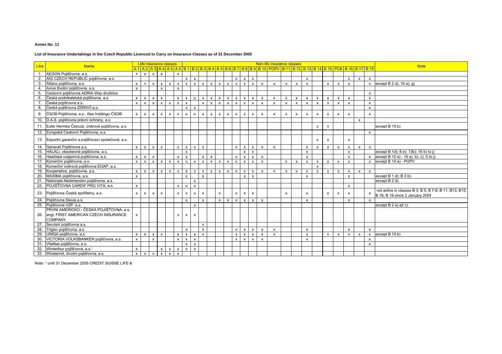#### **List of Insurance Undertakings in the Czech Republic Licenced to Carry on Insurance Classes as of 31 December 2005**

|     | <b>Line</b><br><b>Name</b>                           |                           | Llife insurance classes   |                           |                           |                           |              |                           |                           |                           |                |              |              |              |              |              |                           | Non-life insurance classes                                                                                                                                                 |                           |              |                           |                           |                           |                           |                           |              |                           | <b>Note</b>                                                                               |  |
|-----|------------------------------------------------------|---------------------------|---------------------------|---------------------------|---------------------------|---------------------------|--------------|---------------------------|---------------------------|---------------------------|----------------|--------------|--------------|--------------|--------------|--------------|---------------------------|----------------------------------------------------------------------------------------------------------------------------------------------------------------------------|---------------------------|--------------|---------------------------|---------------------------|---------------------------|---------------------------|---------------------------|--------------|---------------------------|-------------------------------------------------------------------------------------------|--|
|     |                                                      |                           |                           |                           |                           |                           |              |                           |                           |                           |                |              |              |              |              |              |                           | <u>A 1   A 2   A 3   A 4   A 5   A 6   B 1   B 2   B 3   B 4   B 5   B 6   B 7   B 8   B 9   B 10   POPV   B 11   B 12   B 13   B 14   B 15   PCK   B 16   B 17   B 18</u> |                           |              |                           |                           |                           |                           |                           |              |                           |                                                                                           |  |
|     | AEGON Pojišťovna, a.s.                               | $\mathsf{x}$              | $\mathsf{x}$              | $x \mid x$                |                           |                           | $\pmb{\chi}$ |                           |                           |                           |                |              |              |              |              |              |                           |                                                                                                                                                                            |                           |              |                           |                           |                           |                           |                           |              |                           |                                                                                           |  |
| 2.  | AIG CZECH REPUBLIC pojišťovna, a.s.                  |                           |                           |                           |                           |                           |              | $\mathsf{x}$              | $\mathsf{x}$              |                           |                |              |              | $\mathsf{x}$ | $\mathsf{x}$ | $\mathbf{x}$ |                           |                                                                                                                                                                            |                           |              | $\mathsf{x}$              |                           |                           |                           | $\mathsf{x}$              | $\mathsf{x}$ | $\mathsf{x}$              |                                                                                           |  |
|     | Allianz pojišťovna, a.s.                             | $\mathsf{x}$              | $\mathsf{x}$              | $\mathsf{x}$              | $\mathsf{x}$              | $\boldsymbol{\mathsf{x}}$ | $\mathsf{x}$ | $\mathsf{x}$              | $\mathbf{x}$              | $\mathsf{x}$              | $\mathsf{x}$   | $\mathbf{x}$ | $\mathsf{x}$ | $\mathsf{x}$ | $\mathbf{x}$ | $\mathsf{x}$ | $\boldsymbol{\mathsf{x}}$ | $\mathbf{x}$                                                                                                                                                               | x                         | $\mathsf{x}$ | $\mathsf{x}$              |                           | $\boldsymbol{\mathsf{x}}$ | $\mathsf{x}$              | $\mathbf{x}$              |              | $\boldsymbol{\mathsf{x}}$ | except $B$ 2 d), 16 a), q)                                                                |  |
|     | 4. Aviva životní pojišťovna, a.s.                    | $\mathsf{x}$              |                           |                           | $\mathbf{x}$              |                           | X            |                           |                           |                           |                |              |              |              |              |              |                           |                                                                                                                                                                            |                           |              |                           |                           |                           |                           |                           |              |                           |                                                                                           |  |
|     | 5. Cestovní pojišťovna ADRIA Way družstvo            |                           |                           |                           |                           |                           |              |                           |                           |                           |                |              |              |              |              |              |                           |                                                                                                                                                                            |                           |              |                           |                           |                           |                           |                           |              | $\mathsf{x}$              |                                                                                           |  |
|     | 6. Česká podnikatelská pojišťovna, a.s.              | $\mathsf{x}$              | $\mathsf{x}$              | $\times$                  | $\mathsf{x}$              |                           | $\mathsf{x}$ | $\mathsf{x}$              | $\mathbf{x}$              | $\mathsf{x}$              | $\mathsf{x}$   | $\mathbf{x}$ | $\mathsf{x}$ | $\mathsf{x}$ | $\mathsf{x}$ |              | $\boldsymbol{\mathsf{x}}$ | $\mathsf{x}$                                                                                                                                                               | $\boldsymbol{\mathsf{x}}$ | $\mathsf{x}$ | $\mathsf{x}$              | $\mathsf{x}$              | $\mathbf{x}$              | $\mathsf{x}$              | $\mathsf{x}$              |              | $\mathsf{x}$              |                                                                                           |  |
|     | Česká pojišťovna a.s.                                | $\mathsf{x}$              | $\mathsf{x}$              | $\mathsf{x}$              | $\mathsf{x}$              | $\mathbf{x}$              | $\mathsf{x}$ | $\mathbf{x}$              |                           | $\mathsf{x}$              | $\mathsf{x}$   | $\mathbf{x}$ | $\mathbf{x}$ | $\mathsf{x}$ | $\mathbf{x}$ |              | $\mathbf{x}$              | $\mathbf{x}$                                                                                                                                                               | $\mathbf{x}$              | $\mathbf{x}$ | x                         | $\mathbf{x}$              | $\mathbf{x}$              | $\mathbf{x}$              | $\mathbf{x}$              |              | $\mathsf{x}$              |                                                                                           |  |
|     | 8. Česká pojišťovna ZDRAVÍ a.s.                      |                           |                           |                           |                           |                           |              | $\boldsymbol{\mathsf{x}}$ | $\mathsf{x}$              |                           |                |              |              |              |              |              |                           |                                                                                                                                                                            |                           |              |                           |                           |                           |                           |                           |              | $\pmb{\chi}$              |                                                                                           |  |
|     | 9. ČSOB Pojišťovna, a.s., člen holdingu ČSOB         | $\mathsf{x}$              | $\mathsf{x}$              | $\pmb{\times}$            | $\mathsf{x}$              | X                         | $\mathsf{x}$ | $\mathsf{x}$              | $\mathsf{x}$              | $\mathsf{x}$              | $\pmb{\times}$ | $\mathsf{x}$ | x            | $\mathsf{x}$ | $\pmb{\chi}$ | $\mathsf{x}$ | $\pmb{\chi}$              | $\mathsf{x}$                                                                                                                                                               | $\pmb{\mathsf{x}}$        | $\mathsf{x}$ | $\pmb{\chi}$              | $\boldsymbol{\mathsf{x}}$ | $\pmb{\mathsf{x}}$        | $\mathsf{x}$              | $\mathbf{x}$              |              | $\mathsf{x}$              |                                                                                           |  |
|     | 10. D.A.S. pojišťovna právní ochrany, a.s.           |                           |                           |                           |                           |                           |              |                           |                           |                           |                |              |              |              |              |              |                           |                                                                                                                                                                            |                           |              |                           |                           |                           |                           |                           | $\mathsf{x}$ |                           |                                                                                           |  |
|     | 11. Euler Hermes Čescob, úvěrová pojišťovna, a.s.    |                           |                           |                           |                           |                           |              |                           |                           |                           |                |              |              |              |              |              |                           |                                                                                                                                                                            |                           |              |                           | $\boldsymbol{\mathsf{x}}$ | x                         |                           |                           |              |                           | except B 15 b)                                                                            |  |
|     | 12. Evropská Cestovní Pojišťovna, a.s.               |                           |                           |                           |                           |                           |              |                           |                           |                           |                |              |              |              |              |              |                           |                                                                                                                                                                            |                           |              |                           |                           |                           |                           |                           |              | $\mathsf{x}$              |                                                                                           |  |
|     | 13. Exportní garanční a pojišťovací společnost, a.s. |                           |                           |                           |                           |                           |              |                           |                           |                           |                |              |              |              |              |              |                           |                                                                                                                                                                            |                           |              |                           | $\mathsf{x}$              | $\mathsf{x}$              |                           | X                         |              |                           |                                                                                           |  |
|     | 14. Generali Poiišťovna a.s.                         | $\mathsf{x}$              | $\mathsf{x}$              | $x \mid x$                |                           |                           | $\mathsf{x}$ | $\mathbf{x}$              |                           | $x \mid x$                |                |              |              | $\mathsf{x}$ | $\mathbf{x}$ | $\mathsf{x}$ | $\mathsf{x}$              | $\mathbf{x}$                                                                                                                                                               |                           |              | $\mathsf{x}$              | $\mathsf{x}$              | x                         | $\mathsf{x}$              | $\mathsf{x}$              | $\mathsf{x}$ | $\mathbf{x}$              |                                                                                           |  |
| 15. | HALALI, všeobecná pojišťovna, a.s.                   |                           |                           |                           |                           |                           |              | $\mathsf{x}$              |                           |                           |                |              |              |              | $\mathsf{x}$ | $\mathbf{x}$ |                           |                                                                                                                                                                            |                           |              | $\mathsf{x}$              |                           |                           |                           | $\mathsf{x}$              |              |                           | except B 1d); 8 e); 13b); 16 b) to j)                                                     |  |
|     | 16. Hasičská vzájemná pojišťovna, a.s.               | $\mathsf{x}$              | $\mathsf{x}$              | $\mathsf{x}$              |                           |                           | $\mathsf{x}$ | $\mathsf{x}$              |                           | $\mathsf{x}$              | $\mathsf{x}$   |              |              | X            | $\mathsf{x}$ | x            | $\mathsf{x}$              |                                                                                                                                                                            |                           |              | $\mathsf{x}$              |                           |                           |                           | $\mathsf{x}$              |              | $\mathbf{x}$              | except B $10a$ ; $16a$ , b), c), f) to j)                                                 |  |
|     | 17. Komerční pojišťovna, a.s.                        | $\mathsf{x}$              | $\mathsf{x}$              | $\mathsf{x}$              | $\mathbf{x}$              | $\mathsf{x}$              | $\mathsf{x}$ | $\mathsf{x}$              | $\mathsf{x}$              | $\mathsf{x}$              | $\mathsf{x}$   | $\mathsf{x}$ | $\mathsf{x}$ | $\mathsf{x}$ | $\mathsf{x}$ | $\mathsf{x}$ | $\mathsf{x}$              |                                                                                                                                                                            | $\mathsf{x}$              | $\mathsf{x}$ | $\mathsf{x}$              | $\mathsf{x}$              | $\mathsf{x}$              | $\mathsf{x}$              | $\mathsf{x}$              |              | $\mathsf{x}$              | except B 10 a) - POPV                                                                     |  |
| 18. | Komerční úvěrová pojišťovna EGAP, a.s.               |                           |                           |                           |                           |                           |              |                           |                           |                           |                |              |              |              |              |              |                           |                                                                                                                                                                            |                           |              |                           | $\mathsf{x}$              |                           |                           |                           |              |                           |                                                                                           |  |
| 19. | Kooperativa, pojišťovna, a.s.                        | $\mathsf{x}$              | $\mathsf{x}$              | $\mathsf{x}$              | $\mathsf{x}$              | $\boldsymbol{\mathsf{x}}$ | X            | $\mathsf{x}$              | x                         | $\boldsymbol{\mathsf{x}}$ | $\pmb{\chi}$   | $\mathsf{x}$ | $\mathsf{x}$ | $\mathsf{x}$ | X            |              | $\boldsymbol{\mathsf{x}}$ | $\boldsymbol{\mathsf{x}}$                                                                                                                                                  | X                         | $\mathbf{x}$ | $\boldsymbol{\mathsf{x}}$ | $\mathsf{x}$              | $\mathbf{x}$              | $\boldsymbol{\mathsf{x}}$ | $\boldsymbol{\mathsf{x}}$ | $\mathsf{x}$ | $\mathbf{x}$              |                                                                                           |  |
|     | 20. MAXIMA pojišťovna, a.s.                          | $\mathsf{x}$              |                           |                           |                           |                           |              | $\mathsf{x}$              |                           | $\mathsf{x}$              |                |              |              |              | $\mathsf{x}$ | x            |                           |                                                                                                                                                                            |                           |              | $\mathsf{x}$              |                           |                           |                           | $\mathsf{x}$              |              |                           | except B 1 d); B 3 b).                                                                    |  |
| 21. | Nationale-Nederlanden pojišťovna, a.s.               |                           |                           |                           |                           |                           |              |                           | $\mathsf{x}$              |                           |                |              |              |              |              |              |                           |                                                                                                                                                                            |                           |              |                           |                           |                           |                           |                           |              |                           | except B 2 d).                                                                            |  |
|     | 22. POJIŠŤOVNA CARDIF PRO VITA, a.s.                 | $\mathsf{x}$              |                           |                           |                           |                           | $\mathbf{x}$ | $\mathsf{x}$              | $\mathsf{x}$              |                           |                |              |              |              |              |              |                           |                                                                                                                                                                            |                           |              |                           |                           |                           |                           | $\mathsf{x}$              |              |                           |                                                                                           |  |
|     | 23. Pojišťovna České spořitelny, a.s.                | $\mathsf{x}$              | $\boldsymbol{\mathsf{x}}$ | $\boldsymbol{\mathsf{x}}$ | $\mathbf{x}$              |                           | $\mathsf{x}$ | $\mathsf{x}$              | $\mathsf{x}$              | $\mathbf{x}$              |                | $\mathsf{x}$ |              | $\mathsf{x}$ | $\mathsf{x}$ | $\mathsf{x}$ |                           |                                                                                                                                                                            | X                         |              | $\boldsymbol{\mathsf{x}}$ |                           | $\boldsymbol{\mathsf{x}}$ | $\mathsf{x}$              | $\mathbf{x}$              |              | $\mathbf{x}$              | not active in classes B 3; B 5; B 7-9; B 11; B13; B15;<br>B 16; B 18 since 2 January 2004 |  |
|     | 24. Pojišťovna Slavia a.s.                           |                           |                           |                           |                           |                           |              | $\mathsf{x}$              |                           | $\mathsf{x}$              |                |              | $x \mid x$   | $\mathsf{x}$ | $\mathsf{x}$ | $\mathsf{x}$ | $\mathsf{x}$              |                                                                                                                                                                            |                           |              | $\mathsf{x}$              |                           |                           |                           | $\mathsf{x}$              |              | $\mathbf{x}$              |                                                                                           |  |
| 25. | Pojišťovna VZP, a.s.                                 |                           |                           |                           |                           |                           |              |                           | x                         |                           |                |              |              |              |              |              |                           |                                                                                                                                                                            |                           |              |                           |                           |                           |                           |                           |              |                           | except B 2 a) až c).                                                                      |  |
|     | PRVNÍ AMERICKO - ČESKÁ POJIŠŤOVNA, a.s.              |                           |                           |                           |                           |                           |              |                           |                           |                           |                |              |              |              |              |              |                           |                                                                                                                                                                            |                           |              |                           |                           |                           |                           |                           |              |                           |                                                                                           |  |
|     | 26. angl. FIRST AMERICAN CZECH INSURANCE             | X                         |                           |                           |                           |                           | x            | x                         | $\boldsymbol{\mathsf{x}}$ |                           |                |              |              |              |              |              |                           |                                                                                                                                                                            |                           |              |                           |                           |                           |                           |                           |              |                           |                                                                                           |  |
|     | <b>COMPANY</b>                                       |                           |                           |                           |                           |                           |              |                           |                           |                           |                |              |              |              |              |              |                           |                                                                                                                                                                            |                           |              |                           |                           |                           |                           |                           |              |                           |                                                                                           |  |
|     | 27. Servisní pojišťovna a.s.                         |                           |                           |                           |                           |                           |              |                           |                           | $\mathsf{x}$              |                |              |              |              |              |              |                           |                                                                                                                                                                            |                           |              |                           |                           |                           |                           |                           |              |                           |                                                                                           |  |
|     | 28. Triglav pojišťovna, a.s.                         |                           |                           |                           |                           |                           |              | $\mathbf{x}$              |                           | $\mathbf{x}$              |                |              |              | $\mathsf{x}$ | $\mathsf{x}$ | $\mathsf{x}$ | $\mathsf{x}$              | $\mathbf{x}$                                                                                                                                                               |                           |              | $\mathbf{x}$              |                           |                           |                           | $\mathbf{x}$              |              | $\mathsf{x}$              |                                                                                           |  |
|     | 29. UNIQA pojišťovna, a.s.                           | $\mathsf{x}$              | $\mathbf{x}$              | $\mathsf{x}$              | $\mathbf{x}$              |                           | $\mathsf{x}$ | $\mathbf{x}$              | $\mathsf{x}$              | $\mathbf{x}$              |                |              |              | $\mathsf{x}$ | $\mathsf{x}$ | x            | $\boldsymbol{\mathsf{x}}$ | $\mathsf{x}$                                                                                                                                                               |                           |              | $\mathbf{x}$              |                           | x                         | $\mathsf{x}$              | $\mathbf{x}$              | $\mathsf{x}$ | $\boldsymbol{\mathsf{x}}$ | except B 10 b)                                                                            |  |
| 30. | VICTORIA VOLKSBANKEN pojišťovna, a.s.                | $\mathsf{x}$              |                           | $\mathsf{x}$              |                           |                           | $\mathsf{x}$ | $\mathsf{x}$              | $\mathsf{x}$              |                           |                |              |              | $\mathsf{x}$ | $\mathsf{x}$ | $\mathsf{x}$ | $\mathsf{x}$              |                                                                                                                                                                            |                           |              | $\mathsf{x}$              |                           |                           |                           |                           |              | $\mathsf{x}$              |                                                                                           |  |
|     | 31. Vitalitas pojišťovna, a.s.                       |                           |                           |                           |                           |                           |              | $\mathsf{x}$              | $\boldsymbol{\mathsf{x}}$ |                           |                |              |              |              |              |              |                           |                                                                                                                                                                            |                           |              |                           |                           |                           |                           |                           |              | $\mathsf{x}$              |                                                                                           |  |
|     | 32. Winterthur pojišťovna, a.s.'                     | $\boldsymbol{\mathsf{x}}$ |                           |                           | $\boldsymbol{\mathsf{x}}$ | $\pmb{\times}$            | $\mathsf{x}$ | $\mathsf{x}$              | $\mathsf{x}$              |                           |                |              |              |              |              |              |                           |                                                                                                                                                                            |                           |              |                           |                           |                           |                           |                           |              |                           |                                                                                           |  |
| 33. | Wüstenrot, životní pojišťovna, a.s.                  | $\mathsf{x}$              | $\mathsf{x}$              | $\mathsf{x}$              | $\pmb{\chi}$              | $\boldsymbol{\mathsf{x}}$ | $\mathsf{x}$ |                           |                           |                           |                |              |              |              |              |              |                           |                                                                                                                                                                            |                           |              |                           |                           |                           |                           |                           |              |                           |                                                                                           |  |

Note: \* until 31 December 2005 CREDIT SUISSE LIFE &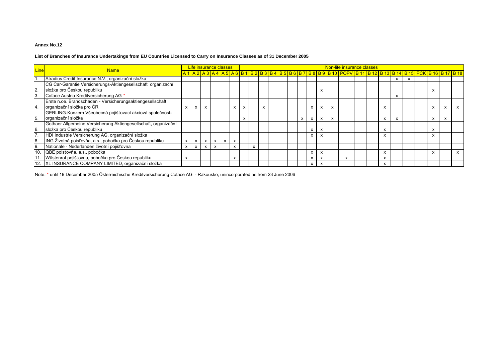#### **List of Branches of Insurance Undertakings from EU Countries Licensed to Carry on Insurance Classes as of 31 December 2005**

| Line         | <b>Name</b>                                                     |                           |                           | Life insurance classes |   |              |              |   |   |   |  |              |              |                           |   | Non-life insurance classes                                                                                                                                                        |  |   |   |  |   |   |  |
|--------------|-----------------------------------------------------------------|---------------------------|---------------------------|------------------------|---|--------------|--------------|---|---|---|--|--------------|--------------|---------------------------|---|-----------------------------------------------------------------------------------------------------------------------------------------------------------------------------------|--|---|---|--|---|---|--|
|              |                                                                 |                           |                           |                        |   |              |              |   |   |   |  |              |              |                           |   | <u>A 1   A 2   A 3   A 4   A 5   A 6   B 1   B 2   B 3   B 4   B 5   B 6   B 7   B 8   B 9   B 10   POPV   B 11   B 12   B 13   B 13   B 14   B 15   PCK   B 16   B 17   B 18</u> |  |   |   |  |   |   |  |
|              | Atradius Credit Insurance N.V., organizační složka              |                           |                           |                        |   |              |              |   |   |   |  |              |              |                           |   |                                                                                                                                                                                   |  |   |   |  |   |   |  |
|              | CG Car-Garantie Versicherungs-Aktiengesellschaft organizační    |                           |                           |                        |   |              |              |   |   |   |  |              |              |                           |   |                                                                                                                                                                                   |  |   |   |  |   |   |  |
| $\mathbf{2}$ | složka pro Českou republiku                                     |                           |                           |                        |   |              |              |   |   |   |  |              |              | x                         |   |                                                                                                                                                                                   |  |   |   |  |   |   |  |
| 3.           | Coface Austria Kreditversicherung AG *                          |                           |                           |                        |   |              |              |   |   |   |  |              |              |                           |   |                                                                                                                                                                                   |  |   |   |  |   |   |  |
|              | Erste n.oe. Brandschaden - Versicherungsaktiengesellschaft      |                           |                           |                        |   |              |              |   |   |   |  |              |              |                           |   |                                                                                                                                                                                   |  |   |   |  |   |   |  |
| 4.           | organizační složka pro ČR                                       | $\boldsymbol{\mathsf{x}}$ | X                         | X                      |   |              | x            | x |   | X |  |              | x            | x                         | X |                                                                                                                                                                                   |  | x |   |  | х | x |  |
|              | GERLING-Konzern Všeobecná pojišťovací akciová společnost-       |                           |                           |                        |   |              |              |   |   |   |  |              |              |                           |   |                                                                                                                                                                                   |  |   |   |  |   |   |  |
| 5.           | organizační složka                                              |                           |                           |                        |   |              |              |   |   |   |  | $\mathsf{x}$ | $\mathsf{x}$ | $\mathsf{x}$              | X |                                                                                                                                                                                   |  | X | x |  | X | X |  |
|              | Gothaer Allgemeine Versicherung Aktiengesellschaft, organizační |                           |                           |                        |   |              |              |   |   |   |  |              |              |                           |   |                                                                                                                                                                                   |  |   |   |  |   |   |  |
| 6.           | složka pro Českou republiku                                     |                           |                           |                        |   |              |              |   |   |   |  |              | X            | $\boldsymbol{\mathsf{x}}$ |   |                                                                                                                                                                                   |  |   |   |  | Ā |   |  |
|              | HDI Industrie Versicherung AG, organizační složka               |                           |                           |                        |   |              |              |   |   |   |  |              | $\mathsf{x}$ | $\mathsf{x}$              |   |                                                                                                                                                                                   |  |   |   |  |   |   |  |
| 8.           | ING Životná poisťovňa, a.s., pobočka pro Českou republiku       | $\mathsf{x}$              | $\mathsf{x}$              | X                      | X | $\mathsf{x}$ | $\mathsf{x}$ |   |   |   |  |              |              |                           |   |                                                                                                                                                                                   |  |   |   |  |   |   |  |
| ۱9.          | Nationale - Nederlanden životní pojišťovna                      | X                         | $\boldsymbol{\mathsf{x}}$ | X                      | x |              | $\mathsf{x}$ |   | X |   |  |              |              |                           |   |                                                                                                                                                                                   |  |   |   |  |   |   |  |
| 10.          | QBE poisťovňa, a.s., pobočka                                    |                           |                           |                        |   |              |              |   |   |   |  |              | X            | x                         |   |                                                                                                                                                                                   |  |   |   |  | X |   |  |
|              | Wüstenrot pojišťovna, pobočka pro Českou republiku              | X                         |                           |                        |   |              | X            |   |   |   |  |              | X            | x                         |   | x                                                                                                                                                                                 |  |   |   |  |   |   |  |
|              | 12. XL INSURANCE COMPANY LIMITED, organizační složka            |                           |                           |                        |   |              |              |   |   |   |  |              | X            | x                         |   |                                                                                                                                                                                   |  |   |   |  |   |   |  |

Note: \* until 19 December 2005 Österreichische Kreditversicherung Coface AG - Rakousko; unincorporated as from 23 June 2006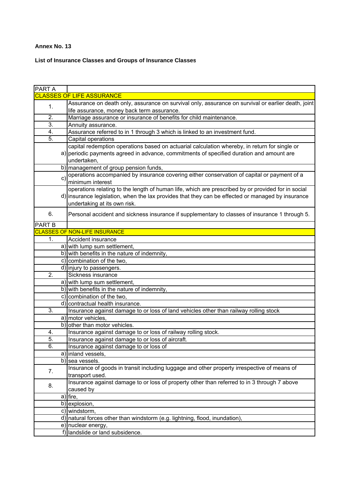# **List of Insurance Classes and Groups of Insurance Classes**

| <b>PART A</b>    |                                                                                                    |
|------------------|----------------------------------------------------------------------------------------------------|
|                  | <b>CLASSES OF LIFE ASSURANCE</b>                                                                   |
| 1.               | Assurance on death only, assurance on survival only, assurance on survival or earlier death, joint |
|                  | life assurance, money back term assurance.                                                         |
| $\overline{2}$ . | Marriage assurance or insurance of benefits for child maintenance.                                 |
| $\overline{3}$ . | Annuity assurance.                                                                                 |
| 4.               | Assurance referred to in 1 through 3 which is linked to an investment fund.                        |
| 5.               | Capital operations                                                                                 |
|                  | capital redemption operations based on actuarial calculation whereby, in return for single or      |
|                  | a) periodic payments agreed in advance, commitments of specified duration and amount are           |
|                  | undertaken,                                                                                        |
|                  | b) management of group pension funds,                                                              |
| $\mathbf{C}$     | operations accompanied by insurance covering either conservation of capital or payment of a        |
|                  | minimum interest                                                                                   |
|                  | operations relating to the length of human life, which are prescribed by or provided for in social |
|                  | d) insurance legislation, when the lax provides that they can be effected or managed by insurance  |
|                  | undertaking at its own risk.                                                                       |
| 6.               | Personal accident and sickness insurance if supplementary to classes of insurance 1 through 5.     |
|                  |                                                                                                    |
| <b>PART B</b>    |                                                                                                    |
|                  | <b>CLASSES OF NON-LIFE INSURANCE</b>                                                               |
| 1.               | Accident insurance                                                                                 |
|                  | a) with lump sum settlement,                                                                       |
|                  | b) with benefits in the nature of indemnity,                                                       |
|                  | c) combination of the two,                                                                         |
|                  | d) injury to passengers.                                                                           |
| $\overline{2}$ . | Sickness insurance                                                                                 |
|                  | a) with lump sum settlement,                                                                       |
|                  | b) with benefits in the nature of indemnity,                                                       |
|                  | c) combination of the two,                                                                         |
|                  | d) contractual health insurance.                                                                   |
| 3.               | Insurance against damage to or loss of land vehicles other than railway rolling stock              |
|                  | a) motor vehicles,                                                                                 |
|                  | b) other than motor vehicles.                                                                      |
| 4.               | Insurance against damage to or loss of railway rolling stock.                                      |
| 5.               | Insurance against damage to or loss of aircraft.                                                   |
| 6.               | Insurance against damage to or loss of                                                             |
|                  | a) inland vessels,                                                                                 |
|                  | b) sea vessels.                                                                                    |
| 7.               | Insurance of goods in transit including luggage and other property irrespective of means of        |
|                  | transport used.                                                                                    |
| 8.               | Insurance against damage to or loss of property other than referred to in 3 through 7 above        |
|                  | caused by                                                                                          |
|                  | a) fire,                                                                                           |
|                  | b) explosion,                                                                                      |
|                  | c) windstorm,                                                                                      |
|                  | d) natural forces other than windstorm (e.g. lightning, flood, inundation),                        |
|                  | e) nuclear energy,                                                                                 |
|                  | f) landslide or land subsidence.                                                                   |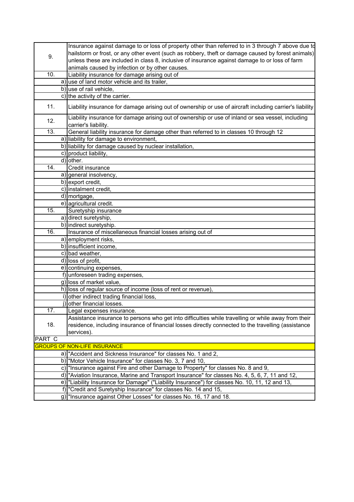|        | Insurance against damage to or loss of property other than referred to in 3 through 7 above due to<br>hailstorm or frost, or any other event (such as robbery, theft or damage caused by forest animals) |
|--------|----------------------------------------------------------------------------------------------------------------------------------------------------------------------------------------------------------|
| 9.     | unless these are included in class 8, inclusive of insurance against damage to or loss of farm                                                                                                           |
|        | animals caused by infection or by other causes.                                                                                                                                                          |
| 10.    | Liability insurance for damage arising out of                                                                                                                                                            |
|        | a) use of land motor vehicle and its trailer,                                                                                                                                                            |
|        | b) use of rail vehicle,                                                                                                                                                                                  |
|        | c) the activity of the carrier.                                                                                                                                                                          |
| 11.    | Liability insurance for damage arising out of ownership or use of aircraft including carrier's liability                                                                                                 |
| 12.    | Liability insurance for damage arising out of ownership or use of inland or sea vessel, including<br>carrier's liability.                                                                                |
| 13.    | General liability insurance for damage other than referred to in classes 10 through 12                                                                                                                   |
|        | a) liability for damage to environment,                                                                                                                                                                  |
|        | b) liability for damage caused by nuclear installation,                                                                                                                                                  |
|        | c) product liability,                                                                                                                                                                                    |
|        | d) other.                                                                                                                                                                                                |
| 14.    | Credit insurance                                                                                                                                                                                         |
|        | a) general insolvency,                                                                                                                                                                                   |
|        | $\overline{b)}$ export credit,                                                                                                                                                                           |
|        | c) instalment credit,                                                                                                                                                                                    |
|        | d) mortgage,                                                                                                                                                                                             |
|        | e) agricultural credit.                                                                                                                                                                                  |
| 15.    | Suretyship insurance                                                                                                                                                                                     |
|        | a) direct suretyship,                                                                                                                                                                                    |
|        | b) indirect suretyship.                                                                                                                                                                                  |
| 16.    | Insurance of miscellaneous financial losses arising out of                                                                                                                                               |
|        | a) employment risks,                                                                                                                                                                                     |
|        | b) insufficient income,                                                                                                                                                                                  |
|        | c) bad weather,                                                                                                                                                                                          |
|        | d) loss of profit,                                                                                                                                                                                       |
|        | e) continuing expenses,                                                                                                                                                                                  |
|        | f) unforeseen trading expenses,                                                                                                                                                                          |
|        | g) loss of market value,                                                                                                                                                                                 |
|        | h) loss of regular source of income (loss of rent or revenue),                                                                                                                                           |
|        | i) other indirect trading financial loss,                                                                                                                                                                |
|        | j) other financial losses.                                                                                                                                                                               |
| 17.    | Legal expenses insurance.                                                                                                                                                                                |
|        | Assistance insurance to persons who get into difficulties while travelling or while away from their                                                                                                      |
| 18.    | residence, including insurance of financial losses directly connected to the travelling (assistance                                                                                                      |
|        | services).                                                                                                                                                                                               |
| PART C |                                                                                                                                                                                                          |
|        | <b>GROUPS OF NON-LIFE INSURANCE</b>                                                                                                                                                                      |
|        | a) "Accident and Sickness Insurance" for classes No. 1 and 2,                                                                                                                                            |
|        | b) Motor Vehicle Insurance" for classes No. 3, 7 and 10,                                                                                                                                                 |
|        | c) "Insurance against Fire and other Damage to Property" for classes No. 8 and 9,                                                                                                                        |
|        | d) "Aviation Insurance, Marine and Transport Insurance" for classes No. 4, 5, 6, 7, 11 and 12,                                                                                                           |
|        | e) "Liability Insurance for Damage" ("Liability Insurance") for classes No. 10, 11, 12 and 13,                                                                                                           |
|        | f) "Credit and Suretyship Insurance" for classes No. 14 and 15,                                                                                                                                          |
|        | g)  "Insurance against Other Losses" for classes No. 16, 17 and 18.                                                                                                                                      |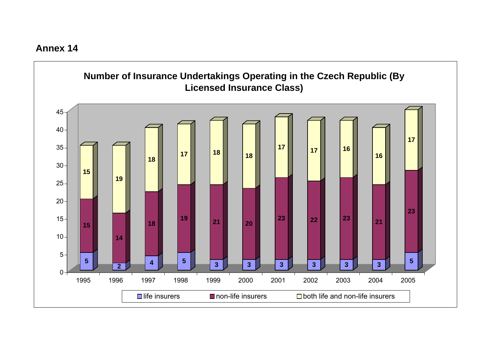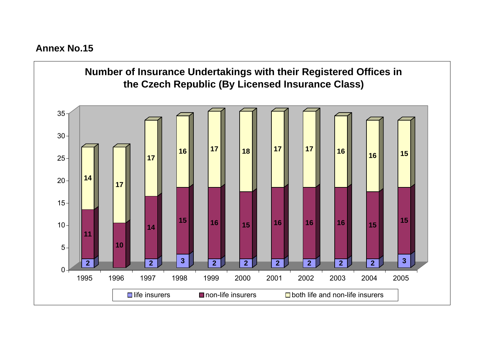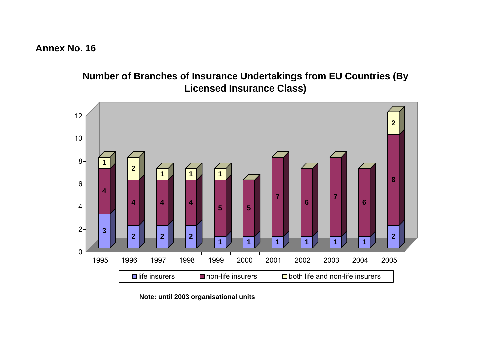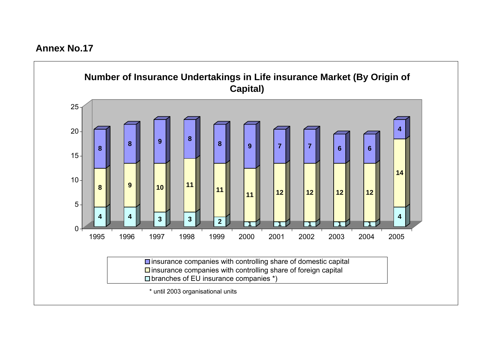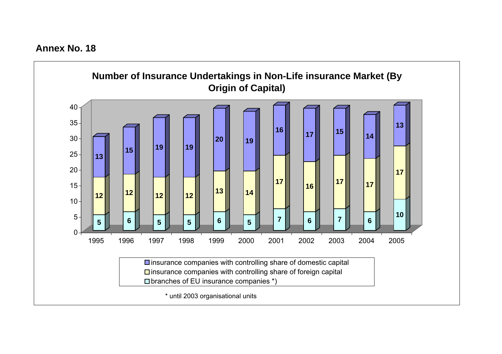**Annex No. 18**

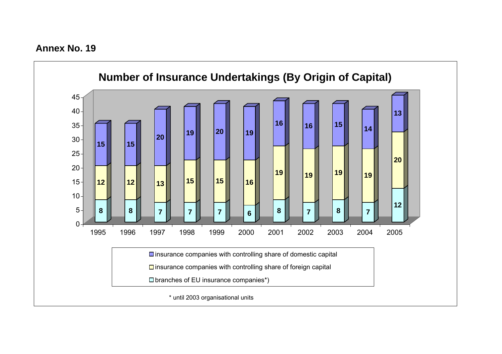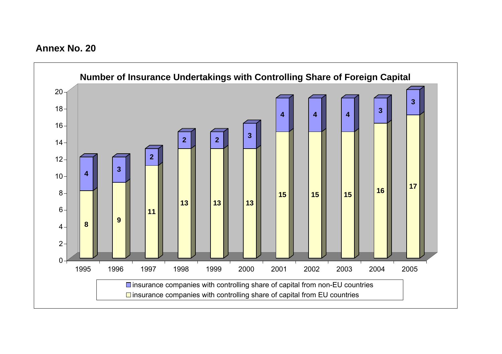**Annex No. 20**

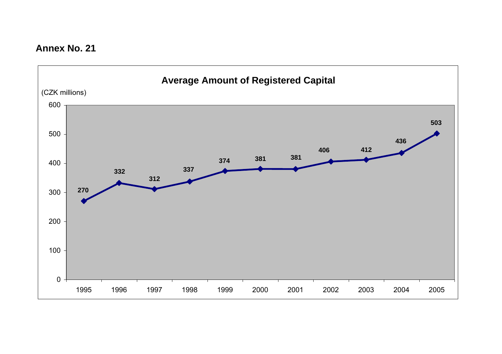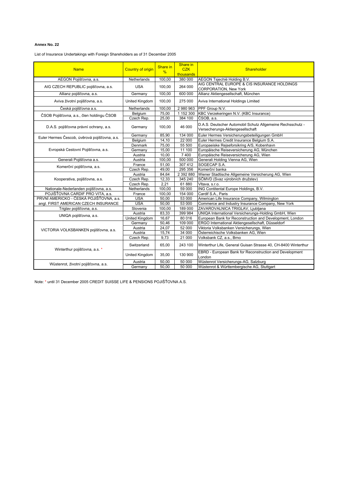List of Insurance Undertakings with Foreign Shareholders as of 31 December 2005

| <b>Name</b>                                   | <b>Country of origin</b> | Share in<br>$\%$    | Share in<br><b>CZK</b> | Shareholder                                                                                    |
|-----------------------------------------------|--------------------------|---------------------|------------------------|------------------------------------------------------------------------------------------------|
|                                               |                          |                     | thousands              |                                                                                                |
| AEGON Pojišťovna, a.s.                        | Netherlands              | 100,00              | 380 000                | AEGON Tsjechië Holding B.V.                                                                    |
| AIG CZECH REPUBLIC pojišťovna, a.s.           | <b>USA</b>               | 100,00              | 264 000                | AIG CENTRAL EUROPE & CIS INSURANCE HOLDINGS<br><b>CORPORATION, New York</b>                    |
| Allianz pojišťovna, a.s.                      | Germany                  | 100,00              | 600 000                | Allianz Aktiengesellschaft, München                                                            |
| Aviva životní pojišťovna, a.s.                | United Kingdom           | 100,00              | 275 000                | Aviva International Holdings Limited                                                           |
| Česká pojišťovna a.s.                         | Netherlands              | 100,00              | 2 980 963              | PPF Group N.V.                                                                                 |
| ČSOB Pojišťovna, a.s., člen holdingu ČSOB     | Belgium                  | 75,00               | 1 152 300              | KBC Verzekeringen N.V. (KBC Insurance)                                                         |
|                                               | Czech Rep.               | 25,00               | 384 100                | ČSOB, a.s.                                                                                     |
| D.A.S. pojišťovna právní ochrany, a.s.        | Germany                  | 100,00              | 46 000                 | D.A.S. Deutscher Automobil Schutz Allgemeine Rechsschutz -<br>Versecherungs-Aktiengesellschaft |
| Euler Hermes Čescob, úvěrová pojišťovna, a.s. | Germany                  | 85,90               | 134 000                | Euler Hermes Versicherungsbeteiligungen GmbH                                                   |
|                                               | Belgium                  | 14,10               | 22 000                 | Euler Hermes Credit Insurance Belgium S.A.                                                     |
|                                               | Denmark                  | 75,00               | 55 500                 | Europaeiske Rejseforsikring A/S, Kobenhavn                                                     |
| Evropská Cestovní Pojišťovna, a.s.            | Germany                  | 15,00               | 11 100                 | Europäische Reiseversicherung AG, München                                                      |
|                                               | Austria                  | 10,00               | 7400                   | Europäische Reiseversicherung AG, Wien                                                         |
| Generali Pojišťovna a.s.                      | Austria                  | $\overline{100,00}$ | 500 000                | Generali Holding Vienna AG, Wien                                                               |
| Komerční pojišťovna, a.s.                     | France                   | 51,00               | 307 412                | SOGECAP S.A.                                                                                   |
|                                               | Czech Rep.               | 49,00               | 295 356                | Komerční banka                                                                                 |
|                                               | Austria                  | 84,64               | 2 392 880              | Wiener Stadtische Allgemeine Versicherung AG, Wien                                             |
| Kooperativa, pojišťovna, a.s.                 | Czech Rep.               | 12,33               | 345 240                | SČMVD (Svaz výrobních družstev)                                                                |
|                                               | Czech Rep.               | 2,21                | 61880                  | Vitava, s.r.o.                                                                                 |
| Nationale-Nederlanden pojišťovna, a.s.        | Netherlands              | 100,00              | 59 000                 | ING Contitental Europe Holdings, B.V.                                                          |
| POJIŠŤOVNA CARDIF PRO VITA. a.s.              | France                   | 100.00              | 154 000                | Cardif S.A., Paris                                                                             |
| PRVNÍ AMERICKO - ČESKÁ POJIŠŤOVNA, a.s.       | <b>USA</b>               | 50,00               | 53 000                 | American Life Insurance Company, Wilmington                                                    |
| angl. FIRST AMERICAN CZECH INSURANCE          | <b>USA</b>               | 50,00               | 53 000                 | Commerce and Industry Insurance Company, New York                                              |
| Triglav pojišťovna, a.s.                      | Slovenia                 | 100,00              | 189 000                | ZAVAROVALNICA TRIGLAV, Ljubljana                                                               |
| UNIQA pojišťovna, a.s.                        | Austria                  | 83,33               | 399 984                | UNIQA International Versicherungs-Holding GmbH, Wien                                           |
|                                               | United Kingdom           | 16,67               | 80 016                 | European Bank for Reconstruction and Development, London                                       |
|                                               | Germany                  | 50,46               | 109 000                | ERGO International Aktiengesellschaft, Düsseldorf                                              |
| VICTORIA VOLKSBANKEN pojišťovna, a.s.         | Austria                  | 24,07               | 52 000                 | Viktoria Volksbanken Versicherungs, Wien                                                       |
|                                               | Austria                  | 15,74               | 34 000                 | Österreichische Volksbanken AG, Wien                                                           |
|                                               | Czech Rep.               | 9,73                | 21 000                 | Volksbank CZ, a.s., Brno                                                                       |
| Winterthur pojišťovna, a.s. *                 | Switzerland              | 65,00               | 243 100                | Winterthur Life, General Guisan Strasse 40, CH-8400 Winterthur                                 |
|                                               | United Kingdom           | 35,00               | 130 900                | EBRD - European Bank for Reconstruction and Development<br>London                              |
| Wüstenrot, životní pojišťovna, a.s.           | Austria                  | 50,00               | 50 000                 | Wüstenrot Versicherungs-AG, Salzburg                                                           |
|                                               | Germany                  | 50.00               | 50 000                 | Wüstenrot & Württembergische AG, Stuttgart                                                     |

Note: \* until 31 December 2005 CREDIT SUISSE LIFE & PENSIONS POJIŠŤOVNA A.S.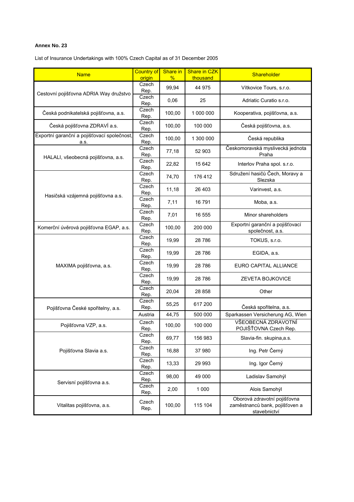List of Insurance Undertakings with 100% Czech Capital as of 31 December 2005

| <b>Name</b>                                         | <b>Country of</b><br>origin | Share in<br>% | Share in CZK<br>thousand | Shareholder                                                                    |
|-----------------------------------------------------|-----------------------------|---------------|--------------------------|--------------------------------------------------------------------------------|
|                                                     | Czech                       |               | 44 975                   |                                                                                |
| Cestovní pojišťovna ADRIA Way družstvo              | Rep.                        | 99,94         |                          | Vítkovice Tours, s.r.o.                                                        |
|                                                     | Czech<br>Rep.               | 0,06          | 25                       | Adriatic Curatio s.r.o.                                                        |
| Česká podnikatelská pojišťovna, a.s.                | Czech<br>Rep.               | 100,00        | 1 000 000                | Kooperativa, pojišťovna, a.s.                                                  |
| Česká pojišťovna ZDRAVÍ a.s.                        | Czech<br>Rep.               | 100,00        | 100 000                  | Česká pojišťovna, a.s.                                                         |
| Exportní garanční a pojišťovací společnost,<br>a.s. | Czech<br>Rep.               | 100,00        | 1 300 000                | Česká republika                                                                |
|                                                     | Czech<br>Rep.               | 77,18         | 52 903                   | Českomoravská myslivecká jednota<br>Praha                                      |
| HALALI, všeobecná pojišťovna, a.s.                  | Czech<br>Rep.               | 22,82         | 15 642                   | Interlov Praha spol. s.r.o.                                                    |
|                                                     | Czech<br>Rep.               | 74,70         | 176 412                  | Sdružení hasičů Čech, Moravy a<br>Slezska                                      |
| Hasičská vzájemná pojišťovna a.s.                   | Czech<br>Rep.               | 11,18         | 26 403                   | Varinvest, a.s.                                                                |
|                                                     | Czech<br>Rep.               | 7,11          | 16791                    | Moba, a.s.                                                                     |
|                                                     | Czech<br>Rep.               | 7,01          | 16 555                   | Minor shareholders                                                             |
| Komerční úvěrová pojišťovna EGAP, a.s.              | Czech<br>Rep.               | 100,00        | 200 000                  | Exportní garanční a pojišťovací<br>společnost, a.s.                            |
|                                                     | Czech<br>Rep.               | 19,99         | 28 786                   | TOKUS, s.r.o.                                                                  |
|                                                     | Czech<br>Rep.               | 19,99         | 28 786                   | EGIDA, a.s.                                                                    |
| MAXIMA pojišťovna, a.s.                             | Czech<br>Rep.               | 19,99         | 28786                    | <b>EURO CAPITAL ALLIANCE</b>                                                   |
|                                                     | Czech<br>Rep.               | 19,99         | 28786                    | ZEVETA BOJKOVICE                                                               |
|                                                     | Czech<br>Rep.               | 20,04         | 28 858                   | Other                                                                          |
| Pojišťovna České spořitelny, a.s.                   | Czech<br>Rep.               | 55,25         | 617 200                  | Česká spořitelna, a.s.                                                         |
|                                                     | Austria                     | 44,75         | 500 000                  | Sparkassen Versicherung AG, Wien                                               |
| Pojišťovna VZP, a.s.                                | Czech<br>Rep.               | 100,00        | 100 000                  | VŠEOBECNÁ ZDRAVOTNÍ<br>POJIŠŤOVNA Czech Rep.                                   |
|                                                     | Czech<br>Rep.               | 69,77         | 156 983                  | Slavia-fin. skupina,a.s.                                                       |
| Pojišťovna Slavia a.s.                              | Czech<br>Rep.               | 16,88         | 37980                    | Ing. Petr Černý                                                                |
|                                                     | Czech<br>Rep.               | 13,33         | 29 993                   | Ing. Igor Černý                                                                |
|                                                     | Czech<br>Rep.               | 98,00         | 49 000                   | Ladislav Samohýl                                                               |
| Servisní pojišťovna a.s.                            | Czech<br>Rep.               | 2,00          | 1 0 0 0                  | Alois Samohýl                                                                  |
| Vitalitas pojišťovna, a.s.                          | Czech<br>Rep.               | 100,00        | 115 104                  | Oborová zdravotní pojišťovna<br>zaměstnanců bank, pojišťoven a<br>stavebnictví |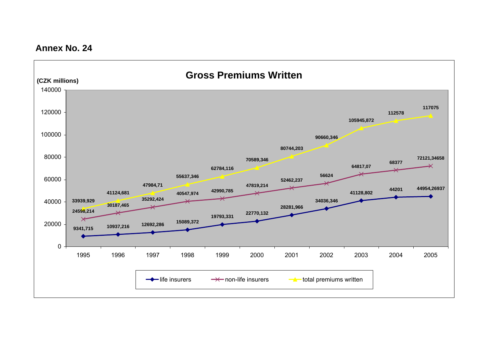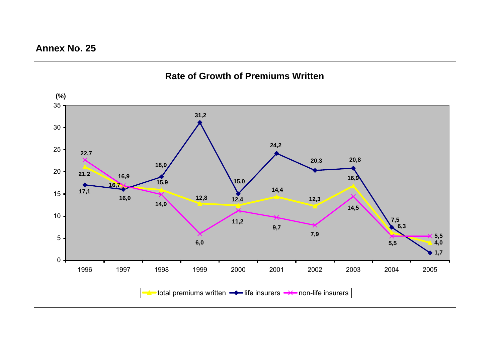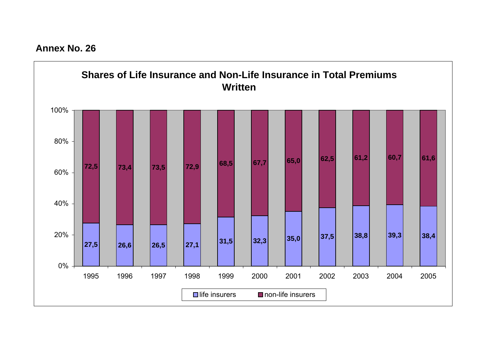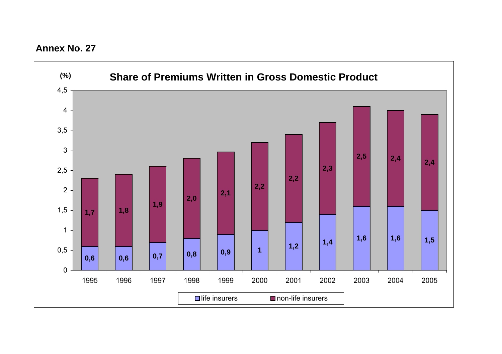

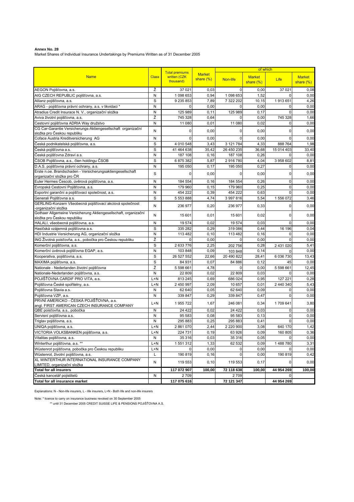**Annex No. 28** Market Shares of Individual Insurance Undertakings by Premiums Written as of 31 December 2005

| <b>Market</b><br>written (CZK<br><b>Market</b><br><b>Name</b><br><b>Class</b><br><b>Market</b><br>share $(\%)$<br>Non-life<br>Life<br>thousand)<br>share $(%)$<br>share $(\%)$<br>Ž<br>37 021<br>0,03<br>$\mathbf 0$<br>0,00<br>37 021<br>0,08<br>N<br>1 098 653<br>0,94<br>1 098 653<br>1,52<br>$\mathbf 0$<br>0,00<br>S<br>Allianz pojišťovna, a.s.<br>9 235 853<br>7,89<br>7 322 202<br>10,15<br>1913651<br>4,26<br>N<br>0,00<br>0<br>0,00<br>$\mathbf 0$<br>0,00<br>$\Omega$<br>Atradius Credit Insurace N. V., organizační složka<br>N<br>125 989<br>0,11<br>125 989<br>0,17<br>$\mathbf 0$<br>0,00<br>Aviva životní pojišťovna, a.s.<br>Ž<br>745 328<br>745 328<br>0,64<br>0<br>0,00<br>1,66<br>Cestovní pojišťovna ADRIA Way družstvo<br>N<br>11 080<br>0,01<br>11 080<br>0,02<br>0,00<br>0<br>CG Car-Garantie Versicherungs-Aktiengesellschaft organizační<br>0,00<br>0,00<br>$\mathbf 0$<br>0,00<br>N<br>0<br>0<br>složka pro Českou republiku<br>Coface Austria Kreditversicherung AG<br>0<br>$\mathbf 0$<br>N<br>$\Omega$<br>0,00<br>0.00<br>0,00<br>$\mathbf S$<br>Česká podnikatelská pojišťovna, a.s.<br>4 010 548<br>3,43<br>3 121 784<br>4,33<br>888 764<br>1,98<br>Česká pojišťovna a.s.<br>S<br>41 464 638<br>35,42<br>26 450 235<br>36,68<br>15 014 403<br>33,40<br>Česká pojišťovna Zdraví a.s.<br>N<br>187 108<br>187 108<br>0,26<br>$\mathbf 0$<br>0,00<br>0, 16<br>ČSOB Pojišťovna, a.s., člen holdingu ČSOB<br>$\mathbf S$<br>6 875 382<br>2916780<br>3 958 602<br>5,87<br>4,04<br>8,81<br>D.A.S. pojišťovna právní ochrany, a.s.<br>N<br>0,27<br>0,00<br>195 050<br>0,17<br>195 050<br>0<br>Erste n.oe. Brandschaden - Versicherungsaktiengesellschaft<br>$\rm s$<br>$\mathbf 0$<br>0,00<br>0<br>0,00<br>$\mathbf 0$<br>0,00<br>organizační složka pro ČR<br>Euler Hermes Čescob, úvěrová pojišťovna, a.s.<br>N<br>$\mathbf 0$<br>0,00<br>184 554<br>0, 16<br>184 554<br>0,26<br>N<br>0,25<br>$\mathbf 0$<br>Evropská Cestovní Pojišťovna, a.s.<br>179 960<br>0, 15<br>179 960<br>0,00<br>Exportní garanční a pojišťovací společnost, a.s.<br>N<br>454 222<br>0,39<br>454 222<br>0,63<br>$\mathbf 0$<br>0,00<br>Generali Pojišťovna a.s.<br>$\rm s$<br>1 556 072<br>5 553 888<br>4,74<br>3 997 816<br>5,54<br>3,46<br>GERLING-Konzern Všeobecná pojišťovací akciová společnost<br>N<br>0,00<br>236 977<br>0,20<br>236 977<br>0,33<br>0<br>organizační složka<br>Gothaer Allgemeine Versicherung Aktiengesellschaft, organizační<br>$\mathbf 0$<br>N<br>0,01<br>0,02<br>0,00<br>15 601<br>15 601<br>složka pro Českou republiku<br>HALALI, všeobecná pojišťovna, a.s.<br>N<br>19 574<br>0,02<br>19 574<br>0,03<br>$\mathbf 0$<br>0,00<br>S<br>Hasičská vzájemná pojišťovna a.s.<br>335 282<br>0,29<br>319 086<br>0,44<br>16 196<br>0,04<br>HDI Industrie Versicherung AG, organizační složka<br>N<br>0, 10<br>113 482<br>0,00<br>113 482<br>0,16<br>0<br>Ž<br>ING Životná poisťovňa, a.s., pobočka pro Českou republiku<br>0,00<br>0<br>0,00<br>$\Omega$<br>0,00<br>$\Omega$<br>Komerční pojišťovna, a.s.<br>S<br>2 633 776<br>2,25<br>0,28<br>5,41<br>2 431 020<br>202 756<br>N<br>103 848<br>0,09<br>Komerční úvěrová pojišťovna EGAP, a.s.<br>0,14<br>0,00<br>103 848<br>$\Omega$<br>$\mathbf S$<br>20 490 822<br>Kooperativa, pojišťovna, a.s.<br>26 527 552<br>22,66<br>28,41<br>6 036 730<br>13,43<br>S<br>MAXIMA pojišťovna, a.s.<br>84 931<br>0,07<br>84 886<br>0,12<br>45<br>0,00<br>Ž<br>Nationale - Nederlanden životní pojišťovna<br>12,45<br>5 598 661<br>4,78<br>0<br>0,00<br>5 598 661<br>Nationale-Nederlanden pojišťovna, a.s.<br>N<br>22 809<br>0,02<br>22 809<br>0,03<br>$\mathbf 0$<br>0,00<br>POJIŠŤOVNA CARDIF PRO VITA, a.s.<br>$L+N$<br>127 221<br>813 245<br>0,69<br>686 024<br>0,95<br>0,28<br>Pojišťovna České spořitelny, a.s.<br>$L+N$<br>2 450 997<br>2,09<br>10 657<br>2 440 340<br>0,01<br>5,43<br>0,05<br>Pojišťovna Slavia a.s.<br>N<br>62 640<br>62 640<br>0,09<br>0<br>0,00<br>$\mathbf 0$<br>Pojišťovna VZP, a.s.<br>N<br>339 847<br>0,29<br>339 847<br>0,47<br>0,00<br>PRVNÍ AMERICKO - ČESKÁ POJIŠŤOVNA, a.s.<br>1 955 722<br>1,67<br>246 081<br>0,34<br>1709 641<br>3,80<br>L+N<br>angl. FIRST AMERICAN CZECH INSURANCE COMPANY<br>24 4 22<br>0,03<br>0,00<br>N<br>24 4 22<br>0,02<br>QBE poisťovňa, a.s., pobočka<br>0<br>Servisní pojišťovna a.s.<br>N<br>95 583<br>0,08<br>95 583<br>0, 13<br>$\mathbf 0$<br>0,00<br>Triglav pojišťovna, a.s.<br>N<br>$\Omega$<br>295 883<br>0,25<br>295 883<br>0,41<br>0,00<br>UNIQA pojišťovna, a.s.<br>$L+N$<br>2 861 070<br>2,44<br>2 2 2 0 9 0 0<br>3,08<br>640 170<br>1,42<br>VICTORIA VOLKSBANKEN pojišťovna, a.s.<br>$+N$<br>224 731<br>0.19<br>63 926<br>0,09<br>160 805<br>0,36<br>Vitalitas pojišťovna, a.s.<br>$\pmb{0}$<br>0,00<br>N<br>35 316<br>0,03<br>35 316<br>0,05<br>Winterthur pojišťovna, a.s. **<br>1 551 312<br>1,33<br>62 532<br>0,09<br>1 488 780<br>3,31<br>L+N<br>L+N<br>0,00<br>0,00<br>0<br>0,00<br>0<br>0<br>0<br>190 819<br>0, 16<br>0,00<br>190 819<br>0,42<br>L<br>N<br>0<br>0,00<br>119 553<br>0, 10<br>119 553<br>0,17<br>LIMITED, organizační složka<br><b>Total for all insurers</b><br>117 072 907<br>100,00<br>72 118 638<br>100,00<br>44 954 269<br>100,00<br>Česká kancelář pojistitelů<br>2709<br>2709<br>N<br>0<br>Total for all insurance market<br>44 954 269<br>117 075 616<br>72 121 347 |                                                      |                       |  | of which |  |  |  |
|---------------------------------------------------------------------------------------------------------------------------------------------------------------------------------------------------------------------------------------------------------------------------------------------------------------------------------------------------------------------------------------------------------------------------------------------------------------------------------------------------------------------------------------------------------------------------------------------------------------------------------------------------------------------------------------------------------------------------------------------------------------------------------------------------------------------------------------------------------------------------------------------------------------------------------------------------------------------------------------------------------------------------------------------------------------------------------------------------------------------------------------------------------------------------------------------------------------------------------------------------------------------------------------------------------------------------------------------------------------------------------------------------------------------------------------------------------------------------------------------------------------------------------------------------------------------------------------------------------------------------------------------------------------------------------------------------------------------------------------------------------------------------------------------------------------------------------------------------------------------------------------------------------------------------------------------------------------------------------------------------------------------------------------------------------------------------------------------------------------------------------------------------------------------------------------------------------------------------------------------------------------------------------------------------------------------------------------------------------------------------------------------------------------------------------------------------------------------------------------------------------------------------------------------------------------------------------------------------------------------------------------------------------------------------------------------------------------------------------------------------------------------------------------------------------------------------------------------------------------------------------------------------------------------------------------------------------------------------------------------------------------------------------------------------------------------------------------------------------------------------------------------------------------------------------------------------------------------------------------------------------------------------------------------------------------------------------------------------------------------------------------------------------------------------------------------------------------------------------------------------------------------------------------------------------------------------------------------------------------------------------------------------------------------------------------------------------------------------------------------------------------------------------------------------------------------------------------------------------------------------------------------------------------------------------------------------------------------------------------------------------------------------------------------------------------------------------------------------------------------------------------------------------------------------------------------------------------------------------------------------------------------------------------------------------------------------------------------------------------------------------------------------------------------------------------------------------------------------------------------------------------------------------------------------------------------------------------------------------------------------------------------------------------------------------------------------------------------------------------------------------------------------------------------------------------------------------------------------------------------------------------------------------------------------------------------------------------------------------------------------------------------------------------------------------------------------------------------------------------------------------------------------------------------------------------------------------------------------------------------------------------------------------------------------------------------------------------------|------------------------------------------------------|-----------------------|--|----------|--|--|--|
|                                                                                                                                                                                                                                                                                                                                                                                                                                                                                                                                                                                                                                                                                                                                                                                                                                                                                                                                                                                                                                                                                                                                                                                                                                                                                                                                                                                                                                                                                                                                                                                                                                                                                                                                                                                                                                                                                                                                                                                                                                                                                                                                                                                                                                                                                                                                                                                                                                                                                                                                                                                                                                                                                                                                                                                                                                                                                                                                                                                                                                                                                                                                                                                                                                                                                                                                                                                                                                                                                                                                                                                                                                                                                                                                                                                                                                                                                                                                                                                                                                                                                                                                                                                                                                                                                                                                                                                                                                                                                                                                                                                                                                                                                                                                                                                                                                                                                                                                                                                                                                                                                                                                                                                                                                                                                                                                             |                                                      | <b>Total premiums</b> |  |          |  |  |  |
|                                                                                                                                                                                                                                                                                                                                                                                                                                                                                                                                                                                                                                                                                                                                                                                                                                                                                                                                                                                                                                                                                                                                                                                                                                                                                                                                                                                                                                                                                                                                                                                                                                                                                                                                                                                                                                                                                                                                                                                                                                                                                                                                                                                                                                                                                                                                                                                                                                                                                                                                                                                                                                                                                                                                                                                                                                                                                                                                                                                                                                                                                                                                                                                                                                                                                                                                                                                                                                                                                                                                                                                                                                                                                                                                                                                                                                                                                                                                                                                                                                                                                                                                                                                                                                                                                                                                                                                                                                                                                                                                                                                                                                                                                                                                                                                                                                                                                                                                                                                                                                                                                                                                                                                                                                                                                                                                             | AEGON Pojišťovna, a.s.                               |                       |  |          |  |  |  |
|                                                                                                                                                                                                                                                                                                                                                                                                                                                                                                                                                                                                                                                                                                                                                                                                                                                                                                                                                                                                                                                                                                                                                                                                                                                                                                                                                                                                                                                                                                                                                                                                                                                                                                                                                                                                                                                                                                                                                                                                                                                                                                                                                                                                                                                                                                                                                                                                                                                                                                                                                                                                                                                                                                                                                                                                                                                                                                                                                                                                                                                                                                                                                                                                                                                                                                                                                                                                                                                                                                                                                                                                                                                                                                                                                                                                                                                                                                                                                                                                                                                                                                                                                                                                                                                                                                                                                                                                                                                                                                                                                                                                                                                                                                                                                                                                                                                                                                                                                                                                                                                                                                                                                                                                                                                                                                                                             | AIG CZECH REPUBLIC pojišťovna, a.s.                  |                       |  |          |  |  |  |
|                                                                                                                                                                                                                                                                                                                                                                                                                                                                                                                                                                                                                                                                                                                                                                                                                                                                                                                                                                                                                                                                                                                                                                                                                                                                                                                                                                                                                                                                                                                                                                                                                                                                                                                                                                                                                                                                                                                                                                                                                                                                                                                                                                                                                                                                                                                                                                                                                                                                                                                                                                                                                                                                                                                                                                                                                                                                                                                                                                                                                                                                                                                                                                                                                                                                                                                                                                                                                                                                                                                                                                                                                                                                                                                                                                                                                                                                                                                                                                                                                                                                                                                                                                                                                                                                                                                                                                                                                                                                                                                                                                                                                                                                                                                                                                                                                                                                                                                                                                                                                                                                                                                                                                                                                                                                                                                                             |                                                      |                       |  |          |  |  |  |
|                                                                                                                                                                                                                                                                                                                                                                                                                                                                                                                                                                                                                                                                                                                                                                                                                                                                                                                                                                                                                                                                                                                                                                                                                                                                                                                                                                                                                                                                                                                                                                                                                                                                                                                                                                                                                                                                                                                                                                                                                                                                                                                                                                                                                                                                                                                                                                                                                                                                                                                                                                                                                                                                                                                                                                                                                                                                                                                                                                                                                                                                                                                                                                                                                                                                                                                                                                                                                                                                                                                                                                                                                                                                                                                                                                                                                                                                                                                                                                                                                                                                                                                                                                                                                                                                                                                                                                                                                                                                                                                                                                                                                                                                                                                                                                                                                                                                                                                                                                                                                                                                                                                                                                                                                                                                                                                                             | ARAG - pojišťovna právní ochrany, a.s. v likvidaci * |                       |  |          |  |  |  |
|                                                                                                                                                                                                                                                                                                                                                                                                                                                                                                                                                                                                                                                                                                                                                                                                                                                                                                                                                                                                                                                                                                                                                                                                                                                                                                                                                                                                                                                                                                                                                                                                                                                                                                                                                                                                                                                                                                                                                                                                                                                                                                                                                                                                                                                                                                                                                                                                                                                                                                                                                                                                                                                                                                                                                                                                                                                                                                                                                                                                                                                                                                                                                                                                                                                                                                                                                                                                                                                                                                                                                                                                                                                                                                                                                                                                                                                                                                                                                                                                                                                                                                                                                                                                                                                                                                                                                                                                                                                                                                                                                                                                                                                                                                                                                                                                                                                                                                                                                                                                                                                                                                                                                                                                                                                                                                                                             |                                                      |                       |  |          |  |  |  |
|                                                                                                                                                                                                                                                                                                                                                                                                                                                                                                                                                                                                                                                                                                                                                                                                                                                                                                                                                                                                                                                                                                                                                                                                                                                                                                                                                                                                                                                                                                                                                                                                                                                                                                                                                                                                                                                                                                                                                                                                                                                                                                                                                                                                                                                                                                                                                                                                                                                                                                                                                                                                                                                                                                                                                                                                                                                                                                                                                                                                                                                                                                                                                                                                                                                                                                                                                                                                                                                                                                                                                                                                                                                                                                                                                                                                                                                                                                                                                                                                                                                                                                                                                                                                                                                                                                                                                                                                                                                                                                                                                                                                                                                                                                                                                                                                                                                                                                                                                                                                                                                                                                                                                                                                                                                                                                                                             |                                                      |                       |  |          |  |  |  |
|                                                                                                                                                                                                                                                                                                                                                                                                                                                                                                                                                                                                                                                                                                                                                                                                                                                                                                                                                                                                                                                                                                                                                                                                                                                                                                                                                                                                                                                                                                                                                                                                                                                                                                                                                                                                                                                                                                                                                                                                                                                                                                                                                                                                                                                                                                                                                                                                                                                                                                                                                                                                                                                                                                                                                                                                                                                                                                                                                                                                                                                                                                                                                                                                                                                                                                                                                                                                                                                                                                                                                                                                                                                                                                                                                                                                                                                                                                                                                                                                                                                                                                                                                                                                                                                                                                                                                                                                                                                                                                                                                                                                                                                                                                                                                                                                                                                                                                                                                                                                                                                                                                                                                                                                                                                                                                                                             |                                                      |                       |  |          |  |  |  |
|                                                                                                                                                                                                                                                                                                                                                                                                                                                                                                                                                                                                                                                                                                                                                                                                                                                                                                                                                                                                                                                                                                                                                                                                                                                                                                                                                                                                                                                                                                                                                                                                                                                                                                                                                                                                                                                                                                                                                                                                                                                                                                                                                                                                                                                                                                                                                                                                                                                                                                                                                                                                                                                                                                                                                                                                                                                                                                                                                                                                                                                                                                                                                                                                                                                                                                                                                                                                                                                                                                                                                                                                                                                                                                                                                                                                                                                                                                                                                                                                                                                                                                                                                                                                                                                                                                                                                                                                                                                                                                                                                                                                                                                                                                                                                                                                                                                                                                                                                                                                                                                                                                                                                                                                                                                                                                                                             |                                                      |                       |  |          |  |  |  |
|                                                                                                                                                                                                                                                                                                                                                                                                                                                                                                                                                                                                                                                                                                                                                                                                                                                                                                                                                                                                                                                                                                                                                                                                                                                                                                                                                                                                                                                                                                                                                                                                                                                                                                                                                                                                                                                                                                                                                                                                                                                                                                                                                                                                                                                                                                                                                                                                                                                                                                                                                                                                                                                                                                                                                                                                                                                                                                                                                                                                                                                                                                                                                                                                                                                                                                                                                                                                                                                                                                                                                                                                                                                                                                                                                                                                                                                                                                                                                                                                                                                                                                                                                                                                                                                                                                                                                                                                                                                                                                                                                                                                                                                                                                                                                                                                                                                                                                                                                                                                                                                                                                                                                                                                                                                                                                                                             |                                                      |                       |  |          |  |  |  |
|                                                                                                                                                                                                                                                                                                                                                                                                                                                                                                                                                                                                                                                                                                                                                                                                                                                                                                                                                                                                                                                                                                                                                                                                                                                                                                                                                                                                                                                                                                                                                                                                                                                                                                                                                                                                                                                                                                                                                                                                                                                                                                                                                                                                                                                                                                                                                                                                                                                                                                                                                                                                                                                                                                                                                                                                                                                                                                                                                                                                                                                                                                                                                                                                                                                                                                                                                                                                                                                                                                                                                                                                                                                                                                                                                                                                                                                                                                                                                                                                                                                                                                                                                                                                                                                                                                                                                                                                                                                                                                                                                                                                                                                                                                                                                                                                                                                                                                                                                                                                                                                                                                                                                                                                                                                                                                                                             |                                                      |                       |  |          |  |  |  |
|                                                                                                                                                                                                                                                                                                                                                                                                                                                                                                                                                                                                                                                                                                                                                                                                                                                                                                                                                                                                                                                                                                                                                                                                                                                                                                                                                                                                                                                                                                                                                                                                                                                                                                                                                                                                                                                                                                                                                                                                                                                                                                                                                                                                                                                                                                                                                                                                                                                                                                                                                                                                                                                                                                                                                                                                                                                                                                                                                                                                                                                                                                                                                                                                                                                                                                                                                                                                                                                                                                                                                                                                                                                                                                                                                                                                                                                                                                                                                                                                                                                                                                                                                                                                                                                                                                                                                                                                                                                                                                                                                                                                                                                                                                                                                                                                                                                                                                                                                                                                                                                                                                                                                                                                                                                                                                                                             |                                                      |                       |  |          |  |  |  |
|                                                                                                                                                                                                                                                                                                                                                                                                                                                                                                                                                                                                                                                                                                                                                                                                                                                                                                                                                                                                                                                                                                                                                                                                                                                                                                                                                                                                                                                                                                                                                                                                                                                                                                                                                                                                                                                                                                                                                                                                                                                                                                                                                                                                                                                                                                                                                                                                                                                                                                                                                                                                                                                                                                                                                                                                                                                                                                                                                                                                                                                                                                                                                                                                                                                                                                                                                                                                                                                                                                                                                                                                                                                                                                                                                                                                                                                                                                                                                                                                                                                                                                                                                                                                                                                                                                                                                                                                                                                                                                                                                                                                                                                                                                                                                                                                                                                                                                                                                                                                                                                                                                                                                                                                                                                                                                                                             |                                                      |                       |  |          |  |  |  |
|                                                                                                                                                                                                                                                                                                                                                                                                                                                                                                                                                                                                                                                                                                                                                                                                                                                                                                                                                                                                                                                                                                                                                                                                                                                                                                                                                                                                                                                                                                                                                                                                                                                                                                                                                                                                                                                                                                                                                                                                                                                                                                                                                                                                                                                                                                                                                                                                                                                                                                                                                                                                                                                                                                                                                                                                                                                                                                                                                                                                                                                                                                                                                                                                                                                                                                                                                                                                                                                                                                                                                                                                                                                                                                                                                                                                                                                                                                                                                                                                                                                                                                                                                                                                                                                                                                                                                                                                                                                                                                                                                                                                                                                                                                                                                                                                                                                                                                                                                                                                                                                                                                                                                                                                                                                                                                                                             |                                                      |                       |  |          |  |  |  |
|                                                                                                                                                                                                                                                                                                                                                                                                                                                                                                                                                                                                                                                                                                                                                                                                                                                                                                                                                                                                                                                                                                                                                                                                                                                                                                                                                                                                                                                                                                                                                                                                                                                                                                                                                                                                                                                                                                                                                                                                                                                                                                                                                                                                                                                                                                                                                                                                                                                                                                                                                                                                                                                                                                                                                                                                                                                                                                                                                                                                                                                                                                                                                                                                                                                                                                                                                                                                                                                                                                                                                                                                                                                                                                                                                                                                                                                                                                                                                                                                                                                                                                                                                                                                                                                                                                                                                                                                                                                                                                                                                                                                                                                                                                                                                                                                                                                                                                                                                                                                                                                                                                                                                                                                                                                                                                                                             |                                                      |                       |  |          |  |  |  |
|                                                                                                                                                                                                                                                                                                                                                                                                                                                                                                                                                                                                                                                                                                                                                                                                                                                                                                                                                                                                                                                                                                                                                                                                                                                                                                                                                                                                                                                                                                                                                                                                                                                                                                                                                                                                                                                                                                                                                                                                                                                                                                                                                                                                                                                                                                                                                                                                                                                                                                                                                                                                                                                                                                                                                                                                                                                                                                                                                                                                                                                                                                                                                                                                                                                                                                                                                                                                                                                                                                                                                                                                                                                                                                                                                                                                                                                                                                                                                                                                                                                                                                                                                                                                                                                                                                                                                                                                                                                                                                                                                                                                                                                                                                                                                                                                                                                                                                                                                                                                                                                                                                                                                                                                                                                                                                                                             |                                                      |                       |  |          |  |  |  |
|                                                                                                                                                                                                                                                                                                                                                                                                                                                                                                                                                                                                                                                                                                                                                                                                                                                                                                                                                                                                                                                                                                                                                                                                                                                                                                                                                                                                                                                                                                                                                                                                                                                                                                                                                                                                                                                                                                                                                                                                                                                                                                                                                                                                                                                                                                                                                                                                                                                                                                                                                                                                                                                                                                                                                                                                                                                                                                                                                                                                                                                                                                                                                                                                                                                                                                                                                                                                                                                                                                                                                                                                                                                                                                                                                                                                                                                                                                                                                                                                                                                                                                                                                                                                                                                                                                                                                                                                                                                                                                                                                                                                                                                                                                                                                                                                                                                                                                                                                                                                                                                                                                                                                                                                                                                                                                                                             |                                                      |                       |  |          |  |  |  |
|                                                                                                                                                                                                                                                                                                                                                                                                                                                                                                                                                                                                                                                                                                                                                                                                                                                                                                                                                                                                                                                                                                                                                                                                                                                                                                                                                                                                                                                                                                                                                                                                                                                                                                                                                                                                                                                                                                                                                                                                                                                                                                                                                                                                                                                                                                                                                                                                                                                                                                                                                                                                                                                                                                                                                                                                                                                                                                                                                                                                                                                                                                                                                                                                                                                                                                                                                                                                                                                                                                                                                                                                                                                                                                                                                                                                                                                                                                                                                                                                                                                                                                                                                                                                                                                                                                                                                                                                                                                                                                                                                                                                                                                                                                                                                                                                                                                                                                                                                                                                                                                                                                                                                                                                                                                                                                                                             |                                                      |                       |  |          |  |  |  |
|                                                                                                                                                                                                                                                                                                                                                                                                                                                                                                                                                                                                                                                                                                                                                                                                                                                                                                                                                                                                                                                                                                                                                                                                                                                                                                                                                                                                                                                                                                                                                                                                                                                                                                                                                                                                                                                                                                                                                                                                                                                                                                                                                                                                                                                                                                                                                                                                                                                                                                                                                                                                                                                                                                                                                                                                                                                                                                                                                                                                                                                                                                                                                                                                                                                                                                                                                                                                                                                                                                                                                                                                                                                                                                                                                                                                                                                                                                                                                                                                                                                                                                                                                                                                                                                                                                                                                                                                                                                                                                                                                                                                                                                                                                                                                                                                                                                                                                                                                                                                                                                                                                                                                                                                                                                                                                                                             |                                                      |                       |  |          |  |  |  |
|                                                                                                                                                                                                                                                                                                                                                                                                                                                                                                                                                                                                                                                                                                                                                                                                                                                                                                                                                                                                                                                                                                                                                                                                                                                                                                                                                                                                                                                                                                                                                                                                                                                                                                                                                                                                                                                                                                                                                                                                                                                                                                                                                                                                                                                                                                                                                                                                                                                                                                                                                                                                                                                                                                                                                                                                                                                                                                                                                                                                                                                                                                                                                                                                                                                                                                                                                                                                                                                                                                                                                                                                                                                                                                                                                                                                                                                                                                                                                                                                                                                                                                                                                                                                                                                                                                                                                                                                                                                                                                                                                                                                                                                                                                                                                                                                                                                                                                                                                                                                                                                                                                                                                                                                                                                                                                                                             |                                                      |                       |  |          |  |  |  |
|                                                                                                                                                                                                                                                                                                                                                                                                                                                                                                                                                                                                                                                                                                                                                                                                                                                                                                                                                                                                                                                                                                                                                                                                                                                                                                                                                                                                                                                                                                                                                                                                                                                                                                                                                                                                                                                                                                                                                                                                                                                                                                                                                                                                                                                                                                                                                                                                                                                                                                                                                                                                                                                                                                                                                                                                                                                                                                                                                                                                                                                                                                                                                                                                                                                                                                                                                                                                                                                                                                                                                                                                                                                                                                                                                                                                                                                                                                                                                                                                                                                                                                                                                                                                                                                                                                                                                                                                                                                                                                                                                                                                                                                                                                                                                                                                                                                                                                                                                                                                                                                                                                                                                                                                                                                                                                                                             |                                                      |                       |  |          |  |  |  |
|                                                                                                                                                                                                                                                                                                                                                                                                                                                                                                                                                                                                                                                                                                                                                                                                                                                                                                                                                                                                                                                                                                                                                                                                                                                                                                                                                                                                                                                                                                                                                                                                                                                                                                                                                                                                                                                                                                                                                                                                                                                                                                                                                                                                                                                                                                                                                                                                                                                                                                                                                                                                                                                                                                                                                                                                                                                                                                                                                                                                                                                                                                                                                                                                                                                                                                                                                                                                                                                                                                                                                                                                                                                                                                                                                                                                                                                                                                                                                                                                                                                                                                                                                                                                                                                                                                                                                                                                                                                                                                                                                                                                                                                                                                                                                                                                                                                                                                                                                                                                                                                                                                                                                                                                                                                                                                                                             |                                                      |                       |  |          |  |  |  |
|                                                                                                                                                                                                                                                                                                                                                                                                                                                                                                                                                                                                                                                                                                                                                                                                                                                                                                                                                                                                                                                                                                                                                                                                                                                                                                                                                                                                                                                                                                                                                                                                                                                                                                                                                                                                                                                                                                                                                                                                                                                                                                                                                                                                                                                                                                                                                                                                                                                                                                                                                                                                                                                                                                                                                                                                                                                                                                                                                                                                                                                                                                                                                                                                                                                                                                                                                                                                                                                                                                                                                                                                                                                                                                                                                                                                                                                                                                                                                                                                                                                                                                                                                                                                                                                                                                                                                                                                                                                                                                                                                                                                                                                                                                                                                                                                                                                                                                                                                                                                                                                                                                                                                                                                                                                                                                                                             |                                                      |                       |  |          |  |  |  |
|                                                                                                                                                                                                                                                                                                                                                                                                                                                                                                                                                                                                                                                                                                                                                                                                                                                                                                                                                                                                                                                                                                                                                                                                                                                                                                                                                                                                                                                                                                                                                                                                                                                                                                                                                                                                                                                                                                                                                                                                                                                                                                                                                                                                                                                                                                                                                                                                                                                                                                                                                                                                                                                                                                                                                                                                                                                                                                                                                                                                                                                                                                                                                                                                                                                                                                                                                                                                                                                                                                                                                                                                                                                                                                                                                                                                                                                                                                                                                                                                                                                                                                                                                                                                                                                                                                                                                                                                                                                                                                                                                                                                                                                                                                                                                                                                                                                                                                                                                                                                                                                                                                                                                                                                                                                                                                                                             |                                                      |                       |  |          |  |  |  |
|                                                                                                                                                                                                                                                                                                                                                                                                                                                                                                                                                                                                                                                                                                                                                                                                                                                                                                                                                                                                                                                                                                                                                                                                                                                                                                                                                                                                                                                                                                                                                                                                                                                                                                                                                                                                                                                                                                                                                                                                                                                                                                                                                                                                                                                                                                                                                                                                                                                                                                                                                                                                                                                                                                                                                                                                                                                                                                                                                                                                                                                                                                                                                                                                                                                                                                                                                                                                                                                                                                                                                                                                                                                                                                                                                                                                                                                                                                                                                                                                                                                                                                                                                                                                                                                                                                                                                                                                                                                                                                                                                                                                                                                                                                                                                                                                                                                                                                                                                                                                                                                                                                                                                                                                                                                                                                                                             |                                                      |                       |  |          |  |  |  |
|                                                                                                                                                                                                                                                                                                                                                                                                                                                                                                                                                                                                                                                                                                                                                                                                                                                                                                                                                                                                                                                                                                                                                                                                                                                                                                                                                                                                                                                                                                                                                                                                                                                                                                                                                                                                                                                                                                                                                                                                                                                                                                                                                                                                                                                                                                                                                                                                                                                                                                                                                                                                                                                                                                                                                                                                                                                                                                                                                                                                                                                                                                                                                                                                                                                                                                                                                                                                                                                                                                                                                                                                                                                                                                                                                                                                                                                                                                                                                                                                                                                                                                                                                                                                                                                                                                                                                                                                                                                                                                                                                                                                                                                                                                                                                                                                                                                                                                                                                                                                                                                                                                                                                                                                                                                                                                                                             |                                                      |                       |  |          |  |  |  |
|                                                                                                                                                                                                                                                                                                                                                                                                                                                                                                                                                                                                                                                                                                                                                                                                                                                                                                                                                                                                                                                                                                                                                                                                                                                                                                                                                                                                                                                                                                                                                                                                                                                                                                                                                                                                                                                                                                                                                                                                                                                                                                                                                                                                                                                                                                                                                                                                                                                                                                                                                                                                                                                                                                                                                                                                                                                                                                                                                                                                                                                                                                                                                                                                                                                                                                                                                                                                                                                                                                                                                                                                                                                                                                                                                                                                                                                                                                                                                                                                                                                                                                                                                                                                                                                                                                                                                                                                                                                                                                                                                                                                                                                                                                                                                                                                                                                                                                                                                                                                                                                                                                                                                                                                                                                                                                                                             |                                                      |                       |  |          |  |  |  |
|                                                                                                                                                                                                                                                                                                                                                                                                                                                                                                                                                                                                                                                                                                                                                                                                                                                                                                                                                                                                                                                                                                                                                                                                                                                                                                                                                                                                                                                                                                                                                                                                                                                                                                                                                                                                                                                                                                                                                                                                                                                                                                                                                                                                                                                                                                                                                                                                                                                                                                                                                                                                                                                                                                                                                                                                                                                                                                                                                                                                                                                                                                                                                                                                                                                                                                                                                                                                                                                                                                                                                                                                                                                                                                                                                                                                                                                                                                                                                                                                                                                                                                                                                                                                                                                                                                                                                                                                                                                                                                                                                                                                                                                                                                                                                                                                                                                                                                                                                                                                                                                                                                                                                                                                                                                                                                                                             |                                                      |                       |  |          |  |  |  |
|                                                                                                                                                                                                                                                                                                                                                                                                                                                                                                                                                                                                                                                                                                                                                                                                                                                                                                                                                                                                                                                                                                                                                                                                                                                                                                                                                                                                                                                                                                                                                                                                                                                                                                                                                                                                                                                                                                                                                                                                                                                                                                                                                                                                                                                                                                                                                                                                                                                                                                                                                                                                                                                                                                                                                                                                                                                                                                                                                                                                                                                                                                                                                                                                                                                                                                                                                                                                                                                                                                                                                                                                                                                                                                                                                                                                                                                                                                                                                                                                                                                                                                                                                                                                                                                                                                                                                                                                                                                                                                                                                                                                                                                                                                                                                                                                                                                                                                                                                                                                                                                                                                                                                                                                                                                                                                                                             |                                                      |                       |  |          |  |  |  |
|                                                                                                                                                                                                                                                                                                                                                                                                                                                                                                                                                                                                                                                                                                                                                                                                                                                                                                                                                                                                                                                                                                                                                                                                                                                                                                                                                                                                                                                                                                                                                                                                                                                                                                                                                                                                                                                                                                                                                                                                                                                                                                                                                                                                                                                                                                                                                                                                                                                                                                                                                                                                                                                                                                                                                                                                                                                                                                                                                                                                                                                                                                                                                                                                                                                                                                                                                                                                                                                                                                                                                                                                                                                                                                                                                                                                                                                                                                                                                                                                                                                                                                                                                                                                                                                                                                                                                                                                                                                                                                                                                                                                                                                                                                                                                                                                                                                                                                                                                                                                                                                                                                                                                                                                                                                                                                                                             |                                                      |                       |  |          |  |  |  |
|                                                                                                                                                                                                                                                                                                                                                                                                                                                                                                                                                                                                                                                                                                                                                                                                                                                                                                                                                                                                                                                                                                                                                                                                                                                                                                                                                                                                                                                                                                                                                                                                                                                                                                                                                                                                                                                                                                                                                                                                                                                                                                                                                                                                                                                                                                                                                                                                                                                                                                                                                                                                                                                                                                                                                                                                                                                                                                                                                                                                                                                                                                                                                                                                                                                                                                                                                                                                                                                                                                                                                                                                                                                                                                                                                                                                                                                                                                                                                                                                                                                                                                                                                                                                                                                                                                                                                                                                                                                                                                                                                                                                                                                                                                                                                                                                                                                                                                                                                                                                                                                                                                                                                                                                                                                                                                                                             |                                                      |                       |  |          |  |  |  |
|                                                                                                                                                                                                                                                                                                                                                                                                                                                                                                                                                                                                                                                                                                                                                                                                                                                                                                                                                                                                                                                                                                                                                                                                                                                                                                                                                                                                                                                                                                                                                                                                                                                                                                                                                                                                                                                                                                                                                                                                                                                                                                                                                                                                                                                                                                                                                                                                                                                                                                                                                                                                                                                                                                                                                                                                                                                                                                                                                                                                                                                                                                                                                                                                                                                                                                                                                                                                                                                                                                                                                                                                                                                                                                                                                                                                                                                                                                                                                                                                                                                                                                                                                                                                                                                                                                                                                                                                                                                                                                                                                                                                                                                                                                                                                                                                                                                                                                                                                                                                                                                                                                                                                                                                                                                                                                                                             |                                                      |                       |  |          |  |  |  |
|                                                                                                                                                                                                                                                                                                                                                                                                                                                                                                                                                                                                                                                                                                                                                                                                                                                                                                                                                                                                                                                                                                                                                                                                                                                                                                                                                                                                                                                                                                                                                                                                                                                                                                                                                                                                                                                                                                                                                                                                                                                                                                                                                                                                                                                                                                                                                                                                                                                                                                                                                                                                                                                                                                                                                                                                                                                                                                                                                                                                                                                                                                                                                                                                                                                                                                                                                                                                                                                                                                                                                                                                                                                                                                                                                                                                                                                                                                                                                                                                                                                                                                                                                                                                                                                                                                                                                                                                                                                                                                                                                                                                                                                                                                                                                                                                                                                                                                                                                                                                                                                                                                                                                                                                                                                                                                                                             |                                                      |                       |  |          |  |  |  |
|                                                                                                                                                                                                                                                                                                                                                                                                                                                                                                                                                                                                                                                                                                                                                                                                                                                                                                                                                                                                                                                                                                                                                                                                                                                                                                                                                                                                                                                                                                                                                                                                                                                                                                                                                                                                                                                                                                                                                                                                                                                                                                                                                                                                                                                                                                                                                                                                                                                                                                                                                                                                                                                                                                                                                                                                                                                                                                                                                                                                                                                                                                                                                                                                                                                                                                                                                                                                                                                                                                                                                                                                                                                                                                                                                                                                                                                                                                                                                                                                                                                                                                                                                                                                                                                                                                                                                                                                                                                                                                                                                                                                                                                                                                                                                                                                                                                                                                                                                                                                                                                                                                                                                                                                                                                                                                                                             |                                                      |                       |  |          |  |  |  |
|                                                                                                                                                                                                                                                                                                                                                                                                                                                                                                                                                                                                                                                                                                                                                                                                                                                                                                                                                                                                                                                                                                                                                                                                                                                                                                                                                                                                                                                                                                                                                                                                                                                                                                                                                                                                                                                                                                                                                                                                                                                                                                                                                                                                                                                                                                                                                                                                                                                                                                                                                                                                                                                                                                                                                                                                                                                                                                                                                                                                                                                                                                                                                                                                                                                                                                                                                                                                                                                                                                                                                                                                                                                                                                                                                                                                                                                                                                                                                                                                                                                                                                                                                                                                                                                                                                                                                                                                                                                                                                                                                                                                                                                                                                                                                                                                                                                                                                                                                                                                                                                                                                                                                                                                                                                                                                                                             |                                                      |                       |  |          |  |  |  |
|                                                                                                                                                                                                                                                                                                                                                                                                                                                                                                                                                                                                                                                                                                                                                                                                                                                                                                                                                                                                                                                                                                                                                                                                                                                                                                                                                                                                                                                                                                                                                                                                                                                                                                                                                                                                                                                                                                                                                                                                                                                                                                                                                                                                                                                                                                                                                                                                                                                                                                                                                                                                                                                                                                                                                                                                                                                                                                                                                                                                                                                                                                                                                                                                                                                                                                                                                                                                                                                                                                                                                                                                                                                                                                                                                                                                                                                                                                                                                                                                                                                                                                                                                                                                                                                                                                                                                                                                                                                                                                                                                                                                                                                                                                                                                                                                                                                                                                                                                                                                                                                                                                                                                                                                                                                                                                                                             |                                                      |                       |  |          |  |  |  |
|                                                                                                                                                                                                                                                                                                                                                                                                                                                                                                                                                                                                                                                                                                                                                                                                                                                                                                                                                                                                                                                                                                                                                                                                                                                                                                                                                                                                                                                                                                                                                                                                                                                                                                                                                                                                                                                                                                                                                                                                                                                                                                                                                                                                                                                                                                                                                                                                                                                                                                                                                                                                                                                                                                                                                                                                                                                                                                                                                                                                                                                                                                                                                                                                                                                                                                                                                                                                                                                                                                                                                                                                                                                                                                                                                                                                                                                                                                                                                                                                                                                                                                                                                                                                                                                                                                                                                                                                                                                                                                                                                                                                                                                                                                                                                                                                                                                                                                                                                                                                                                                                                                                                                                                                                                                                                                                                             |                                                      |                       |  |          |  |  |  |
|                                                                                                                                                                                                                                                                                                                                                                                                                                                                                                                                                                                                                                                                                                                                                                                                                                                                                                                                                                                                                                                                                                                                                                                                                                                                                                                                                                                                                                                                                                                                                                                                                                                                                                                                                                                                                                                                                                                                                                                                                                                                                                                                                                                                                                                                                                                                                                                                                                                                                                                                                                                                                                                                                                                                                                                                                                                                                                                                                                                                                                                                                                                                                                                                                                                                                                                                                                                                                                                                                                                                                                                                                                                                                                                                                                                                                                                                                                                                                                                                                                                                                                                                                                                                                                                                                                                                                                                                                                                                                                                                                                                                                                                                                                                                                                                                                                                                                                                                                                                                                                                                                                                                                                                                                                                                                                                                             |                                                      |                       |  |          |  |  |  |
|                                                                                                                                                                                                                                                                                                                                                                                                                                                                                                                                                                                                                                                                                                                                                                                                                                                                                                                                                                                                                                                                                                                                                                                                                                                                                                                                                                                                                                                                                                                                                                                                                                                                                                                                                                                                                                                                                                                                                                                                                                                                                                                                                                                                                                                                                                                                                                                                                                                                                                                                                                                                                                                                                                                                                                                                                                                                                                                                                                                                                                                                                                                                                                                                                                                                                                                                                                                                                                                                                                                                                                                                                                                                                                                                                                                                                                                                                                                                                                                                                                                                                                                                                                                                                                                                                                                                                                                                                                                                                                                                                                                                                                                                                                                                                                                                                                                                                                                                                                                                                                                                                                                                                                                                                                                                                                                                             |                                                      |                       |  |          |  |  |  |
|                                                                                                                                                                                                                                                                                                                                                                                                                                                                                                                                                                                                                                                                                                                                                                                                                                                                                                                                                                                                                                                                                                                                                                                                                                                                                                                                                                                                                                                                                                                                                                                                                                                                                                                                                                                                                                                                                                                                                                                                                                                                                                                                                                                                                                                                                                                                                                                                                                                                                                                                                                                                                                                                                                                                                                                                                                                                                                                                                                                                                                                                                                                                                                                                                                                                                                                                                                                                                                                                                                                                                                                                                                                                                                                                                                                                                                                                                                                                                                                                                                                                                                                                                                                                                                                                                                                                                                                                                                                                                                                                                                                                                                                                                                                                                                                                                                                                                                                                                                                                                                                                                                                                                                                                                                                                                                                                             |                                                      |                       |  |          |  |  |  |
|                                                                                                                                                                                                                                                                                                                                                                                                                                                                                                                                                                                                                                                                                                                                                                                                                                                                                                                                                                                                                                                                                                                                                                                                                                                                                                                                                                                                                                                                                                                                                                                                                                                                                                                                                                                                                                                                                                                                                                                                                                                                                                                                                                                                                                                                                                                                                                                                                                                                                                                                                                                                                                                                                                                                                                                                                                                                                                                                                                                                                                                                                                                                                                                                                                                                                                                                                                                                                                                                                                                                                                                                                                                                                                                                                                                                                                                                                                                                                                                                                                                                                                                                                                                                                                                                                                                                                                                                                                                                                                                                                                                                                                                                                                                                                                                                                                                                                                                                                                                                                                                                                                                                                                                                                                                                                                                                             |                                                      |                       |  |          |  |  |  |
|                                                                                                                                                                                                                                                                                                                                                                                                                                                                                                                                                                                                                                                                                                                                                                                                                                                                                                                                                                                                                                                                                                                                                                                                                                                                                                                                                                                                                                                                                                                                                                                                                                                                                                                                                                                                                                                                                                                                                                                                                                                                                                                                                                                                                                                                                                                                                                                                                                                                                                                                                                                                                                                                                                                                                                                                                                                                                                                                                                                                                                                                                                                                                                                                                                                                                                                                                                                                                                                                                                                                                                                                                                                                                                                                                                                                                                                                                                                                                                                                                                                                                                                                                                                                                                                                                                                                                                                                                                                                                                                                                                                                                                                                                                                                                                                                                                                                                                                                                                                                                                                                                                                                                                                                                                                                                                                                             |                                                      |                       |  |          |  |  |  |
|                                                                                                                                                                                                                                                                                                                                                                                                                                                                                                                                                                                                                                                                                                                                                                                                                                                                                                                                                                                                                                                                                                                                                                                                                                                                                                                                                                                                                                                                                                                                                                                                                                                                                                                                                                                                                                                                                                                                                                                                                                                                                                                                                                                                                                                                                                                                                                                                                                                                                                                                                                                                                                                                                                                                                                                                                                                                                                                                                                                                                                                                                                                                                                                                                                                                                                                                                                                                                                                                                                                                                                                                                                                                                                                                                                                                                                                                                                                                                                                                                                                                                                                                                                                                                                                                                                                                                                                                                                                                                                                                                                                                                                                                                                                                                                                                                                                                                                                                                                                                                                                                                                                                                                                                                                                                                                                                             |                                                      |                       |  |          |  |  |  |
|                                                                                                                                                                                                                                                                                                                                                                                                                                                                                                                                                                                                                                                                                                                                                                                                                                                                                                                                                                                                                                                                                                                                                                                                                                                                                                                                                                                                                                                                                                                                                                                                                                                                                                                                                                                                                                                                                                                                                                                                                                                                                                                                                                                                                                                                                                                                                                                                                                                                                                                                                                                                                                                                                                                                                                                                                                                                                                                                                                                                                                                                                                                                                                                                                                                                                                                                                                                                                                                                                                                                                                                                                                                                                                                                                                                                                                                                                                                                                                                                                                                                                                                                                                                                                                                                                                                                                                                                                                                                                                                                                                                                                                                                                                                                                                                                                                                                                                                                                                                                                                                                                                                                                                                                                                                                                                                                             |                                                      |                       |  |          |  |  |  |
|                                                                                                                                                                                                                                                                                                                                                                                                                                                                                                                                                                                                                                                                                                                                                                                                                                                                                                                                                                                                                                                                                                                                                                                                                                                                                                                                                                                                                                                                                                                                                                                                                                                                                                                                                                                                                                                                                                                                                                                                                                                                                                                                                                                                                                                                                                                                                                                                                                                                                                                                                                                                                                                                                                                                                                                                                                                                                                                                                                                                                                                                                                                                                                                                                                                                                                                                                                                                                                                                                                                                                                                                                                                                                                                                                                                                                                                                                                                                                                                                                                                                                                                                                                                                                                                                                                                                                                                                                                                                                                                                                                                                                                                                                                                                                                                                                                                                                                                                                                                                                                                                                                                                                                                                                                                                                                                                             |                                                      |                       |  |          |  |  |  |
|                                                                                                                                                                                                                                                                                                                                                                                                                                                                                                                                                                                                                                                                                                                                                                                                                                                                                                                                                                                                                                                                                                                                                                                                                                                                                                                                                                                                                                                                                                                                                                                                                                                                                                                                                                                                                                                                                                                                                                                                                                                                                                                                                                                                                                                                                                                                                                                                                                                                                                                                                                                                                                                                                                                                                                                                                                                                                                                                                                                                                                                                                                                                                                                                                                                                                                                                                                                                                                                                                                                                                                                                                                                                                                                                                                                                                                                                                                                                                                                                                                                                                                                                                                                                                                                                                                                                                                                                                                                                                                                                                                                                                                                                                                                                                                                                                                                                                                                                                                                                                                                                                                                                                                                                                                                                                                                                             |                                                      |                       |  |          |  |  |  |
|                                                                                                                                                                                                                                                                                                                                                                                                                                                                                                                                                                                                                                                                                                                                                                                                                                                                                                                                                                                                                                                                                                                                                                                                                                                                                                                                                                                                                                                                                                                                                                                                                                                                                                                                                                                                                                                                                                                                                                                                                                                                                                                                                                                                                                                                                                                                                                                                                                                                                                                                                                                                                                                                                                                                                                                                                                                                                                                                                                                                                                                                                                                                                                                                                                                                                                                                                                                                                                                                                                                                                                                                                                                                                                                                                                                                                                                                                                                                                                                                                                                                                                                                                                                                                                                                                                                                                                                                                                                                                                                                                                                                                                                                                                                                                                                                                                                                                                                                                                                                                                                                                                                                                                                                                                                                                                                                             |                                                      |                       |  |          |  |  |  |
|                                                                                                                                                                                                                                                                                                                                                                                                                                                                                                                                                                                                                                                                                                                                                                                                                                                                                                                                                                                                                                                                                                                                                                                                                                                                                                                                                                                                                                                                                                                                                                                                                                                                                                                                                                                                                                                                                                                                                                                                                                                                                                                                                                                                                                                                                                                                                                                                                                                                                                                                                                                                                                                                                                                                                                                                                                                                                                                                                                                                                                                                                                                                                                                                                                                                                                                                                                                                                                                                                                                                                                                                                                                                                                                                                                                                                                                                                                                                                                                                                                                                                                                                                                                                                                                                                                                                                                                                                                                                                                                                                                                                                                                                                                                                                                                                                                                                                                                                                                                                                                                                                                                                                                                                                                                                                                                                             | Wüstenrot pojišťovna, pobočka pro Českou republiku   |                       |  |          |  |  |  |
|                                                                                                                                                                                                                                                                                                                                                                                                                                                                                                                                                                                                                                                                                                                                                                                                                                                                                                                                                                                                                                                                                                                                                                                                                                                                                                                                                                                                                                                                                                                                                                                                                                                                                                                                                                                                                                                                                                                                                                                                                                                                                                                                                                                                                                                                                                                                                                                                                                                                                                                                                                                                                                                                                                                                                                                                                                                                                                                                                                                                                                                                                                                                                                                                                                                                                                                                                                                                                                                                                                                                                                                                                                                                                                                                                                                                                                                                                                                                                                                                                                                                                                                                                                                                                                                                                                                                                                                                                                                                                                                                                                                                                                                                                                                                                                                                                                                                                                                                                                                                                                                                                                                                                                                                                                                                                                                                             | Wüstenrot, životní pojišťovna, a.s.                  |                       |  |          |  |  |  |
|                                                                                                                                                                                                                                                                                                                                                                                                                                                                                                                                                                                                                                                                                                                                                                                                                                                                                                                                                                                                                                                                                                                                                                                                                                                                                                                                                                                                                                                                                                                                                                                                                                                                                                                                                                                                                                                                                                                                                                                                                                                                                                                                                                                                                                                                                                                                                                                                                                                                                                                                                                                                                                                                                                                                                                                                                                                                                                                                                                                                                                                                                                                                                                                                                                                                                                                                                                                                                                                                                                                                                                                                                                                                                                                                                                                                                                                                                                                                                                                                                                                                                                                                                                                                                                                                                                                                                                                                                                                                                                                                                                                                                                                                                                                                                                                                                                                                                                                                                                                                                                                                                                                                                                                                                                                                                                                                             | XL WINTERTHUR INTERNATIONAL INSURANCE COMPANY        |                       |  |          |  |  |  |
|                                                                                                                                                                                                                                                                                                                                                                                                                                                                                                                                                                                                                                                                                                                                                                                                                                                                                                                                                                                                                                                                                                                                                                                                                                                                                                                                                                                                                                                                                                                                                                                                                                                                                                                                                                                                                                                                                                                                                                                                                                                                                                                                                                                                                                                                                                                                                                                                                                                                                                                                                                                                                                                                                                                                                                                                                                                                                                                                                                                                                                                                                                                                                                                                                                                                                                                                                                                                                                                                                                                                                                                                                                                                                                                                                                                                                                                                                                                                                                                                                                                                                                                                                                                                                                                                                                                                                                                                                                                                                                                                                                                                                                                                                                                                                                                                                                                                                                                                                                                                                                                                                                                                                                                                                                                                                                                                             |                                                      |                       |  |          |  |  |  |
|                                                                                                                                                                                                                                                                                                                                                                                                                                                                                                                                                                                                                                                                                                                                                                                                                                                                                                                                                                                                                                                                                                                                                                                                                                                                                                                                                                                                                                                                                                                                                                                                                                                                                                                                                                                                                                                                                                                                                                                                                                                                                                                                                                                                                                                                                                                                                                                                                                                                                                                                                                                                                                                                                                                                                                                                                                                                                                                                                                                                                                                                                                                                                                                                                                                                                                                                                                                                                                                                                                                                                                                                                                                                                                                                                                                                                                                                                                                                                                                                                                                                                                                                                                                                                                                                                                                                                                                                                                                                                                                                                                                                                                                                                                                                                                                                                                                                                                                                                                                                                                                                                                                                                                                                                                                                                                                                             |                                                      |                       |  |          |  |  |  |
|                                                                                                                                                                                                                                                                                                                                                                                                                                                                                                                                                                                                                                                                                                                                                                                                                                                                                                                                                                                                                                                                                                                                                                                                                                                                                                                                                                                                                                                                                                                                                                                                                                                                                                                                                                                                                                                                                                                                                                                                                                                                                                                                                                                                                                                                                                                                                                                                                                                                                                                                                                                                                                                                                                                                                                                                                                                                                                                                                                                                                                                                                                                                                                                                                                                                                                                                                                                                                                                                                                                                                                                                                                                                                                                                                                                                                                                                                                                                                                                                                                                                                                                                                                                                                                                                                                                                                                                                                                                                                                                                                                                                                                                                                                                                                                                                                                                                                                                                                                                                                                                                                                                                                                                                                                                                                                                                             |                                                      |                       |  |          |  |  |  |

Explanations: N - Non-life insurers, L - life insurers, L+N - Both life and non-life insurers

Note: \* licence to carry on insurance business revoked on 30 September 2005

\*\* until 31 December 2005 CREDIT SUISSE LIFE & PENSIONS POJIŠŤOVNA A.S.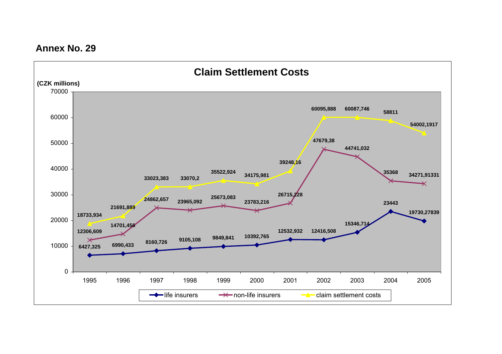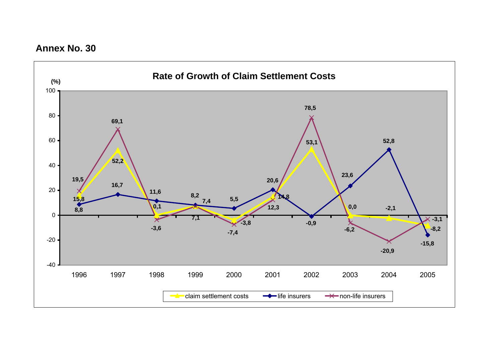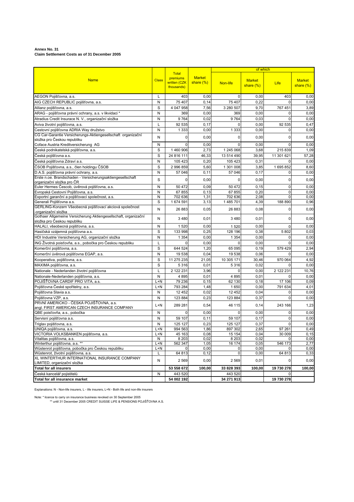#### **Annex No. 31 Claim Settlement Costs as of 31 December 2005**

|                                                                                                      |              |                                                        |                               |             | of which                      |             |                               |
|------------------------------------------------------------------------------------------------------|--------------|--------------------------------------------------------|-------------------------------|-------------|-------------------------------|-------------|-------------------------------|
| <b>Name</b>                                                                                          | <b>Class</b> | <b>Total</b><br>premiums<br>written (CZK<br>thousands) | <b>Market</b><br>share $(\%)$ | Non-life    | <b>Market</b><br>share $(\%)$ | <b>Life</b> | <b>Market</b><br>share $(\%)$ |
| AEGON Pojišťovna, a.s.                                                                               | L            | 403                                                    | 0,00                          | $\mathbf 0$ | 0,00                          | 403         | 0,00                          |
| AIG CZECH REPUBLIC pojišťovna, a.s.                                                                  | N            | 75 407                                                 | 0,14                          | 75 407      | 0,22                          | $\Omega$    | 0,00                          |
| Allianz pojišťovna, a.s.                                                                             | S            | 4 047 958                                              | 7,56                          | 3 280 507   | 9,70                          | 767 451     | 3,89                          |
| ARAG - pojišťovna právní ochrany, a.s. v likvidaci *                                                 | N            | 369                                                    | 0,00                          | 369         | 0,00                          | 0           | 0,00                          |
| Atradius Credit Insurace N. V., organizační složka                                                   | N            | 9764                                                   | 0,02                          | 9764        | 0,03                          | $\mathbf 0$ | 0,00                          |
| Aviva životní pojišťovna, a.s.                                                                       | L            | 92 535                                                 | 0,17                          | 0           | 0,00                          | 92 535      | 0,47                          |
| Cestovní pojišťovna ADRIA Way družstvo                                                               | N            | 1 3 3 3                                                | 0,00                          | 1 3 3 3     | 0,00                          | 0           | 0,00                          |
| CG Car-Garantie Versicherungs-Aktiengesellschaft organizační                                         | N            | 0                                                      | 0,00                          | 0           | 0,00                          | 0           | 0,00                          |
| složka pro Českou republiku                                                                          |              |                                                        |                               |             |                               |             |                               |
| Coface Austria Kreditversicherung AG                                                                 | N            | $\Omega$                                               | 0,00                          | $\Omega$    | 0,00                          | 0           | 0,00                          |
| Česká podnikatelská pojišťovna, a.s.                                                                 | S            | 1460906                                                | 2,73                          | 1 245 068   | 3,68                          | 215 839     | 1,09                          |
| Česká pojišťovna a.s.                                                                                | S            | 24 816 111                                             | 46,33                         | 13 514 490  | 39,95                         | 11 301 621  | 57,28                         |
| Česká pojišťovna Zdraví a.s.                                                                         | N            | 105 423                                                | 0,20                          | 105 423     | 0,31                          | 0           | 0,00                          |
| ČSOB Pojišťovna, a.s., člen holdingu ČSOB                                                            | S            | 2 996 859                                              | 5,60                          | 1 301 008   | 3,85                          | 1695852     | 8,60                          |
| D.A.S. pojišťovna právní ochrany, a.s.<br>Erste n.oe. Brandschaden - Versicherungsaktiengesellschaft | N            | 57 046                                                 | 0,11                          | 57 046      | 0,17                          | 0           | 0,00                          |
| organizační složka pro ČR                                                                            | S            | 0                                                      | 0,00                          | 0           | 0,00                          | 0           | 0,00                          |
| Euler Hermes Čescob, úvěrová pojišťovna, a.s.                                                        | N            | 50 472                                                 | 0,09                          | 50 472      | 0, 15                         | 0           | 0,00                          |
| Evropská Cestovní Pojišťovna, a.s.                                                                   | N            | 67855                                                  | 0, 13                         | 67 855      | 0,20                          | 0           | 0,00                          |
| Exportní garanční a pojišťovací společnost, a.s.                                                     | N            | 702 636                                                | 1,31                          | 702 636     | 2,08                          | 0           | 0,00                          |
| Generali Pojišťovna a.s.<br>GERLING-Konzern Všeobecná pojišťovací akciová společnost                 | S            | 1 674 591                                              | 3,13                          | 1 485 701   | 4,39                          | 188 890     | 0,96                          |
| organizační složka                                                                                   | N            | 26 883                                                 | 0,05                          | 26 883      | 0,08                          | 0           | 0,00                          |
| Gothaer Allgemeine Versicherung Aktiengesellschaft, organizační<br>složka pro Českou republiku       | N            | 3 4 8 0                                                | 0,01                          | 3 4 8 0     | 0,01                          | 0           | 0,00                          |
| HALALI, všeobecná pojišťovna, a.s.                                                                   | Ν            | 1 5 2 0                                                | 0,00                          | 1520        | 0,00                          | $\Omega$    | 0,00                          |
| Hasičská vzájemná pojišťovna a.s.                                                                    | S            | 133 998                                                | 0,25                          | 128 196     | 0,38                          | 5802        | 0,03                          |
| HDI Industrie Versicherung AG, organizační složka                                                    | N            | 1 3 5 4                                                | 0,00                          | 1 3 5 4     | 0,00                          | 0           | 0,00                          |
| ING Životná poisťovňa, a.s., pobočka pro Českou republiku                                            | L            | 0                                                      | 0,00                          | $\Omega$    | 0,00                          | 0           | 0,00                          |
| Komerční pojišťovna, a.s.                                                                            | S            | 644 524                                                | 1,20                          | 65 095      | 0, 19                         | 579 429     | 2,94                          |
| Komerční úvěrová pojišťovna EGAP, a.s.                                                               | N            | 19538                                                  | 0,04                          | 19 538      | 0.06                          | 0           | 0,00                          |
| Kooperativa, pojišťovna, a.s.                                                                        | S            | 11 275 235                                             | 21,05                         | 10 305 171  | 30,46                         | 970 064     | 4,92                          |
| MAXIMA pojišťovna, a.s.                                                                              | S            | 5 3 1 6                                                | 0,01                          | 5316        | 0,02                          | 0           | 0,00                          |
| Nationale - Nederlanden životní pojišťovna                                                           | L            | 2 122 231                                              | 3,96                          | 0           | 0,00                          | 2 122 231   | 10,76                         |
| Nationale-Nederlanden pojišťovna, a.s.                                                               | N            | 4895                                                   | 0.01                          | 4895        | 0.01                          | 0           | 0,00                          |
| POJIŠŤOVNA CARDIF PRO VITA, a.s.                                                                     | L+N          | 79 236                                                 | 0, 15                         | 62 130      | 0,18                          | 17 106      | 0,09                          |
| Pojišťovna České spořitelny, a.s.                                                                    | L+N          | 793 284                                                | 1,48                          | 1650        | 0,00                          | 791 634     | 4,01                          |
| Pojišťovna Slavia a.s.                                                                               | N            | 12 452                                                 | 0,02                          | 12 452      | 0,04                          | 0           | 0,00                          |
| Pojišťovna VZP, a.s.                                                                                 | N            | 123 884                                                | 0,23                          | 123 884     | 0,37                          | $\Omega$    | 0,00                          |
| PRVNÍ AMERICKO - ČESKÁ POJIŠŤOVNA, a.s.                                                              | L+N          | 289 281                                                | 0,54                          | 46 115      | 0,14                          | 243 166     | 1,23                          |
| angl. FIRST AMERICAN CZECH INSURANCE COMPANY<br>QBE poisťovňa, a.s., pobočka                         | Ν            | 0                                                      | 0,00                          | 0           | 0,00                          | 0           | 0,00                          |
| Servisní pojišťovna a.s.                                                                             | N            | 59 107                                                 | 0,11                          | 59 107      | 0,17                          | 0           | 0,00                          |
| Triglav pojišťovna, a.s.                                                                             | N            | 125 127                                                | 0,23                          | 125 127     | 0,37                          | 0           | 0,00                          |
|                                                                                                      | L+N          | 994 563                                                | 1,86                          | 897 302     | 2,65                          | 97 261      | 0,49                          |
| UNIQA pojišťovna, a.s.<br>VICTORIA VOLKSBANKEN pojišťovna, a.s.                                      | L+N          | 45 163                                                 | 0,08                          | 15 154      | 0,04                          | 30 009      | 0,15                          |
| Vitalitas pojišťovna, a.s.                                                                           | N            | 8 2 0 3                                                | 0,02                          | 8 2 0 3     | 0,02                          | $\mathbf 0$ | 0,00                          |
| Winterthur pojišťovna, a.s. **                                                                       | L+N          | 562 347                                                | 1,05                          | 16 174      | 0,05                          | 546 173     | 2,77                          |
| Wüstenrot pojišťovna, pobočka pro Českou republiku                                                   | L+N          | 0                                                      | 0,00                          | 0           | 0,00                          |             | 0,00                          |
| Wüstenrot, životní pojišťovna, a.s.                                                                  | L            | 64 813                                                 | 0, 12                         | $\pmb{0}$   | 0,00                          | 64 813      | 0,33                          |
| XL WINTERTHUR INTERNATIONAL INSURANCE COMPANY                                                        | N            | 2 5 6 9                                                | 0,00                          | 2 5 6 9     | 0,01                          |             | 0,00                          |
| LIMITED, organizační složka<br>Total for all insurers                                                |              | 53 558 672                                             | 100,00                        | 33 828 393  | 100,00                        | 19 730 278  | 100,00                        |
| Česká kancelář pojistitelů<br>Total for all insurance market                                         | ${\sf N}$    | 443 520                                                |                               | 443 520     |                               | $\mathbf 0$ |                               |
|                                                                                                      |              | 54 002 192                                             |                               | 34 271 913  |                               | 19 730 278  |                               |

Explanations: N - Non-life insurers, L - life insurers, L+N - Both life and non-life insurers

Note: \* licence to carry on insurance business revoked on 30 September 2005 \*\* until 31 December 2005 CREDIT SUISSE LIFE & PENSIONS POJIŠŤOVNA A.S.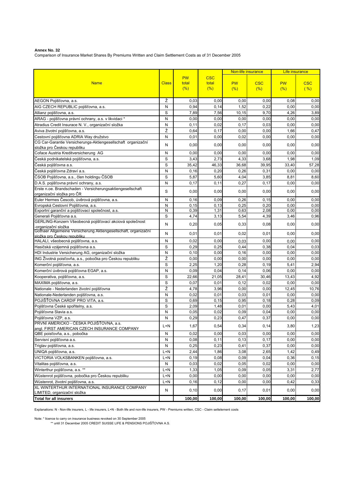Comparison of Insurance Market Shares By Premiums Written and Claim Settlement Costs as of 31 December 2005

|                                                                                                       |              |                           |                            |                  | Non-life insurance | Life insurance   |                    |
|-------------------------------------------------------------------------------------------------------|--------------|---------------------------|----------------------------|------------------|--------------------|------------------|--------------------|
| <b>Name</b>                                                                                           | <b>Class</b> | <b>PW</b><br>total<br>(%) | <b>CSC</b><br>total<br>(%) | <b>PW</b><br>(%) | <b>CSC</b><br>(%)  | <b>PW</b><br>(%) | <b>CSC</b><br>( %) |
| AEGON Pojišťovna, a.s.                                                                                | Ž            | 0,03                      | 0,00                       | 0,00             | 0,00               | 0,08             | 0,00               |
| AIG CZECH REPUBLIC pojišťovna, a.s.                                                                   | N            | 0,94                      | 0,14                       | 1,52             | 0,22               | 0,00             | 0,00               |
| Allianz pojišťovna, a.s.                                                                              | S            | 7,89                      | 7,56                       | 10,15            | 9,70               | 4,26             | 3,89               |
| ARAG - pojišťovna právní ochrany, a.s. v likvidaci *                                                  | N            | 0,00                      | 0,00                       | 0,00             | 0,00               | 0,00             | 0,00               |
| Atradius Credit Insurace N. V., organizační složka                                                    | N            | 0,11                      | 0,02                       | 0,17             | 0,03               | 0,00             | 0,00               |
| Aviva životní pojišťovna, a.s.                                                                        | Ž            | 0,64                      | 0,17                       | 0,00             | 0,00               | 1,66             | 0,47               |
| Cestovní pojišťovna ADRIA Way družstvo                                                                | N            | 0.01                      | 0,00                       | 0,02             | 0,00               | 0,00             | 0,00               |
| CG Car-Garantie Versicherungs-Aktiengesellschaft organizační                                          | N            | 0,00                      | 0,00                       | 0,00             | 0,00               | 0,00             | 0,00               |
| složka pro Českou republiku                                                                           |              |                           |                            |                  |                    |                  |                    |
| Coface Austria Kreditversicherung AG                                                                  | N            | 0,00                      | 0,00                       | 0,00             | 0,00               | 0,00             | 0,00               |
| Česká podnikatelská pojišťovna, a.s.                                                                  | S            | 3,43                      | 2,73                       | 4,33             | 3,68               | 1,98             | 1,09               |
| Česká pojišťovna a.s.                                                                                 | S            | 35,42                     | 46,33                      | 36,68            | 39,95              | 33,40            | 57,28              |
| Česká pojišťovna Zdraví a.s.                                                                          | N            | 0, 16                     | 0,20                       | 0,26             | 0,31               | 0,00             | 0,00               |
| ČSOB Pojišťovna, a.s., člen holdingu ČSOB                                                             | S            | 5,87                      | 5,60                       | 4,04             | 3,85               | 8,81             | 8,60               |
| D.A.S. pojišťovna právní ochrany, a.s.                                                                | N            | 0,17                      | 0,11                       | 0,27             | 0,17               | 0,00             | 0,00               |
| Erste n.oe. Brandschaden - Versicherungsaktiengesellschaft<br>organizační složka pro ČR               | S            | 0,00                      | 0,00                       | 0,00             | 0,00               | 0,00             | 0,00               |
| Euler Hermes Čescob, úvěrová pojišťovna, a.s.                                                         | N            | 0, 16                     | 0,09                       | 0,26             | 0, 15              | 0,00             | 0,00               |
| Evropská Cestovní Pojišťovna, a.s.                                                                    | N            | 0, 15                     | 0,13                       | 0,25             | 0,20               | 0,00             | 0,00               |
| Exportní garanční a pojišťovací společnost, a.s.                                                      | N            | 0,39                      | 1,31                       | 0,63             | 2,08               | 0,00             | 0,00               |
| Generali Pojišťovna a.s.                                                                              | S            | 4,74                      | 3,13                       | 5,54             | 4,39               | 3,46             | 0,96               |
| GERLING-Konzern Všeobecná pojišťovací akciová společnost<br>-organizační složka                       | N            | 0,20                      | 0,05                       | 0,33             | 0,08               | 0,00             | 0,00               |
| Gothaer Allgemeine Versicherung Aktiengesellschaft, organizační<br><u>složka pro Českou republiku</u> | N            | 0,01                      | 0,01                       | 0,02             | 0,01               | 0,00             | 0,00               |
| HALALI, všeobecná pojišťovna, a.s.                                                                    | N            | 0,02                      | 0,00                       | 0,03             | 0,00               | 0,00             | 0,00               |
| Hasičská vzájemná pojišťovna a.s.                                                                     | S            | 0,29                      | 0,25                       | 0,44             | 0,38               | 0,04             | 0,03               |
| HDI Industrie Versicherung AG, organizační složka                                                     | N            | 0, 10                     | 0,00                       | 0, 16            | 0,00               | 0,00             | 0,00               |
| ING Životná poisťovňa, a.s., pobočka pro Českou republiku                                             | Ž            | 0,00                      | 0,00                       | 0,00             | 0,00               | 0,00             | 0,00               |
| Komerční pojišťovna, a.s.                                                                             | S            | 2,25                      | 1,20                       | 0,28             | 0, 19              | 5,41             | 2,94               |
| Komerční úvěrová pojišťovna EGAP, a.s.                                                                | N            | 0.09                      | 0,04                       | 0,14             | 0,06               | 0,00             | 0,00               |
| Kooperativa, pojišťovna, a.s.                                                                         | S            | 22,66                     | 21,05                      | 28,41            | 30,46              | 13,43            | 4,92               |
| MAXIMA pojišťovna, a.s.                                                                               | S            | 0,07                      | 0,01                       | 0,12             | 0,02               | 0,00             | 0,00               |
| Nationale - Nederlanden životní pojišťovna                                                            | Ž            | 4,78                      | 3,96                       | 0,00             | 0,00               | 12,45            | 10,76              |
| Nationale-Nederlanden pojišťovna, a.s.                                                                | N            | 0,02                      | 0,01                       | 0,03             | 0,01               | 0,00             | 0,00               |
| POJIŠŤOVNA CARDIF PRO VITA, a.s.                                                                      | S            | 0,69                      | 0, 15                      | 0,95             | 0, 18              | 0,28             | 0,09               |
| Pojišťovna České spořitelny, a.s.                                                                     | S            | 2,09                      | 1,48                       | 0,01             | 0,00               | 5,43             | 4,01               |
| Pojišťovna Slavia a.s.                                                                                | N            | 0,05                      | 0,02                       | 0,09             | 0,04               | 0,00             | 0,00               |
| Pojišťovna VZP, a.s.                                                                                  | N            | 0,29                      | 0,23                       | 0,47             | 0,37               | 0,00             | 0,00               |
| PRVNÍ AMERICKO - ČESKÁ POJIŠŤOVNA, a.s.<br>angl. FIRST AMERICAN CZECH INSURANCE COMPANY               | $L+N$        | 1,67                      | 0,54                       | 0,34             | 0,14               | 3,80             | 1,23               |
| QBE poisťovňa, a.s., pobočka                                                                          | N            | 0.02                      | 0.00                       | 0.03             | 0.00               | 0.00             | 0.00               |
| Servisní pojišťovna a.s.                                                                              | ${\sf N}$    | 0,08                      | 0,11                       | 0, 13            | 0,17               | 0,00             | 0,00               |
| Triglav pojišťovna, a.s.                                                                              | N            | 0,25                      | 0,23                       | 0,41             | 0,37               | 0,00             | 0,00               |
| UNIQA pojišťovna, a.s.                                                                                | $L+N$        | 2,44                      | 1,86                       | 3,08             | 2,65               | 1,42             | 0,49               |
| VICTORIA VOLKSBANKEN pojišťovna, a.s.                                                                 | $L+N$        | 0, 19                     | 0,08                       | 0,09             | 0,04               | 0,36             | 0, 15              |
| Vitalitas pojišťovna, a.s.                                                                            | N            | 0,03                      | 0,02                       | 0,05             | 0,02               | 0,00             | 0,00               |
| Winterthur pojišťovna, a.s. **                                                                        | L+N          | 1,33                      | 1,05                       | 0,09             | 0,05               | 3,31             | 2,77               |
| Wüstenrot pojišťovna, pobočka pro Českou republiku                                                    | $L+N$        | 0,00                      | 0,00                       | 0,00             | 0,00               | 0,00             | 0,00               |
| Wüstenrot, životní pojišťovna, a.s.                                                                   | $L+N$        | 0, 16                     | 0,12                       | 0,00             | 0,00               | 0,42             | 0,33               |
| XL WINTERTHUR INTERNATIONAL INSURANCE COMPANY<br>LIMITED, organizační složka                          | N            | 0, 10                     | 0,00                       | 0,17             | 0,01               | 0,00             | 0,00               |
| <b>Total for all insurers</b>                                                                         |              | 100,00                    | 100,00                     | 100,00           | 100,00             | 100,00           | 100,00             |

Explanations: N - Non-life insurers, L - life insurers, L+N - Both life and non-life insurers, PW - Premiums written, CSC - Claim settelement costs

Note: \* licence to carry on insurance business revoked on 30 September 2005 \*\* until 31 December 2005 CREDIT SUISSE LIFE & PENSIONS POJIŠŤOVNA A.S.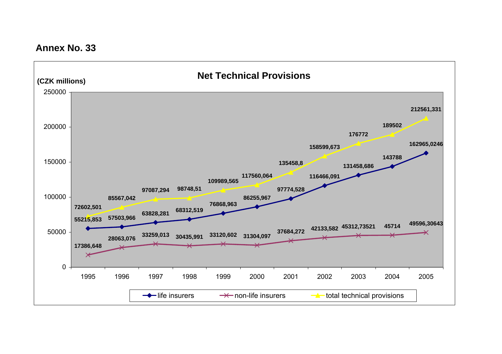**Annex No. 33**

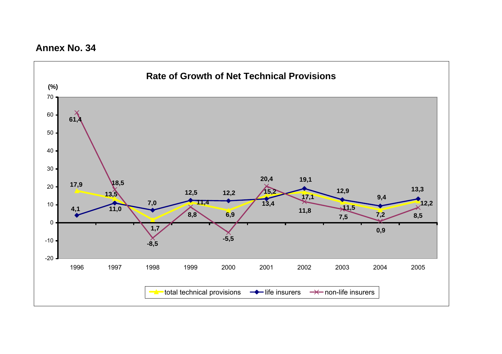**Annex No. 34**

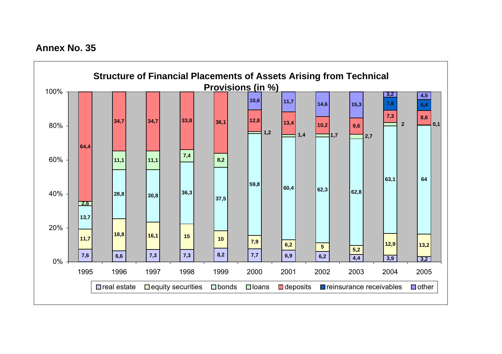**Annex No. 35**

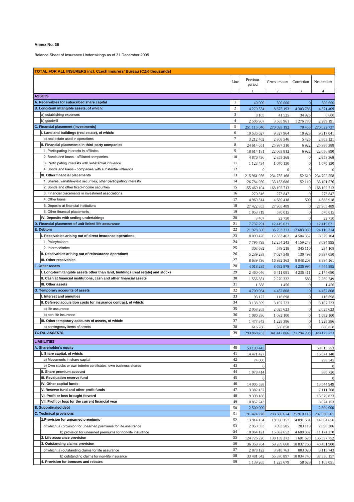Balance Sheet of Insurance Undertakings as of 31 December 2005

| <b>TOTAL FOR ALL INSURERS incl. Czech Insurers' Bureau (CZK thousands)</b> |                                                                                        |                |                           |                                   |                                |                          |
|----------------------------------------------------------------------------|----------------------------------------------------------------------------------------|----------------|---------------------------|-----------------------------------|--------------------------------|--------------------------|
|                                                                            |                                                                                        |                | Previous                  |                                   |                                |                          |
|                                                                            |                                                                                        | Line           | period                    | Gross amount                      | Correction                     | Net amount               |
|                                                                            |                                                                                        |                |                           | $\mathcal{L}$                     | 3                              | $\overline{4}$           |
|                                                                            | <b>ASSETS</b>                                                                          |                |                           |                                   |                                |                          |
|                                                                            | A. Receivables for subscribed share capital                                            | 1              | 40 000                    | 300 000                           | $\overline{0}$                 | 300 000                  |
|                                                                            | B. Long-term intangible assets, of which:                                              | $\mathbf{2}$   | 4 270 554                 | 8 6 7 5 1 9 3                     | 4 303 786                      | 4 371 409                |
|                                                                            | a) establishing expenses                                                               | 3              | 8 1 0 5                   | 41 525                            | 34 9 25                        | 6 600                    |
|                                                                            | b) goodwill                                                                            | $\overline{4}$ | 2 506 967                 | 3 5 6 5 9 6 1                     | 1 276 770                      | 2 2 8 9 1 9 1            |
|                                                                            | C. Financial placement (investments)<br>I. Land and buildings (real estate), of which: | 5<br>6         | 251 115 040               | 270 093 192                       | 70 455                         | 270 022 737              |
|                                                                            | a) real estate used in operations                                                      | $\tau$         | 10 535 627                | 9 327 964                         | 10 9 23                        | 9 3 1 7 0 4 1            |
|                                                                            | II. Financial placements in third-party companies                                      | 8              | 3 212 462<br>24 614 051   | 2 808 546<br>25 987 310           | 5 4 2 5<br>6922                | 2 803 121                |
|                                                                            | 1. Participating interests in affiliates                                               | 9              | 18 614 181                | 22 063 812                        | 6922                           | 25 980 388<br>22 056 890 |
|                                                                            | 2. Bonds and loans - affiliated companies                                              | 10             | 4 876 436                 | 2 853 368                         | $\mathbf{0}$                   | 2853368                  |
|                                                                            | 3. Participating interests with substantial influence                                  | 11             | 1 123 434                 | 1 070 130                         | $\mathbf{0}$                   | 1 070 130                |
|                                                                            | 4. Bonds and loans - companies with substantial influence                              | 12             | $\mathbf{0}$              | $\mathbf{0}$                      | $\Omega$                       |                          |
|                                                                            | III. Other financial placements                                                        | 13             | 215 961 956               | 234 755 168                       | 52 610                         | 234 702 558              |
|                                                                            | 1. Shares, variable-yield securities, other participating interests                    | 14             | 26 784 950                | 33 153 686                        | 52 110                         | 33 101 576               |
|                                                                            | 2. Bonds and other fixed-income securities                                             | 15             | 155 460 104               | 168 102 713                       | $\overline{0}$                 | 168 102 713              |
|                                                                            | 3. Financial placements in investment associations                                     | 16             | 270 816                   | 273 847                           | $\mathbf{0}$                   | 273 847                  |
|                                                                            | 4. Other loans                                                                         | 17             | 4 9 69 5 14               | 4 689 418                         | 500                            | 4688918                  |
|                                                                            | 5. Deposits at financial institutions                                                  | 18             | 27 422 853                | 27 965 489                        | $\mathbf{0}$                   | 27 965 489               |
|                                                                            | 6. Other financial placements                                                          | 19             | 1 053 719                 | 570 015                           | $\mathbf{0}$                   | 570 015                  |
|                                                                            | IV. Deposits with ceding undertakings                                                  | 20             | 3 4 0 7                   | 22 750                            | $\mathbf{0}$                   | 22 750                   |
|                                                                            | D. Financial placement of unit-linked life assurance                                   | 21             | 7737291                   | 12 419 621                        | $\overline{0}$                 | 12 419 621               |
|                                                                            | <b>E. Debtors</b>                                                                      | 22             | 21 978 500                | 36 793 373                        | 12 683 059                     | 24 110 314               |
|                                                                            | I. Receivables arising out of direct insurance operations                              | 23             | 8 0 9 4 4 7 6             | 12 833 462                        | 4 504 357                      | 8 3 29 1 0 4             |
|                                                                            | 1. Policyholders                                                                       | 24             | 7795793                   | 12 254 243                        | 4 159 248                      | 8 0 9 4 9 9 5            |
|                                                                            | 2. Intermediaries                                                                      | 25             | 303 682                   | 579 218                           | 345 110                        | 234 108                  |
|                                                                            | II. Receivables arising out of reinsurance operations                                  | 26             | 5 239 288                 | 7 027 548                         | 130 498                        | 6 897 050                |
|                                                                            | III. Other receivables                                                                 | 27             | 8 639 736                 | 16 932 363                        | 8 048 203                      | 8 8 8 4 1 6 1            |
|                                                                            | F. Other assets                                                                        | 28             | 4 018 285                 | 8 6 8 2 8 7 9                     | 4 236 994                      | 4 4 4 5 8 8 5            |
|                                                                            | I. Long-term tangible assets other than land, buildings (real estate) and stocks       | 29             | 2 460 046                 | 6 411 091                         | 4 2 3 6 4 1 1                  | 2 174 680                |
|                                                                            | II. Cash at financial institutions, cash and other financial assets                    | 30             | 1 556 851                 | 2 270 332                         | 583                            | 2 2 69 7 49              |
|                                                                            | III. Other assets                                                                      | 31             | 1388                      | 1456                              | $\mathbf{0}$                   | 1456                     |
|                                                                            | G. Temporary accounts of assets                                                        | 32             | 4 709 064                 | 4 4 5 2 8 0 8                     | $\mathbf{0}$                   | 4 4 5 2 8 0 8            |
|                                                                            | I. Interest and annuities                                                              | 33             | 93 122                    | 116 698                           | $\mathbf{0}$                   | 116 698                  |
|                                                                            | II. Deferred acquisition costs for insurance contract, of which:                       | 34             | 3 138 599                 | 3 107 723                         | $\mathbf{0}$                   | 3 107 723                |
|                                                                            | a) life assurance                                                                      | 35             | 2058263                   | 2 0 25 6 23                       | $\mathbf{0}$                   | 2 025 623                |
|                                                                            | b) non-life insurance                                                                  | 36<br>37       | 1 080 336                 | 1 082 100                         | $\mathbf{0}$                   | 1 082 100                |
|                                                                            | III. Other temporary accounts of assets, of which:<br>a) contingency items of assets   | 38             | 1 477 343                 | 1 228 386                         | $\mathbf{0}$<br>$\overline{0}$ | 1 228 386                |
|                                                                            | <b>TOTAL ASSESTS</b>                                                                   | 39             | 616 766                   | 656 858<br>341 417 066 21 294 293 |                                | 656 858<br>320 122 773   |
|                                                                            |                                                                                        |                | 293 868 733               |                                   |                                |                          |
|                                                                            | <b>LIABILITIES</b>                                                                     |                |                           |                                   |                                |                          |
|                                                                            | A. Shareholder's equity                                                                | 40             | 53 193 445                |                                   |                                | 59 815 553               |
|                                                                            | I. Share capital, of which:                                                            | 41             | 14 471 427                |                                   |                                | 16 674 140               |
|                                                                            | a) Movements in share capital                                                          | 42             | 74 000                    |                                   |                                | 298 545                  |
|                                                                            | b) Own stocks or own interim certificates, own business shares                         | 43             |                           |                                   |                                |                          |
|                                                                            | II. Share premium account                                                              | 44             | 1 078 414                 |                                   |                                | 880 720                  |
|                                                                            | III. Revaluation reserve fund                                                          | 45             |                           |                                   |                                |                          |
|                                                                            | IV. Other capital funds                                                                | 46             | 14 005 538                |                                   |                                | 13 544 949               |
|                                                                            | V. Reserve fund and other profit funds<br>VI. Profit or loss brought forward           | 47<br>48       | 3 3 8 2 1 3 7             |                                   |                                | 7 111 768                |
|                                                                            |                                                                                        |                | 9 3 9 1 8 6               |                                   |                                | 13 579 823               |
|                                                                            | VII. Profit or loss for the current financial year                                     | 49<br>50       | 10 857 743                |                                   |                                | 8 0 24 153<br>2 500 000  |
| <b>B. Subordinated debt</b><br><b>C. Technical provisions</b>              |                                                                                        | 51             | 2 500 000                 | 233 500 674                       | 25 910 113                     | 207 590 561              |
|                                                                            | 1. Provision for unearned premiums                                                     | 52             | 191 474 228<br>13 914 154 | 18 956 157                        | 4 891 501                      | 14 064 656               |
|                                                                            | of which: a) provision for unearned premiums for life assurance                        | 53             | 2 950 033                 | 3 093 505                         | 203 119                        | 2 890 386                |
|                                                                            | b) provision for unearned premiums for non-life insurance                              | 54             | 10 964 121                | 15 862 652                        | 4 688 382                      | 11 174 270               |
|                                                                            | 2. Life assurance provision                                                            | 55             | 124 726 220               | 138 159 372                       | 1 601 620                      | 136 557 752              |
|                                                                            | 3. Outstanding claims provision                                                        | 56             | 36 359 764                | 59 289 660                        | 18 837 760                     | 40 451 900               |
|                                                                            | of which: a) outstanding claims for life assurance                                     | 57             | 2 878 122                 | 3 918 763                         | 803 020                        | 3 1 1 5 7 4 3            |
|                                                                            | b) outstanding claims for non-life insurance                                           | 58             | 33 481 642                | 55 370 897                        | 18 034 740                     | 37 336 157               |
|                                                                            | 4. Provision for bonuses and rebates                                                   | 59             | 1 139 265                 | 1 223 679                         | 58 628                         | 1 1 65 0 51              |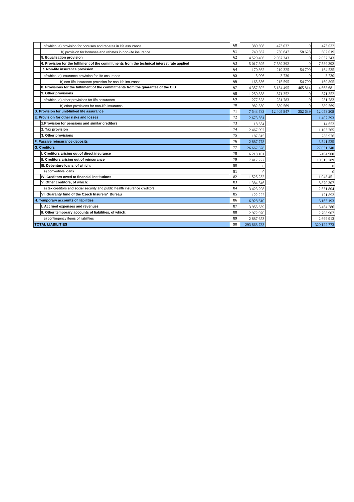| of which: a) provision for bonuses and rebates in life assurance                            | 60 | 389 698       | 473 032       | $\overline{0}$ | 473 032       |
|---------------------------------------------------------------------------------------------|----|---------------|---------------|----------------|---------------|
| b) provision for bonuses and rebates in non-life insurance                                  | 61 | 749 567       | 750 647       | 58 628         | 692 019       |
| 5. Equalisation provision                                                                   | 62 | 4 529 406     | 2 0 5 7 2 4 3 | $\Omega$       | 2 0 5 7 2 4 3 |
| 6. Provision for the fulfilment of the commitments from the technical interest rate applied | 63 | 5 017 395     | 7 589 392     | $\mathbf{0}$   | 7 589 392     |
| 7. Non-life insurance provision                                                             | 64 | 170 862       | 219 325       | 54 790         | 164 535       |
| of which: a) insurance provision for life assurance                                         | 65 | 5 0 0 6       | 3730          | $\Omega$       | 3730          |
| b) non-life insurance provision for non-life insurance                                      | 66 | 165 856       | 215 595       | 54 790         | 160 805       |
| 8. Provisions for the fulfilment of the commitments from the quarantee of the CIB           | 67 | 4 3 5 7 3 0 2 | 5 134 495     | 465 814        | 4 668 681     |
| 9. Other provisions                                                                         | 68 | 1 259 858     | 871 352       | $\mathbf{0}$   | 871 352       |
| of which: a) other provisions for life assurance                                            | 69 | 277 528       | 281783        | $\Omega$       | 281783        |
| b) other provisions for non-life insurance                                                  | 70 | 982 330       | 589 569       | $\theta$       | 589 569       |
| D. Provision for unit-linked life assurance                                                 | 71 | 7 543 783     | 12 405 847    | 352 639        | 12 053 208    |
| E. Provision for other risks and losses                                                     | 72 | 2 673 561     |               |                | 1 407 393     |
| 1. Provision for pensions and similar creditors                                             | 73 | 18 654        |               |                | 14 653        |
| 2. Tax provision                                                                            | 74 | 2 467 092     |               |                | 1 103 765     |
| 3. Other provisions                                                                         | 75 | 187815        |               |                | 288 976       |
| F. Passive reinsurance deposits                                                             |    | 2887778       |               |                | 3 541 525     |
| <b>G.</b> Creditors                                                                         | 77 | 26 667 328    |               |                | 27 051 340    |
| I. Creditors arising out of direct insurance                                                | 78 | 6 218 101     |               |                | 6494900       |
| II. Creditors arising out of reinsurance                                                    | 79 | 7417227       |               |                | 10 515 789    |
| III. Debenture loans, of which:                                                             | 80 |               |               |                | $\theta$      |
| a) convertible loans                                                                        | 81 |               |               |                | $\theta$      |
| IV. Creditors owed to financial institutions                                                | 82 | 1 525 232     |               |                | 1 048 451     |
| V. Other creditors, of which:                                                               | 83 | 11 384 546    |               |                | 8 870 307     |
| a) tax creditors and social security and public health insurance creditors                  | 84 | 3 4 23 2 98   |               |                | 2 531 804     |
| VI. Guaranty fund of the Czech Insurers' Bureau                                             | 85 | 122 222       |               |                | 121 893       |
| H. Temporary accounts of liabilities                                                        | 86 | 6928610       |               |                | 6 1 63 1 93   |
| I. Accrued expenses and revenues                                                            | 87 | 3 955 639     |               |                | 3 454 286     |
| II. Other temporary accounts of liabilities, of which:                                      | 88 | 2 972 970     |               |                | 2 708 907     |
| a) contingency items of liabilities                                                         | 89 | 2 887 653     |               |                | 2 699 913     |
| <b>TOTAL LIABILITIES</b>                                                                    | 90 | 293 868 733   |               |                | 320 122 773   |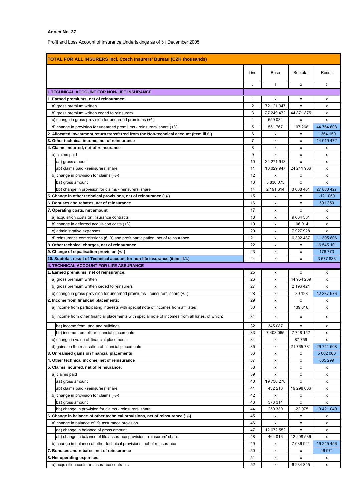Profit and Loss Account of Insurance Undertakings as of 31 December 2005

| <b>TOTAL FOR ALL INSURERS incl. Czech Insurers' Bureau (CZK thousands)</b>                        |      |              |                |            |  |  |
|---------------------------------------------------------------------------------------------------|------|--------------|----------------|------------|--|--|
|                                                                                                   | Line | Base         | Subtotal       | Result     |  |  |
|                                                                                                   | b    | $\mathbf{1}$ | $\overline{2}$ | 3          |  |  |
| I. TECHNICAL ACCOUNT FOR NON-LIFE INSURANCE                                                       |      |              |                |            |  |  |
| 1. Earned premiums, net of reinsurance:                                                           | 1    | x            | х              | x          |  |  |
| a) gross premium written                                                                          | 2    | 72 121 347   | x              | x          |  |  |
| b) gross premium written ceded to reinsurers                                                      | 3    | 27 249 472   | 44 871 875     | x          |  |  |
| c) change in gross provision for unearned premiums (+/-)                                          | 4    | 659 034      | x              | x          |  |  |
| d) change in provision for unearned premiums - reinsurers' share (+/-)                            | 5    | 551 767      | 107 266        | 44 764 608 |  |  |
| 2. Allocated investment return transferred from the Non-technical account (item III.6.)           | 6    | х            | х              | 1 364 150  |  |  |
| 3. Other technical income, net of reinsurance                                                     | 7    | x            | x              | 14 019 472 |  |  |
| 4. Claims incurred, net of reinsurance                                                            | 8    | x            | х              | x          |  |  |
| a) claims paid                                                                                    | 9    | x            | x              | x          |  |  |
| aa) gross amount                                                                                  | 10   | 34 271 913   | x              | x          |  |  |
| ab) claims paid - reinsurers' share                                                               | 11   | 10 029 947   | 24 241 966     | x          |  |  |
| b) change in provision for claims $(+/-)$                                                         | 12   | x            | х              | x          |  |  |
| ba) gross amount                                                                                  | 13   | 5 830 075    | x              | x          |  |  |
| bb) change in provision for claims - reinsurers' share                                            | 14   | 2 191 614    | 3638461        | 27 880 427 |  |  |
| 5. Change in other technical provisions, net of reinsurance (+/-)                                 | 15   | х            | х              | $-121059$  |  |  |
| 6. Bonuses and rebates, net of reinsurance                                                        | 16   | x            | x              | 591 350    |  |  |
| 7. Operating costs, net amount                                                                    | 17   | x            | x              | x          |  |  |
| a) acquisition costs on insurance contracts                                                       | 18   | x            | 9 6 64 3 51    | x          |  |  |
| b) change in deferred acquisition costs (+/-)                                                     | 19   | х            | 106 014        | x          |  |  |
| c) administrative expenses                                                                        | 20   | х            | 7927928        | x          |  |  |
| d) reinsurance commissions (613) and profit participation, net of reinsurance                     | 21   | х            | 6 302 487      | 11 395 806 |  |  |
| 8. Other technical charges, net of reinsurance                                                    | 22   | x            | х              | 16 545 101 |  |  |
| 9. Change of equalisation provision (+/-)                                                         | 23   | x            | х              | 178 773    |  |  |
| 10. Subtotal, result of Technical account for non-life insurance (item III.1.)                    | 24   | x            | x              | 3 677 833  |  |  |
| <b>II. TECHNICAL ACCOUNT FOR LIFE ASSURANCE</b>                                                   |      |              |                |            |  |  |
|                                                                                                   |      |              |                |            |  |  |
| 1. Earned premiums, net of reinsurance:                                                           | 25   | x            | x              | x          |  |  |
| a) gross premium written                                                                          | 26   | x            | 44 954 269     | x          |  |  |
| b) gross premium written ceded to reinsurers                                                      | 27   | x            | 2 196 421      | x          |  |  |
| c) change in gross provision for unearned premiums - reinsurers' share (+/-)                      | 28   | x            | $-80$ 128      | 42 837 976 |  |  |
| 2. Income from financial placements:                                                              | 29   | x            | x              | x          |  |  |
| a) income from participating interests with special note of incomes from affiliates               | 30   | x            | 139816         | x          |  |  |
| b) income from other financial placements with special note of incomes from affiliates, of which: | 31   | x            | х              | х          |  |  |
| ba) income from land and buildings                                                                | 32   | 345 087      | х              | x          |  |  |
| bb) income from other financial placements                                                        | 33   | 7 403 065    | 7748152        | x          |  |  |
| c) change in value of financial placements                                                        | 34   | x            | 87759          | x          |  |  |
| d) gains on the realisation of financial placements                                               | 35   | x            | 21 765 781     | 29 741 508 |  |  |
| 3. Unrealised gains on financial placements                                                       | 36   | x            | х              | 5 002 060  |  |  |
| 4. Other technical income, net of reinsurance                                                     | 37   | x            | х              | 835 299    |  |  |
| 5. Claims incurred, net of reinsurance:                                                           | 38   | x            | x              | x          |  |  |
| a) claims paid                                                                                    | 39   | x            | x              | x          |  |  |
| aa) gross amount                                                                                  | 40   | 19 730 278   | x              | x          |  |  |
| ab) claims paid - reinsurers' share                                                               | 41   | 432 213      | 19 298 066     | x          |  |  |
| b) change in provision for claims (+/-)                                                           | 42   | x            | х              | x          |  |  |
| ba) gross amount                                                                                  | 43   | 373 314      | x              | x          |  |  |
| bb) change in provision for claims - reinsurers' share                                            | 44   | 250 339      | 122 975        | 19 421 040 |  |  |
| 6. Change in balance of other technical provisions, net of reinsurance (+/-)                      | 45   | x            | х              | x          |  |  |
| a) change in balance of life assurance provision                                                  | 46   | x            | х              | x          |  |  |
| aa) change in balance of gross amount                                                             | 47   | 12 672 552   | x              | x          |  |  |
| ab) change in balance of life assurance provision - reinsurers' share                             | 48   | 464 016      | 12 208 536     | x          |  |  |
| b) change in balance of other technical provisions, net of reinsurance                            | 49   | x            | 7 036 921      | 19 245 456 |  |  |
| 7. Bonuses and rebates, net of reinsurance                                                        | 50   | x            | х              | 46 971     |  |  |
| 8. Net operating expenses:                                                                        | 51   | x            | x              | x          |  |  |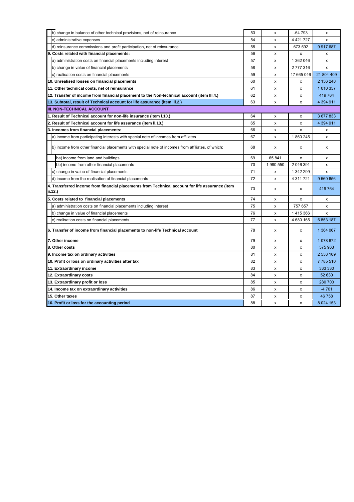| b) change in balance of other technical provisions, net of reinsurance                                     | 53 | x        | $-64793$      | x              |
|------------------------------------------------------------------------------------------------------------|----|----------|---------------|----------------|
| c) administrative expenses                                                                                 | 54 | x        | 4 4 21 7 27   | x              |
| d) reinsurance commissions and profit participation, net of reinsurance                                    | 55 | x        | 673 592       | 9917687        |
| 9. Costs related with financial placements:                                                                | 56 | X        | X             | x              |
| a) administration costs on financial placements including interest                                         | 57 | x        | 1 362 046     | x              |
| b) change in value of financial placements                                                                 | 58 | x        | 2777316       | x              |
| c) realisation costs on financial placements                                                               | 59 | x        | 17 665 046    | 21 804 409     |
| 10. Unrealised losses on financial placements                                                              | 60 | x        | x             | 2 156 248      |
| 11. Other technical costs, net of reinsurance                                                              | 61 | x        | x             | 1 0 1 0 3 5 7  |
| 12. Transfer of income from financial placement to the Non-technical account (item III.4.)                 | 62 | x        | x             | 419 764        |
| 13. Subtotal, result of Technical account for life assurance (item III.2.)                                 | 63 | x        | x             | 4 394 911      |
| <b>III. NON-TECHNICAL ACCOUNT</b>                                                                          |    |          |               |                |
| 1. Result of Technical account for non-life insurance (item I.10.)                                         | 64 | х        | х             | 3 677 833      |
| 2. Result of Technical account for life assurance (item II.13.)                                            | 65 | x        | x             | 4 394 911      |
| 3. Incomes from financial placements:                                                                      | 66 | x        | x             | x              |
| a) income from participating interests with special note of incomes from affiliates                        | 67 | X        | 1860245       | X              |
| b) income from other financial placements with special note of incomes from affiliates, of which:          | 68 | x        | x             | x              |
| ba) income from land and buildings                                                                         | 69 | 65 841   | X             | x              |
| bb) income from other financial placements                                                                 | 70 | 1980 550 | 2 046 391     | X              |
| c) change in value of financial placements                                                                 | 71 | x        | 1 342 299     | $\mathsf{x}$   |
| d) income from the realisation of financial placements                                                     | 72 | x        | 4 3 1 1 7 2 1 | 9 560 656      |
| 4. Transferred income from financial placements from Technical account for life assurance (item<br>ii.12.) |    | x        | x             | 419 764        |
| 5. Costs related to financial placements                                                                   | 74 | x        | x             | x              |
| a) administration costs on financial placements including interest                                         | 75 | x        | 757 657       | $\pmb{\times}$ |
| b) change in value of financial placements                                                                 | 76 | x        | 1415366       | x              |
| c) realisation costs on financial placements                                                               | 77 | x        | 4 680 165     | 6 853 187      |
| 6. Transfer of income from financial placements to non-life Technical account                              | 78 | x        | x             | 1 364 067      |
| 7. Other income                                                                                            | 79 | x        | х             | 1078672        |
| 8. Other costs                                                                                             | 80 | X        | x             | 575 963        |
| 9. Income tax on ordinary activities                                                                       | 81 | x        | X             | 2 553 109      |
| 10. Profit or loss on ordinary activities after tax                                                        | 82 | x        | x             | 7785510        |
| 11. Extraordinary income                                                                                   | 83 | x        | x             | 333 330        |
| 12. Extraordinary costs                                                                                    | 84 | х        | x             | 52 630         |
| 13. Extraordinary profit or loss                                                                           | 85 | X        | x             | 280 700        |
| 14. Income tax on extraordinary activities                                                                 | 86 | x        | x             | $-4701$        |
| 15. Other taxes                                                                                            | 87 | x        | x             | 46 758         |
| 16. Profit or loss for the accounting period                                                               | 88 | х        | х             | 8 0 24 153     |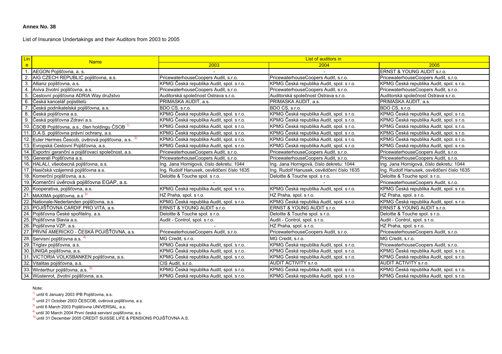List of Insurance Undertakings and their Auditors from 2003 to 2005

| Lin              |                                                             | List of auditors in<br><b>Name</b><br>2003<br>2004 |                                           |                                           |  |  |
|------------------|-------------------------------------------------------------|----------------------------------------------------|-------------------------------------------|-------------------------------------------|--|--|
| e.               |                                                             |                                                    |                                           | 2005                                      |  |  |
| $\overline{1}$ . | AEGON Pojišťovna, a. s.                                     |                                                    |                                           | ERNST & YOUNG AUDIT s.r.o.                |  |  |
|                  | AIG CZECH REPUBLIC pojišťovna, a.s.                         | PricewaterhouseCoopers Audit, s.r.o.               | PricewaterhouseCoopers Audit, s.r.o.      | PricewaterhouseCoopers Audit, s.r.o.      |  |  |
| 3.               | Allianz pojišťovna, a.s.                                    | KPMG Česká republika Audit, spol. s r.o.           | KPMG Česká republika Audit, spol. s r.o.  | KPMG Česká republika Audit, spol. s r.o.  |  |  |
| 4.               | Aviva životní pojišťovna, a.s.                              | PricewaterhouseCoopers Audit, s.r.o.               | PricewaterhouseCoopers Audit, s.r.o.      | PricewaterhouseCoopers Audit, s.r.o.      |  |  |
| 5.               | Cestovní pojišťovna ADRIA Way družstvo                      | Auditorská společnost Ostrava s.r.o.               | Auditorská společnost Ostrava s.r.o.      | Auditorská společnost Ostrava s.r.o.      |  |  |
| 6.               | Česká kancelář pojistitelů                                  | PRIMASKA AUDIT, a.s.                               | PRIMASKA AUDIT, a.s.                      | PRIMASKA AUDIT, a.s.                      |  |  |
| 7.               | Česká podnikatelská pojišťovna, a.s.                        | BDO CS, s.r.o.                                     | BDO CS, s.r.o.                            | BDO CS, s.r.o.                            |  |  |
|                  | 8. Česká pojišťovna a.s.                                    | KPMG Česká republika Audit, spol. s r.o.           | KPMG Česká republika Audit, spol. s r.o.  | KPMG Česká republika Audit, spol. s r.o.  |  |  |
|                  | 9. Česká pojišťovna Zdraví a.s.                             | KPMG Česká republika Audit, spol. s r.o.           | KPMG Česká republika Audit, spol. s r.o.  | KPMG Česká republika Audit, spol. s r.o.  |  |  |
|                  | 10. ČSOB Pojišťovna, a.s., člen holdingu ČSOB <sup>1)</sup> | KPMG Česká republika Audit, spol. s r.o.           | KPMG Česká republika Audit, spol. s r.o.  | KPMG Česká republika Audit, spol. s r.o.  |  |  |
|                  | 11. D.A.S. pojišťovna právní ochrany, a.s.                  | KPMG Česká republika Audit, spol. s r.o.           | KPMG Česká republika Audit, spol. s r.o.  | KPMG Česká republika Audit, spol. s r.o.  |  |  |
| 12.              | Euler Hermes Čescob, úvěrová pojišťovna, a.s. <sup>2)</sup> | KPMG Česká republika Audit, spol. s r.o.           | KPMG Česká republika Audit, spol. s r.o.  | KPMG Česká republika Audit, spol. s r.o.  |  |  |
|                  | 13. Evropská Cestovní Pojišťovna, a.s.                      | KPMG Česká republika Audit, spol. s r.o.           | KPMG Česká republika Audit, spol. s r.o.  | KPMG Česká republika Audit, spol. s r.o.  |  |  |
|                  | 14. Exportní garanční a pojišťovací společnost, a.s.        | PricewaterhouseCoopers Audit, s.r.o.               | PricewaterhouseCoopers Audit, s.r.o.      | PricewaterhouseCoopers Audit, s.r.o.      |  |  |
|                  | 15. Generali Pojišťovna a.s.                                | PricewaterhouseCoopers Audit, s.r.o.               | PricewaterhouseCoopers Audit, s.r.o.      | PricewaterhouseCoopers Audit, s.r.o.      |  |  |
|                  | 16. HALALI, všeobecná pojišťovna, a.s.                      | Ing. Jana Hornigová, číslo dekretu: 1044           | Ing. Jana Hornigová, číslo dekretu: 1044  | Ing. Jana Hornigová, číslo dekretu: 1044  |  |  |
|                  | 17. Hasičská vzájemná pojišťovna a.s.                       | Ing. Rudolf Hanusek, osvědčení číslo 1635          | Ing. Rudolf Hanusek, osvědčení číslo 1635 | Ing. Rudolf Hanusek, osvědčení číslo 1635 |  |  |
|                  | 18. Komerční pojišťovna, a.s.                               | Deloitte & Touche spol. s r.o.                     | Deloitte & Touche spol. s r.o.            | Deloitte & Touche spol. s r.o.            |  |  |
|                  | 19. Komerční úvěrová pojišťovna EGAP, a.s.                  |                                                    |                                           | PricewaterhouseCoopers Audit, s.r.o.      |  |  |
|                  | 20. Kooperativa, pojišťovna, a.s.                           | KPMG Česká republika Audit, spol. s r.o.           | KPMG Česká republika Audit, spol. s r.o.  | KPMG Česká republika Audit, spol. s r.o.  |  |  |
|                  | 21. MAXIMA pojišťovna, a.s <sup>3)</sup>                    | HZ Praha, spol. s r.o.                             | HZ Praha, spol. s r.o.                    | HZ Praha, spol. s r.o.                    |  |  |
|                  | 22. Nationale-Nederlanden pojišťovna, a.s.                  | KPMG Česká republika Audit, spol. s r.o.           | KPMG Česká republika Audit, spol. s r.o.  | KPMG Česká republika Audit, spol. s r.o.  |  |  |
|                  | 23. POJIŠŤOVNA CARDIF PRO VITA, a.s.                        | ERNST & YOUNG AUDIT s.r.o.                         | ERNST & YOUNG AUDIT s.r.o.                | ERNST & YOUNG AUDIT s.r.o.                |  |  |
|                  | 24. Pojišťovna České spořitelny, a.s.                       | Deloitte & Touche spol. s r.o.                     | Deloitte & Touche spol. s r.o.            | Deloitte & Touche spol. s r.o.            |  |  |
|                  | 25. Pojišťovna Slavia a.s.                                  | Audit - Control, spol. s r.o.                      | Audit - Control, spol. s r.o.             | Audit - Control, spol. s r.o.             |  |  |
|                  | 26. Pojišťovna VZP, a.s.                                    |                                                    | HZ Praha, spol. s r.o.                    | HZ Praha, spol. s r.o.                    |  |  |
|                  | 27. PRVNÍ AMERICKO - ČESKÁ POJIŠŤOVNA, a.s.                 | PricewaterhouseCoopers Audit, s.r.o.               | PricewaterhouseCoopers Audit, s.r.o.      | PricewaterhouseCoopers Audit, s.r.o.      |  |  |
|                  | 28. Servisní pojišťovna a.s. <sup>4)</sup>                  | MG Credit, s.r.o.                                  | MG Credit, s.r.o.                         | MG Credit, s.r.o.                         |  |  |
|                  | 29. Triglav pojišťovna, a.s.                                | KPMG Česká republika Audit, spol. s r.o.           | KPMG Česká republika Audit, spol. s r.o.  | PricewaterhouseCoopers Audit, s.r.o.      |  |  |
|                  | 30. UNIQA pojišťovna, a.s.                                  | KPMG Česká republika Audit, spol. s r.o.           | KPMG Česká republika Audit, spol. s r.o.  | KPMG Česká republika Audit, spol. s r.o.  |  |  |
|                  | 31. VICTORIA VOLKSBANKEN pojišťovna, a.s.                   | KPMG Česká republika Audit, spol. s r.o.           | KPMG Česká republika Audit, spol. s r.o.  | KPMG Česká republika Audit, spol. s r.o.  |  |  |
|                  | 32. Vitalitas pojišťovna, a.s.                              | CIS Audit, s.r.o.                                  | AUDIT ACTIVITY s.r.o.                     | AUDIT ACTIVITY s.r.o.                     |  |  |
|                  | 33. Winterthur pojišťovna, a.s. 5)                          | KPMG Česká republika Audit, spol. s r.o.           | KPMG Česká republika Audit, spol. s r.o.  | KPMG Česká republika Audit, spol. s r.o.  |  |  |
|                  | 34. Wüstenrot, životní pojišťovna, a.s.                     | KPMG Česká republika Audit, spol. s r.o.           | KPMG Česká republika Audit, spol. s r.o.  | KPMG Česká republika Audit, spol. s r.o.  |  |  |

#### Note:

1) until 6 January 2003 IPB Pojišťovna, a.s.

2) until 21 October 2003 ČESCOB, úvěrová pojišťovna, a.s.

<sup>3)</sup> until 6 March 2003 Pojišťovna UNIVERSAL, a.s.

<sup>4)</sup> until 30 March 2004 První česká servisní pojišťovna, a.s.<br><sup>5)</sup> until 31 December 2005 CREDIT SUISSE LIFE & PENSIONS POJIŠŤOVNA A.S.